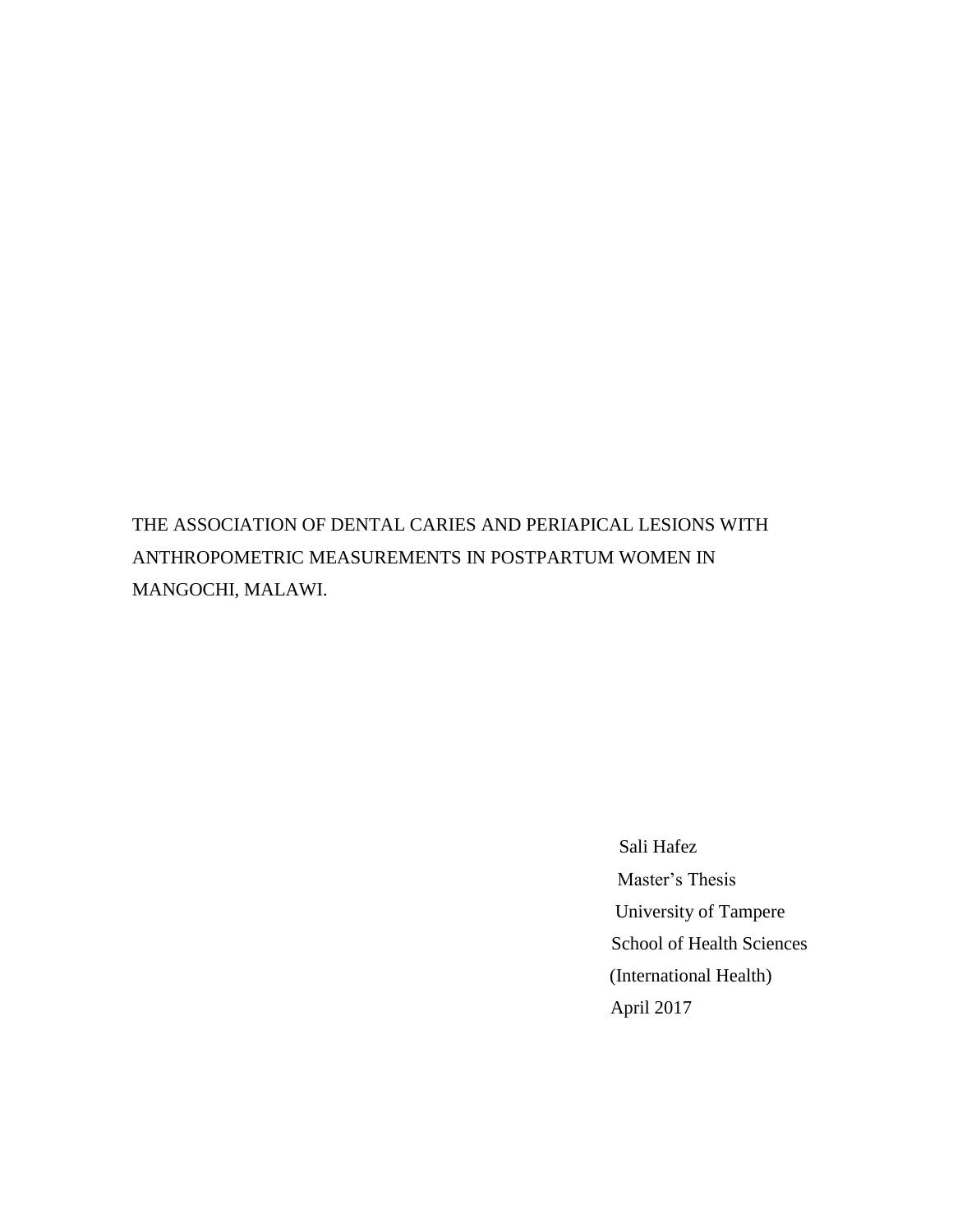THE ASSOCIATION OF DENTAL CARIES AND PERIAPICAL LESIONS WITH ANTHROPOMETRIC MEASUREMENTS IN POSTPARTUM WOMEN IN MANGOCHI, MALAWI.

> Sali Hafez Master's Thesis University of Tampere School of Health Sciences (International Health) April 2017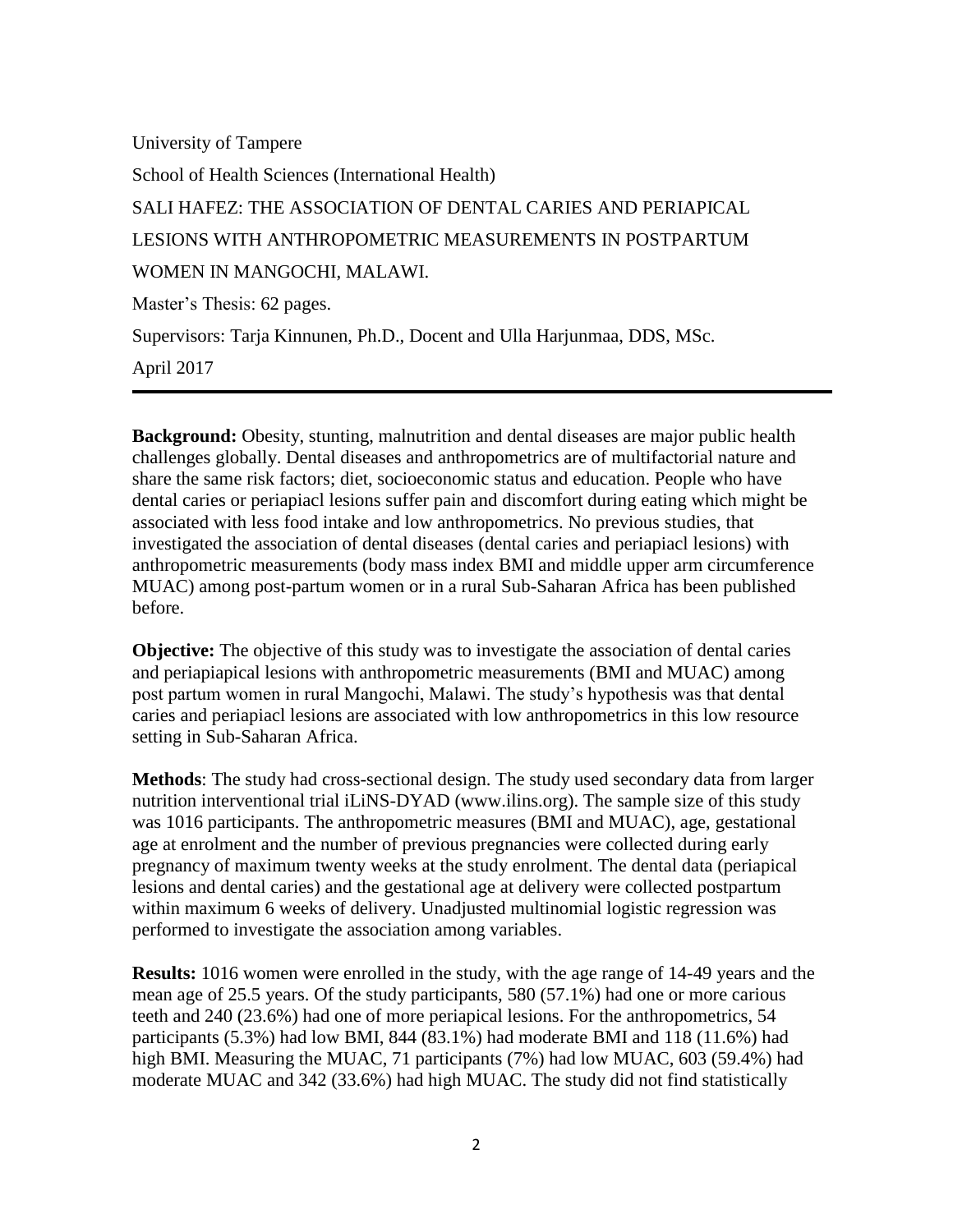University of Tampere School of Health Sciences (International Health) SALI HAFEZ: THE ASSOCIATION OF DENTAL CARIES AND PERIAPICAL LESIONS WITH ANTHROPOMETRIC MEASUREMENTS IN POSTPARTUM WOMEN IN MANGOCHI, MALAWI.

Master's Thesis: 62 pages.

Supervisors: Tarja Kinnunen, Ph.D., Docent and Ulla Harjunmaa, DDS, MSc.

April 2017

**Background:** Obesity, stunting, malnutrition and dental diseases are major public health challenges globally. Dental diseases and anthropometrics are of multifactorial nature and share the same risk factors; diet, socioeconomic status and education. People who have dental caries or periapiacl lesions suffer pain and discomfort during eating which might be associated with less food intake and low anthropometrics. No previous studies, that investigated the association of dental diseases (dental caries and periapiacl lesions) with anthropometric measurements (body mass index BMI and middle upper arm circumference MUAC) among post-partum women or in a rural Sub-Saharan Africa has been published before.

**Objective:** The objective of this study was to investigate the association of dental caries and periapiapical lesions with anthropometric measurements (BMI and MUAC) among post partum women in rural Mangochi, Malawi. The study's hypothesis was that dental caries and periapiacl lesions are associated with low anthropometrics in this low resource setting in Sub-Saharan Africa.

**Methods**: The study had cross-sectional design. The study used secondary data from larger nutrition interventional trial iLiNS-DYAD (www.ilins.org). The sample size of this study was 1016 participants. The anthropometric measures (BMI and MUAC), age, gestational age at enrolment and the number of previous pregnancies were collected during early pregnancy of maximum twenty weeks at the study enrolment. The dental data (periapical lesions and dental caries) and the gestational age at delivery were collected postpartum within maximum 6 weeks of delivery. Unadjusted multinomial logistic regression was performed to investigate the association among variables.

**Results:** 1016 women were enrolled in the study, with the age range of 14-49 years and the mean age of 25.5 years. Of the study participants, 580 (57.1%) had one or more carious teeth and 240 (23.6%) had one of more periapical lesions. For the anthropometrics, 54 participants (5.3%) had low BMI, 844 (83.1%) had moderate BMI and 118 (11.6%) had high BMI. Measuring the MUAC, 71 participants (7%) had low MUAC, 603 (59.4%) had moderate MUAC and 342 (33.6%) had high MUAC. The study did not find statistically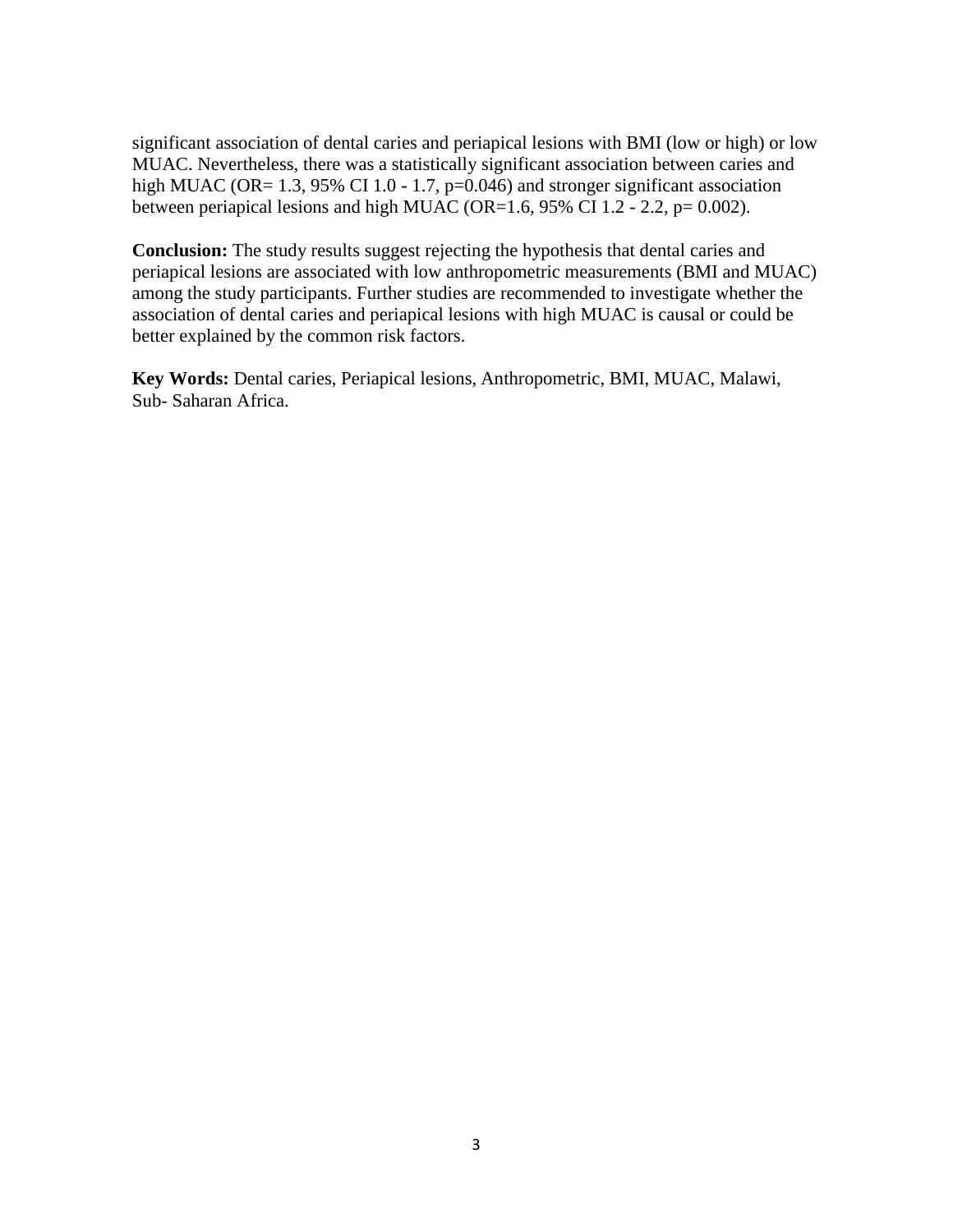significant association of dental caries and periapical lesions with BMI (low or high) or low MUAC. Nevertheless, there was a statistically significant association between caries and high MUAC (OR= 1.3, 95% CI 1.0 - 1.7, p=0.046) and stronger significant association between periapical lesions and high MUAC (OR=1.6, 95% CI 1.2 - 2.2,  $p= 0.002$ ).

**Conclusion:** The study results suggest rejecting the hypothesis that dental caries and periapical lesions are associated with low anthropometric measurements (BMI and MUAC) among the study participants. Further studies are recommended to investigate whether the association of dental caries and periapical lesions with high MUAC is causal or could be better explained by the common risk factors.

**Key Words:** Dental caries, Periapical lesions, Anthropometric, BMI, MUAC, Malawi, Sub- Saharan Africa.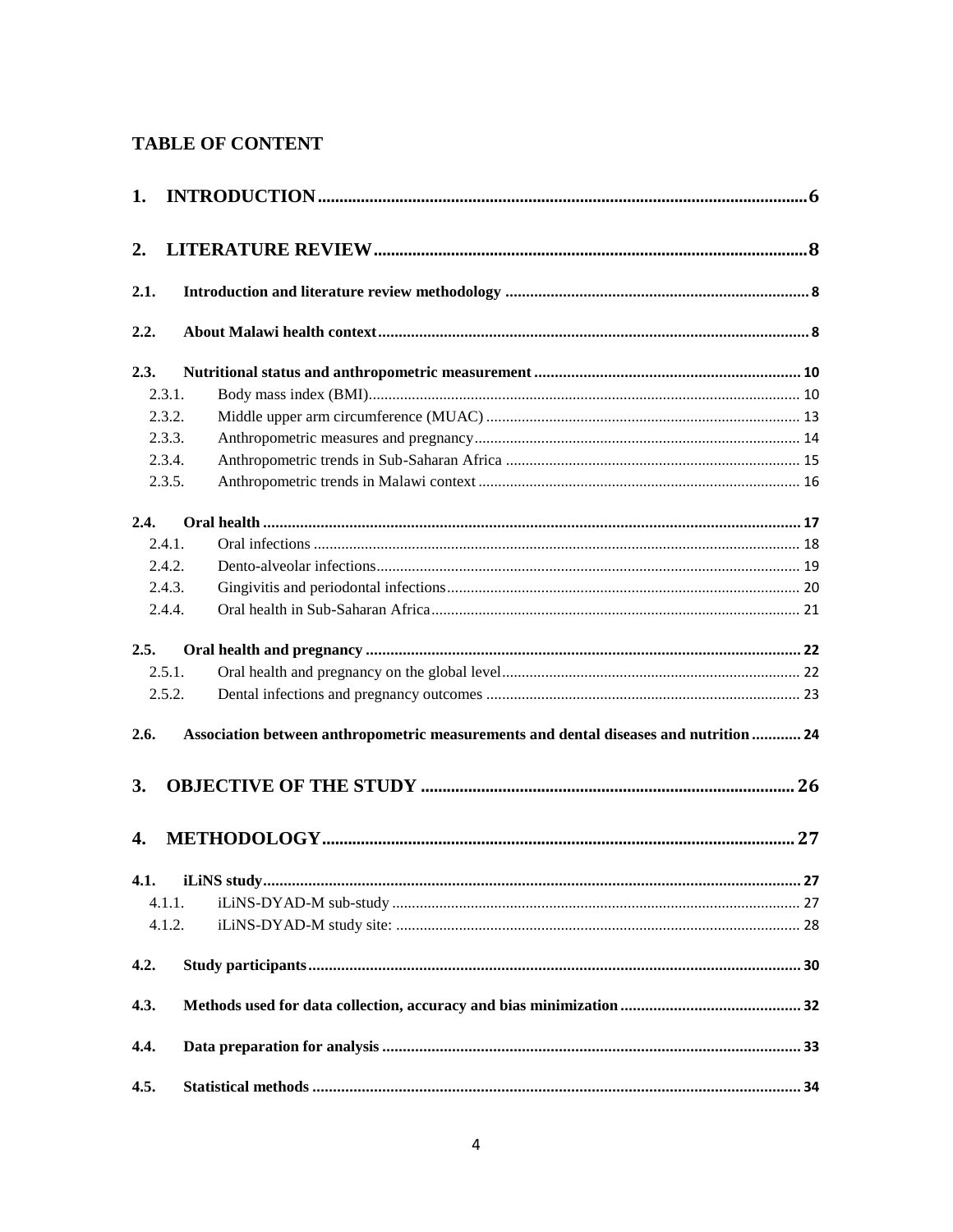# **TABLE OF CONTENT**

| 1.   |                                                                                       |  |
|------|---------------------------------------------------------------------------------------|--|
| 2.   |                                                                                       |  |
| 2.1. |                                                                                       |  |
| 2.2. |                                                                                       |  |
| 2.3. |                                                                                       |  |
|      | 2.3.1.                                                                                |  |
|      | 2.3.2.                                                                                |  |
|      | 2.3.3.                                                                                |  |
|      | 2.3.4.                                                                                |  |
|      | 2.3.5.                                                                                |  |
| 2.4. |                                                                                       |  |
|      | 2.4.1.                                                                                |  |
|      | 2.4.2.                                                                                |  |
|      | 2.4.3.                                                                                |  |
|      | 2.4.4.                                                                                |  |
| 2.5. |                                                                                       |  |
|      | 2.5.1.                                                                                |  |
|      | 2.5.2.                                                                                |  |
| 2.6. | Association between anthropometric measurements and dental diseases and nutrition  24 |  |
| 3.   |                                                                                       |  |
| 4.   |                                                                                       |  |
|      |                                                                                       |  |
|      | 4.1.1.                                                                                |  |
|      | 4.1.2.                                                                                |  |
| 4.2. |                                                                                       |  |
| 4.3. |                                                                                       |  |
| 4.4. |                                                                                       |  |
| 4.5. |                                                                                       |  |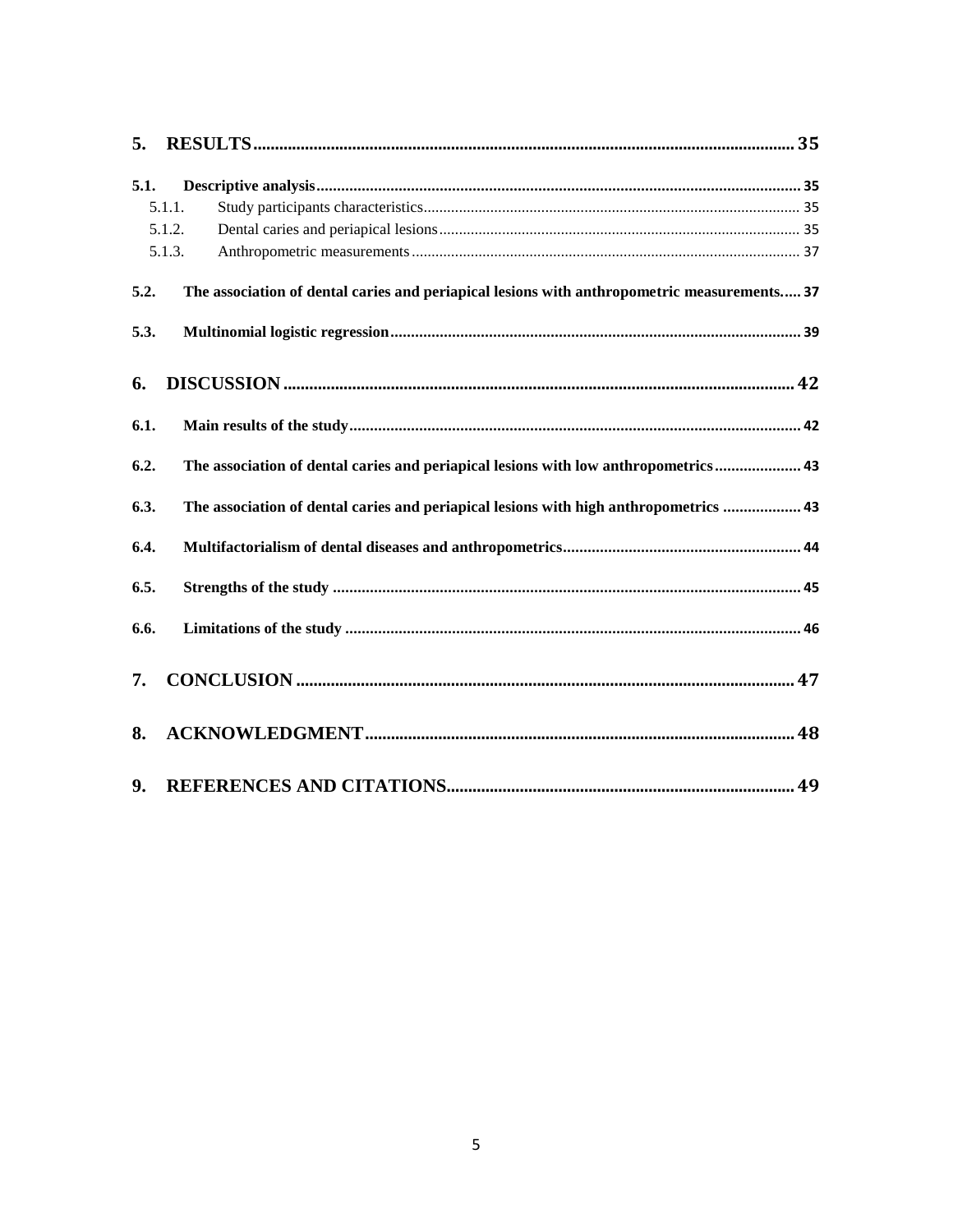| 5.   |        |                                                                                             |  |
|------|--------|---------------------------------------------------------------------------------------------|--|
| 5.1. |        |                                                                                             |  |
|      | 5.1.1. |                                                                                             |  |
|      | 5.1.2. |                                                                                             |  |
|      | 5.1.3. |                                                                                             |  |
| 5.2. |        | The association of dental caries and periapical lesions with anthropometric measurements 37 |  |
| 5.3. |        |                                                                                             |  |
| 6.   |        |                                                                                             |  |
| 6.1. |        |                                                                                             |  |
| 6.2. |        | The association of dental caries and periapical lesions with low anthropometrics 43         |  |
| 6.3. |        | The association of dental caries and periapical lesions with high anthropometrics  43       |  |
| 6.4. |        |                                                                                             |  |
| 6.5. |        |                                                                                             |  |
| 6.6. |        |                                                                                             |  |
| 7.   |        |                                                                                             |  |
| 8.   |        |                                                                                             |  |
| 9.   |        |                                                                                             |  |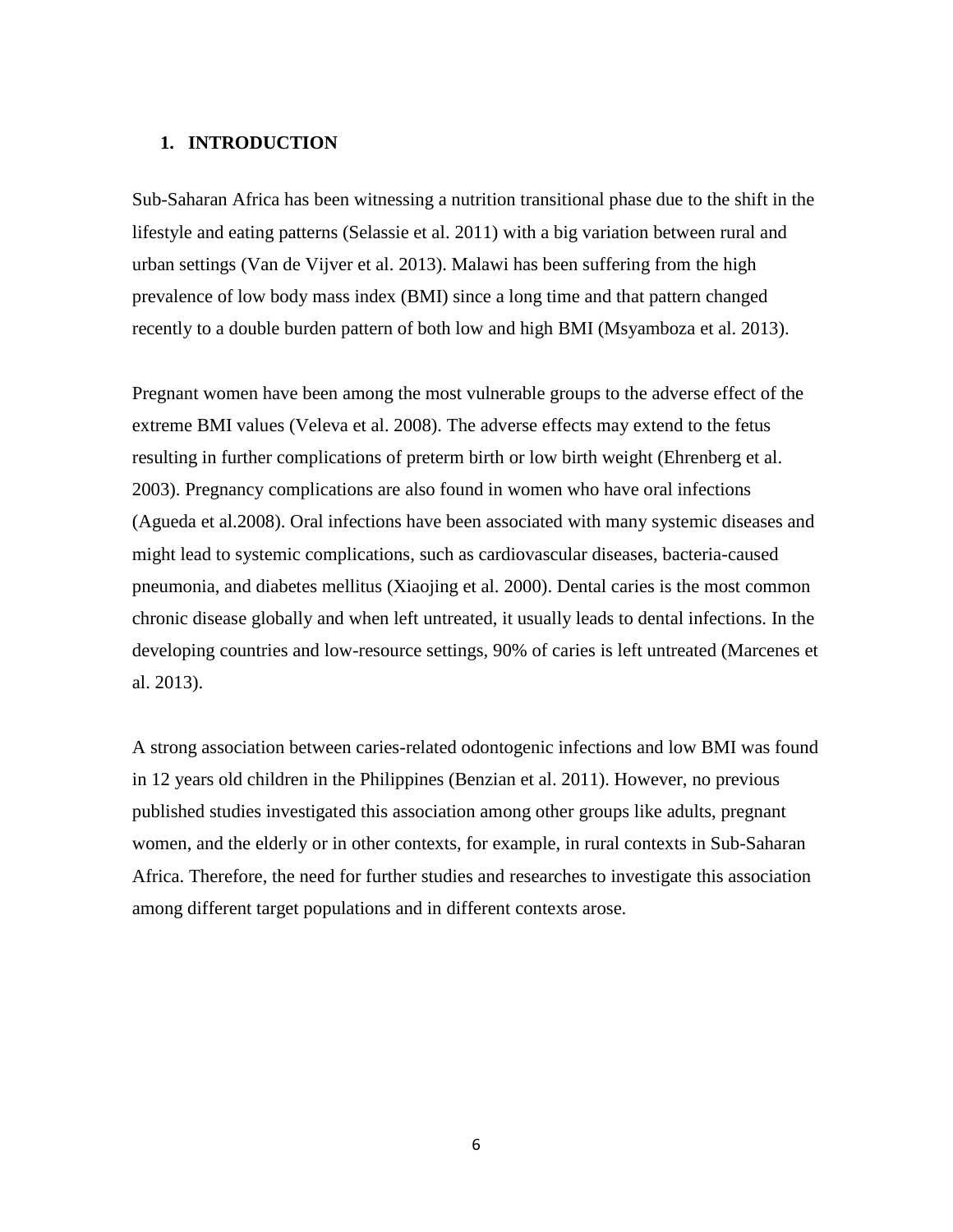### <span id="page-5-0"></span>**1. INTRODUCTION**

Sub-Saharan Africa has been witnessing a nutrition transitional phase due to the shift in the lifestyle and eating patterns (Selassie et al. 2011) with a big variation between rural and urban settings (Van de Vijver et al. 2013). Malawi has been suffering from the high prevalence of low body mass index (BMI) since a long time and that pattern changed recently to a double burden pattern of both low and high BMI (Msyamboza et al. 2013).

Pregnant women have been among the most vulnerable groups to the adverse effect of the extreme BMI values (Veleva et al. 2008). The adverse effects may extend to the fetus resulting in further complications of preterm birth or low birth weight (Ehrenberg et al. 2003). Pregnancy complications are also found in women who have oral infections (Agueda et al.2008). Oral infections have been associated with many systemic diseases and might lead to systemic complications, such as cardiovascular diseases, bacteria-caused pneumonia, and diabetes mellitus (Xiaojing et al. 2000). Dental caries is the most common chronic disease globally and when left untreated, it usually leads to dental infections. In the developing countries and low-resource settings, 90% of caries is left untreated (Marcenes et al. 2013).

A strong association between caries-related odontogenic infections and low BMI was found in 12 years old children in the Philippines (Benzian et al. 2011). However, no previous published studies investigated this association among other groups like adults, pregnant women, and the elderly or in other contexts, for example, in rural contexts in Sub-Saharan Africa. Therefore, the need for further studies and researches to investigate this association among different target populations and in different contexts arose.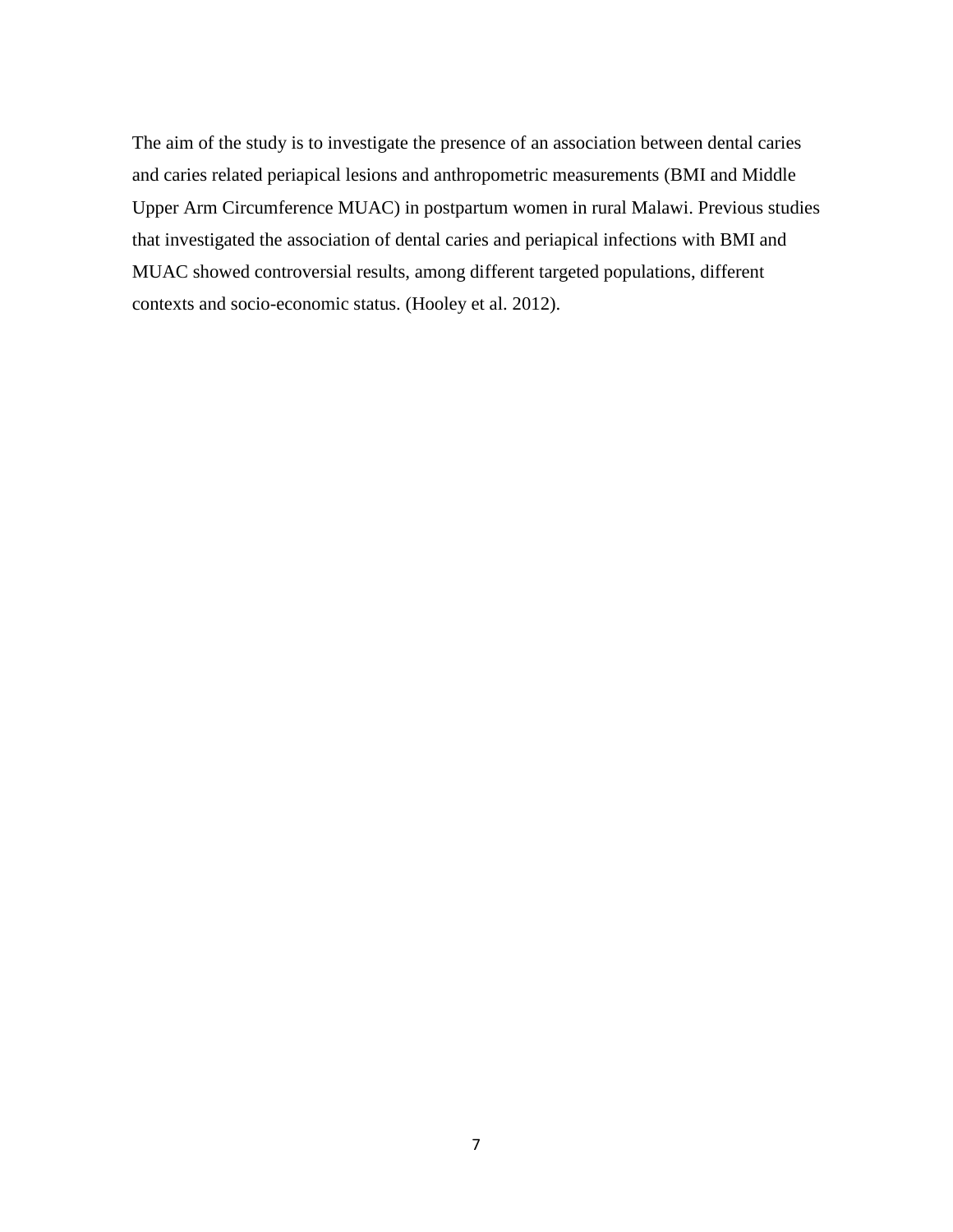The aim of the study is to investigate the presence of an association between dental caries and caries related periapical lesions and anthropometric measurements (BMI and Middle Upper Arm Circumference MUAC) in postpartum women in rural Malawi. Previous studies that investigated the association of dental caries and periapical infections with BMI and MUAC showed controversial results, among different targeted populations, different contexts and socio-economic status. (Hooley et al. 2012).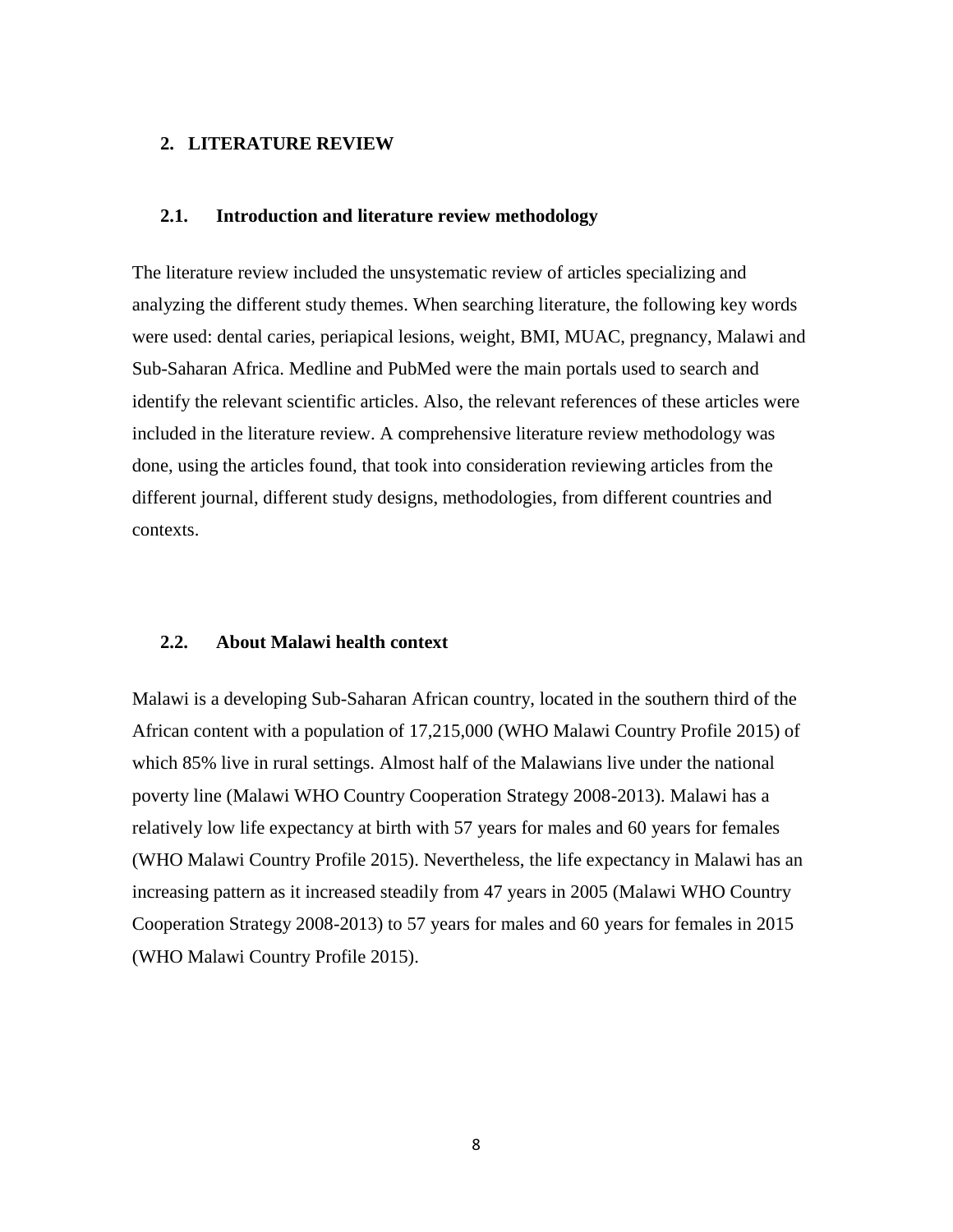#### <span id="page-7-0"></span>**2. LITERATURE REVIEW**

## <span id="page-7-1"></span>**2.1. Introduction and literature review methodology**

The literature review included the unsystematic review of articles specializing and analyzing the different study themes. When searching literature, the following key words were used: dental caries, periapical lesions, weight, BMI, MUAC, pregnancy, Malawi and Sub-Saharan Africa. Medline and PubMed were the main portals used to search and identify the relevant scientific articles. Also, the relevant references of these articles were included in the literature review. A comprehensive literature review methodology was done, using the articles found, that took into consideration reviewing articles from the different journal, different study designs, methodologies, from different countries and contexts.

## <span id="page-7-2"></span>**2.2. About Malawi health context**

Malawi is a developing Sub-Saharan African country, located in the southern third of the African content with a population of 17,215,000 (WHO Malawi Country Profile 2015) of which 85% live in rural settings. Almost half of the Malawians live under the national poverty line (Malawi WHO Country Cooperation Strategy 2008-2013). Malawi has a relatively low life expectancy at birth with 57 years for males and 60 years for females (WHO Malawi Country Profile 2015). Nevertheless, the life expectancy in Malawi has an increasing pattern as it increased steadily from 47 years in 2005 (Malawi WHO Country Cooperation Strategy 2008-2013) to 57 years for males and 60 years for females in 2015 (WHO Malawi Country Profile 2015).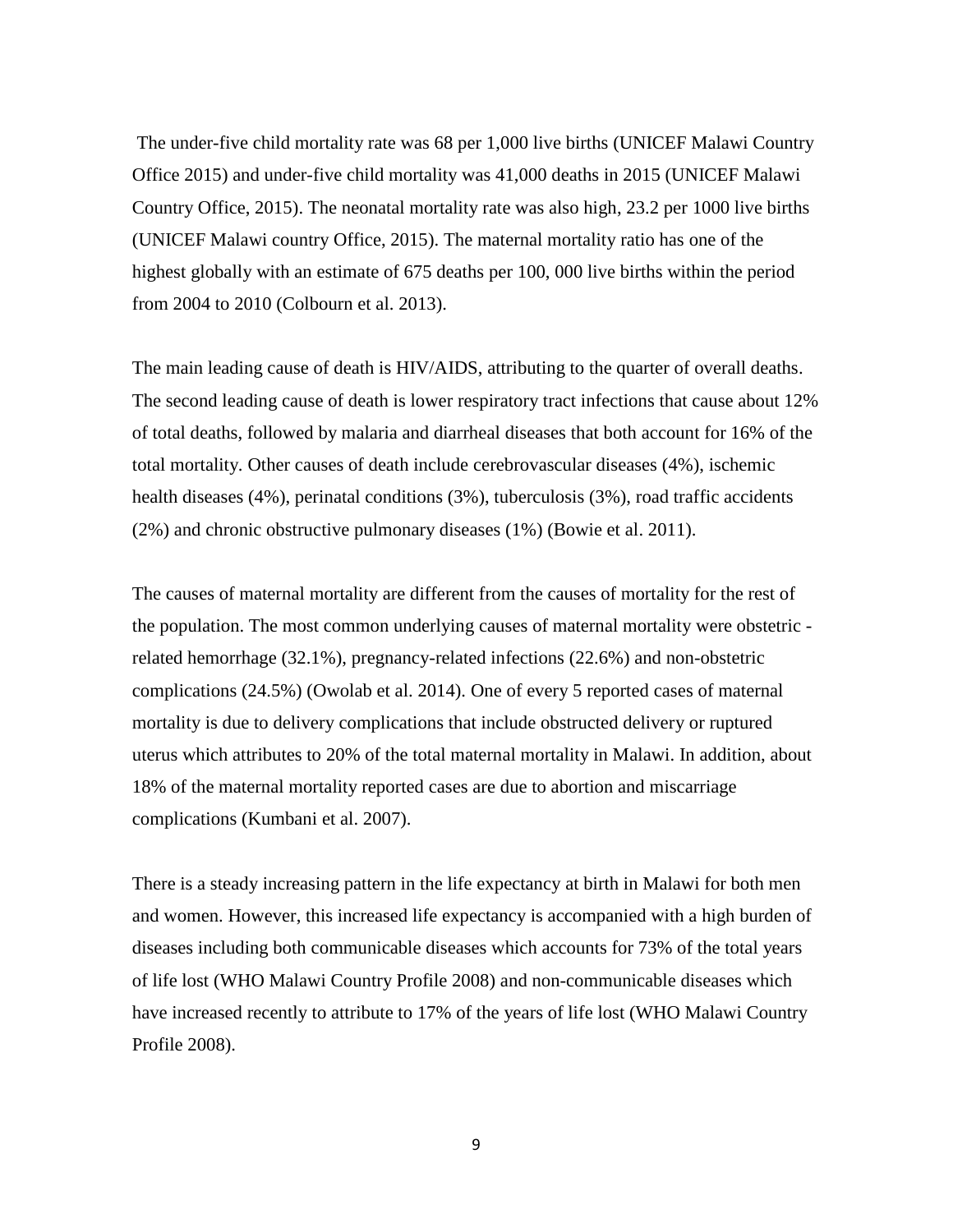The under-five child mortality rate was 68 per 1,000 live births (UNICEF Malawi Country Office 2015) and under-five child mortality was 41,000 deaths in 2015 (UNICEF Malawi Country Office, 2015). The neonatal mortality rate was also high, 23.2 per 1000 live births (UNICEF Malawi country Office, 2015). The maternal mortality ratio has one of the highest globally with an estimate of 675 deaths per 100, 000 live births within the period from 2004 to 2010 (Colbourn et al. 2013).

The main leading cause of death is HIV/AIDS, attributing to the quarter of overall deaths. The second leading cause of death is lower respiratory tract infections that cause about 12% of total deaths, followed by malaria and diarrheal diseases that both account for 16% of the total mortality. Other causes of death include cerebrovascular diseases (4%), ischemic health diseases (4%), perinatal conditions (3%), tuberculosis (3%), road traffic accidents (2%) and chronic obstructive pulmonary diseases (1%) (Bowie et al. 2011).

The causes of maternal mortality are different from the causes of mortality for the rest of the population. The most common underlying causes of maternal mortality were obstetric related hemorrhage (32.1%), pregnancy-related infections (22.6%) and non-obstetric complications (24.5%) (Owolab et al. 2014). One of every 5 reported cases of maternal mortality is due to delivery complications that include obstructed delivery or ruptured uterus which attributes to 20% of the total maternal mortality in Malawi. In addition, about 18% of the maternal mortality reported cases are due to abortion and miscarriage complications (Kumbani et al. 2007).

There is a steady increasing pattern in the life expectancy at birth in Malawi for both men and women. However, this increased life expectancy is accompanied with a high burden of diseases including both communicable diseases which accounts for 73% of the total years of life lost (WHO Malawi Country Profile 2008) and non-communicable diseases which have increased recently to attribute to 17% of the years of life lost (WHO Malawi Country Profile 2008).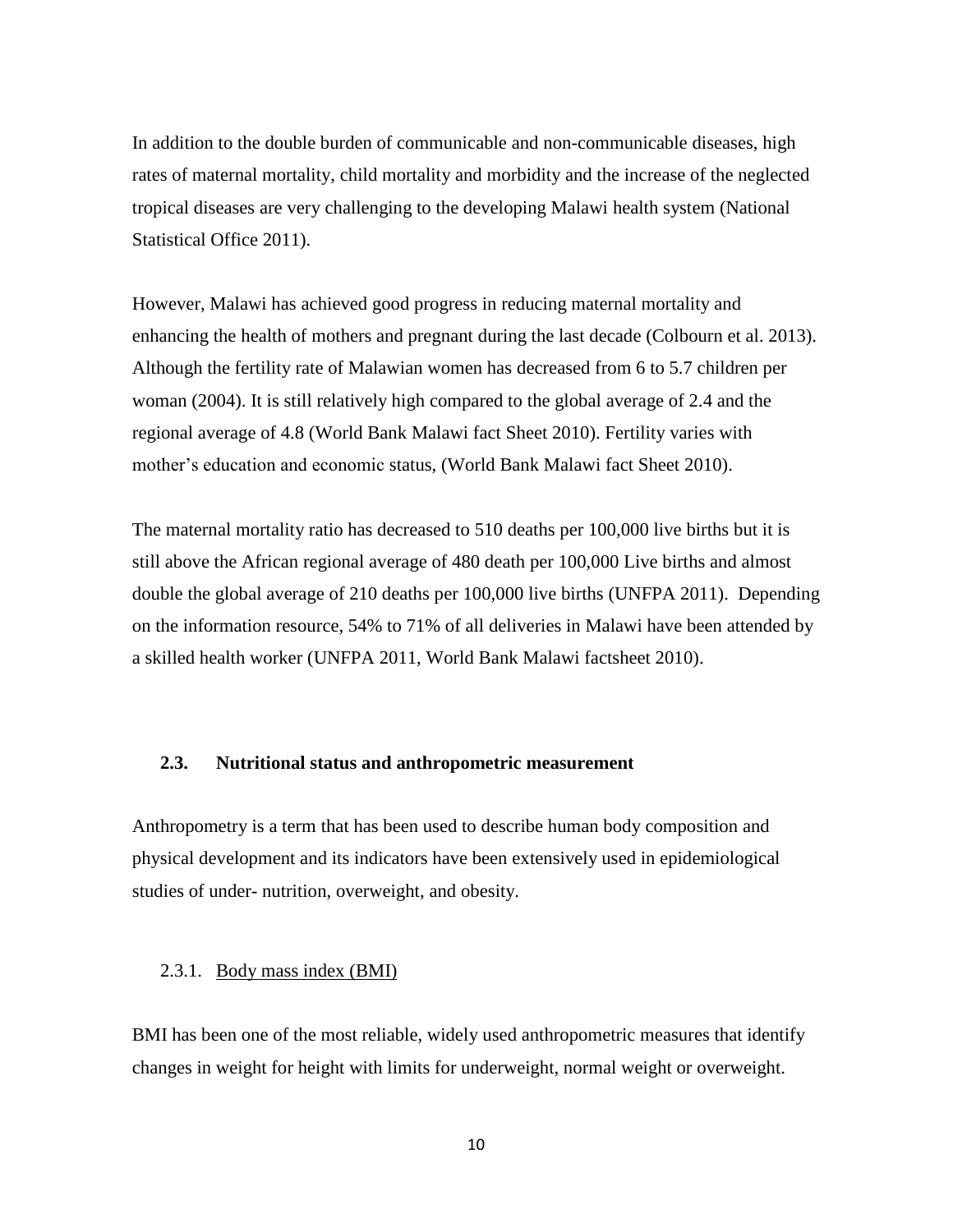In addition to the double burden of communicable and non-communicable diseases, high rates of maternal mortality, child mortality and morbidity and the increase of the neglected tropical diseases are very challenging to the developing Malawi health system (National Statistical Office 2011).

However, Malawi has achieved good progress in reducing maternal mortality and enhancing the health of mothers and pregnant during the last decade (Colbourn et al. 2013). Although the fertility rate of Malawian women has decreased from 6 to 5.7 children per woman (2004). It is still relatively high compared to the global average of 2.4 and the regional average of 4.8 (World Bank Malawi fact Sheet 2010). Fertility varies with mother's education and economic status, (World Bank Malawi fact Sheet 2010).

The maternal mortality ratio has decreased to 510 deaths per 100,000 live births but it is still above the African regional average of 480 death per 100,000 Live births and almost double the global average of 210 deaths per 100,000 live births (UNFPA 2011). Depending on the information resource, 54% to 71% of all deliveries in Malawi have been attended by a skilled health worker (UNFPA 2011, World Bank Malawi factsheet 2010).

## <span id="page-9-0"></span>**2.3. Nutritional status and anthropometric measurement**

Anthropometry is a term that has been used to describe human body composition and physical development and its indicators have been extensively used in epidemiological studies of under- nutrition, overweight, and obesity.

## <span id="page-9-1"></span>2.3.1. Body mass index (BMI)

BMI has been one of the most reliable, widely used anthropometric measures that identify changes in weight for height with limits for underweight, normal weight or overweight.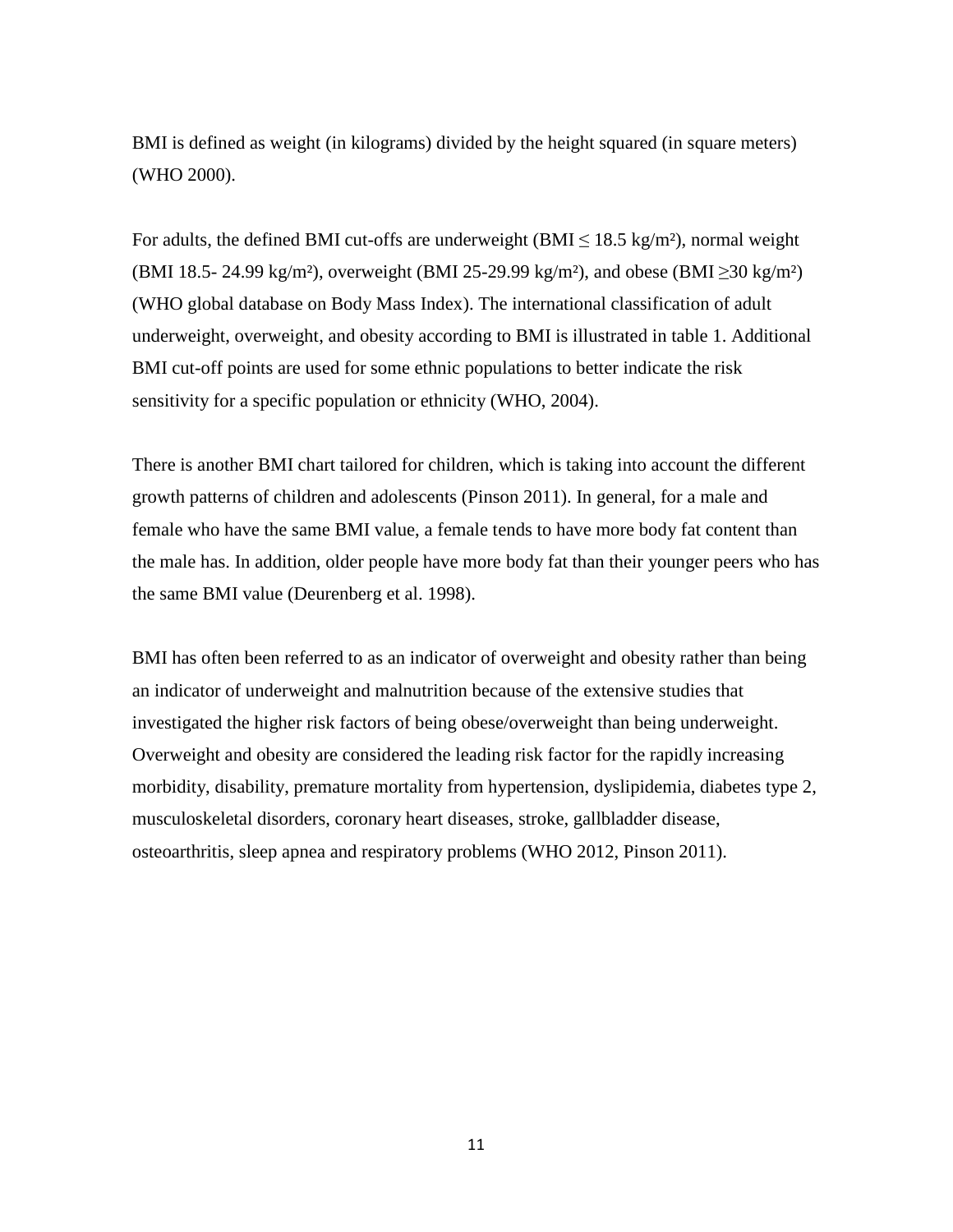BMI is defined as weight (in kilograms) divided by the height squared (in square meters) (WHO 2000).

For adults, the defined BMI cut-offs are underweight (BMI  $\leq$  18.5 kg/m<sup>2</sup>), normal weight (BMI 18.5- 24.99 kg/m²), overweight (BMI 25-29.99 kg/m²), and obese (BMI ≥30 kg/m²) (WHO global database on Body Mass Index). The international classification of adult underweight, overweight, and obesity according to BMI is illustrated in table 1. Additional BMI cut-off points are used for some ethnic populations to better indicate the risk sensitivity for a specific population or ethnicity (WHO, 2004).

There is another BMI chart tailored for children, which is taking into account the different growth patterns of children and adolescents (Pinson 2011). In general, for a male and female who have the same BMI value, a female tends to have more body fat content than the male has. In addition, older people have more body fat than their younger peers who has the same BMI value (Deurenberg et al. 1998).

BMI has often been referred to as an indicator of overweight and obesity rather than being an indicator of underweight and malnutrition because of the extensive studies that investigated the higher risk factors of being obese/overweight than being underweight. Overweight and obesity are considered the leading risk factor for the rapidly increasing morbidity, disability, premature mortality from hypertension, dyslipidemia, diabetes type 2, musculoskeletal disorders, coronary heart diseases, stroke, gallbladder disease, osteoarthritis, sleep apnea and respiratory problems (WHO 2012, Pinson 2011).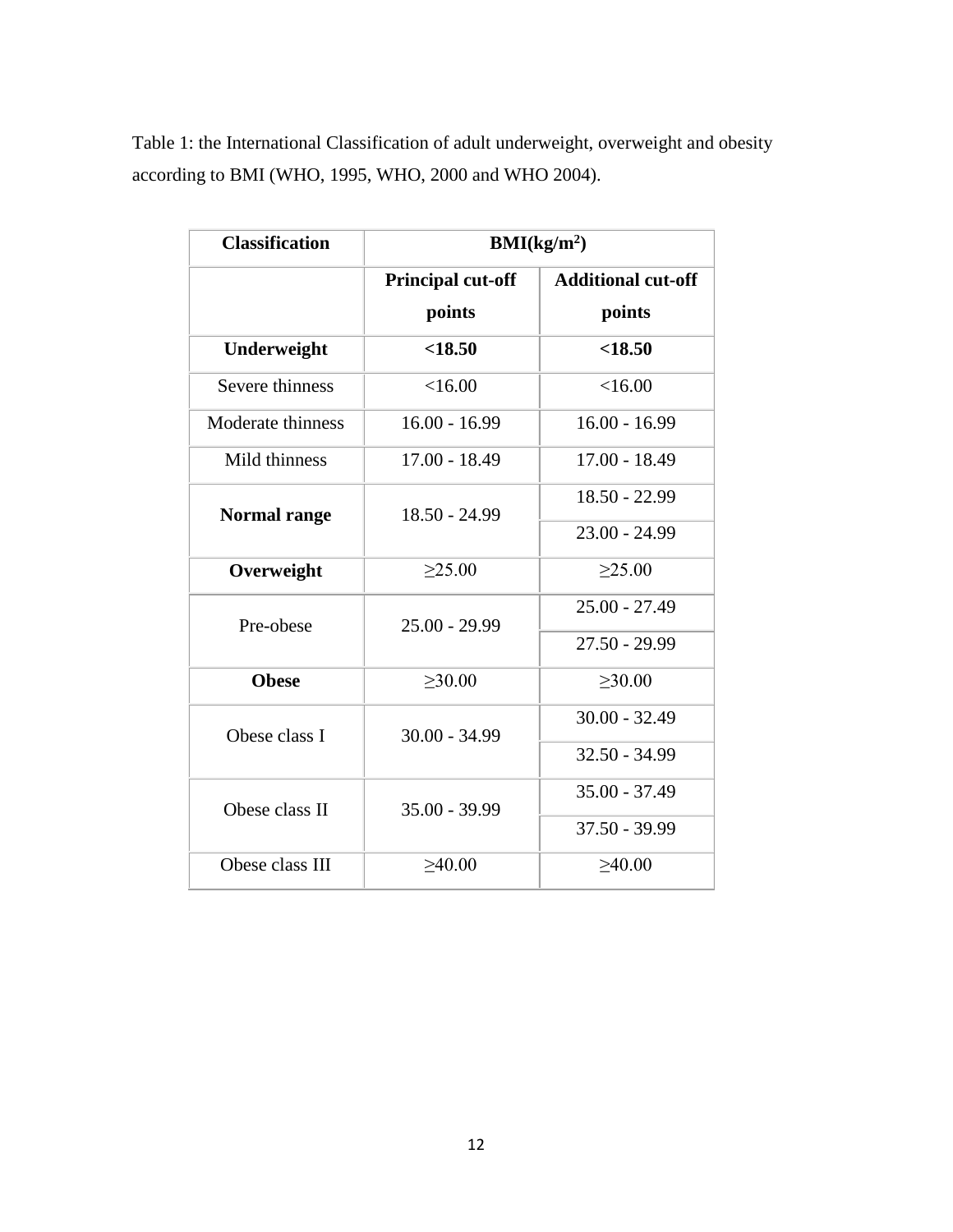| Table 1: the International Classification of adult underweight, overweight and obesity |
|----------------------------------------------------------------------------------------|
| according to BMI (WHO, 1995, WHO, 2000 and WHO 2004).                                  |

| <b>Classification</b> | BMI(kg/m <sup>2</sup> )  |                           |  |  |  |
|-----------------------|--------------------------|---------------------------|--|--|--|
|                       | <b>Principal cut-off</b> | <b>Additional cut-off</b> |  |  |  |
|                       | points                   | points                    |  |  |  |
| Underweight           | < 18.50                  | < 18.50                   |  |  |  |
| Severe thinness       | <16.00                   | <16.00                    |  |  |  |
| Moderate thinness     | $16.00 - 16.99$          | $16.00 - 16.99$           |  |  |  |
| Mild thinness         | $17.00 - 18.49$          | $17.00 - 18.49$           |  |  |  |
| <b>Normal range</b>   | 18.50 - 24.99            | $18.50 - 22.99$           |  |  |  |
|                       |                          | $23.00 - 24.99$           |  |  |  |
| Overweight            | >25.00                   | >25.00                    |  |  |  |
| Pre-obese             | $25.00 - 29.99$          | $25.00 - 27.49$           |  |  |  |
|                       |                          | $27.50 - 29.99$           |  |  |  |
| <b>Obese</b>          | >30.00                   | >30.00                    |  |  |  |
| Obese class I         | $30.00 - 34.99$          | $30.00 - 32.49$           |  |  |  |
|                       |                          | $32.50 - 34.99$           |  |  |  |
| Obese class II        | $35.00 - 39.99$          | $35.00 - 37.49$           |  |  |  |
|                       |                          | $37.50 - 39.99$           |  |  |  |
| Obese class III       | >40.00                   | >40.00                    |  |  |  |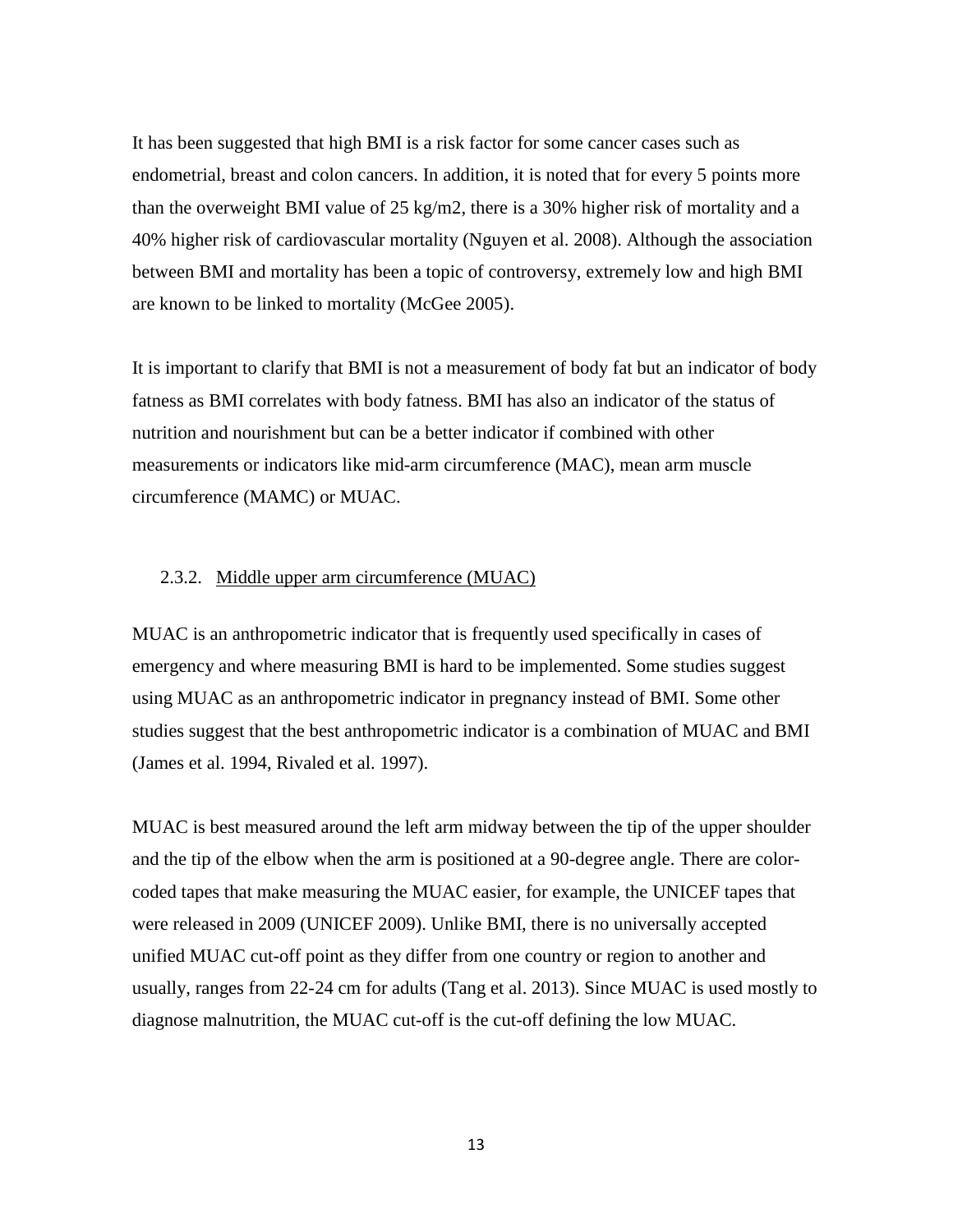It has been suggested that high BMI is a risk factor for some cancer cases such as endometrial, breast and colon cancers. In addition, it is noted that for every 5 points more than the overweight BMI value of 25 kg/m2, there is a 30% higher risk of mortality and a 40% higher risk of cardiovascular mortality (Nguyen et al. 2008). Although the association between BMI and mortality has been a topic of controversy, extremely low and high BMI are known to be linked to mortality (McGee 2005).

It is important to clarify that BMI is not a measurement of body fat but an indicator of body fatness as BMI correlates with body fatness. BMI has also an indicator of the status of nutrition and nourishment but can be a better indicator if combined with other measurements or indicators like mid-arm circumference (MAC), mean arm muscle circumference (MAMC) or MUAC.

## <span id="page-12-0"></span>2.3.2. Middle upper arm circumference (MUAC)

MUAC is an anthropometric indicator that is frequently used specifically in cases of emergency and where measuring BMI is hard to be implemented. Some studies suggest using MUAC as an anthropometric indicator in pregnancy instead of BMI. Some other studies suggest that the best anthropometric indicator is a combination of MUAC and BMI (James et al. 1994, Rivaled et al. 1997).

MUAC is best measured around the left arm midway between the tip of the upper shoulder and the tip of the elbow when the arm is positioned at a 90-degree angle. There are colorcoded tapes that make measuring the MUAC easier, for example, the UNICEF tapes that were released in 2009 (UNICEF 2009). Unlike BMI, there is no universally accepted unified MUAC cut-off point as they differ from one country or region to another and usually, ranges from 22-24 cm for adults (Tang et al. 2013). Since MUAC is used mostly to diagnose malnutrition, the MUAC cut-off is the cut-off defining the low MUAC.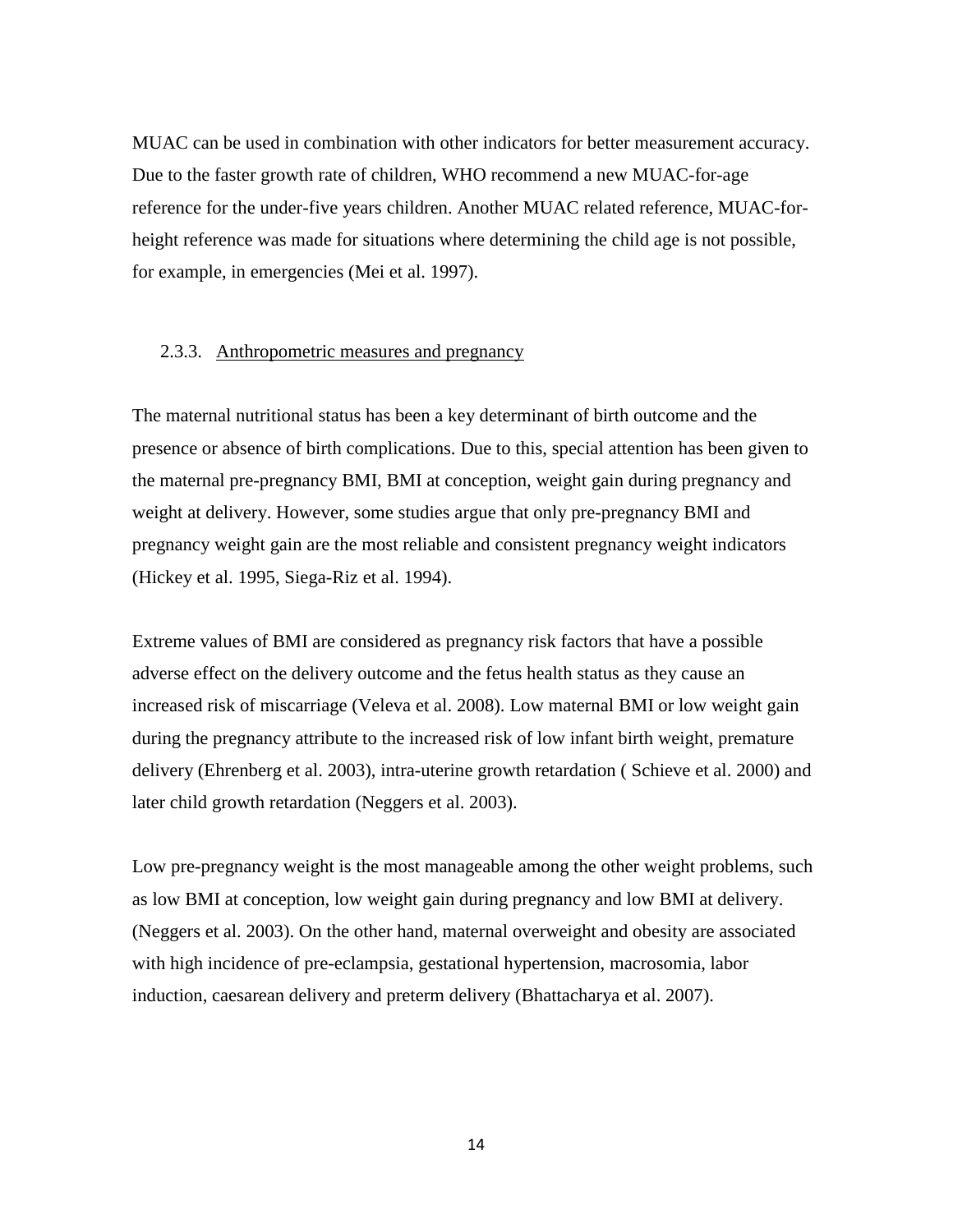MUAC can be used in combination with other indicators for better measurement accuracy. Due to the faster growth rate of children, WHO recommend a new MUAC-for-age reference for the under-five years children. Another MUAC related reference, MUAC-forheight reference was made for situations where determining the child age is not possible, for example, in emergencies (Mei et al. 1997).

### <span id="page-13-0"></span>2.3.3. Anthropometric measures and pregnancy

The maternal nutritional status has been a key determinant of birth outcome and the presence or absence of birth complications. Due to this, special attention has been given to the maternal pre-pregnancy BMI, BMI at conception, weight gain during pregnancy and weight at delivery. However, some studies argue that only pre-pregnancy BMI and pregnancy weight gain are the most reliable and consistent pregnancy weight indicators (Hickey et al. 1995, Siega-Riz et al. 1994).

Extreme values of BMI are considered as pregnancy risk factors that have a possible adverse effect on the delivery outcome and the fetus health status as they cause an increased risk of miscarriage (Veleva et al. 2008). Low maternal BMI or low weight gain during the pregnancy attribute to the increased risk of low infant birth weight, premature delivery (Ehrenberg et al. 2003), intra-uterine growth retardation ( Schieve et al. 2000) and later child growth retardation (Neggers et al. 2003).

Low pre-pregnancy weight is the most manageable among the other weight problems, such as low BMI at conception, low weight gain during pregnancy and low BMI at delivery. (Neggers et al. 2003). On the other hand, maternal overweight and obesity are associated with high incidence of pre-eclampsia, gestational hypertension, macrosomia, labor induction, caesarean delivery and preterm delivery (Bhattacharya et al. 2007).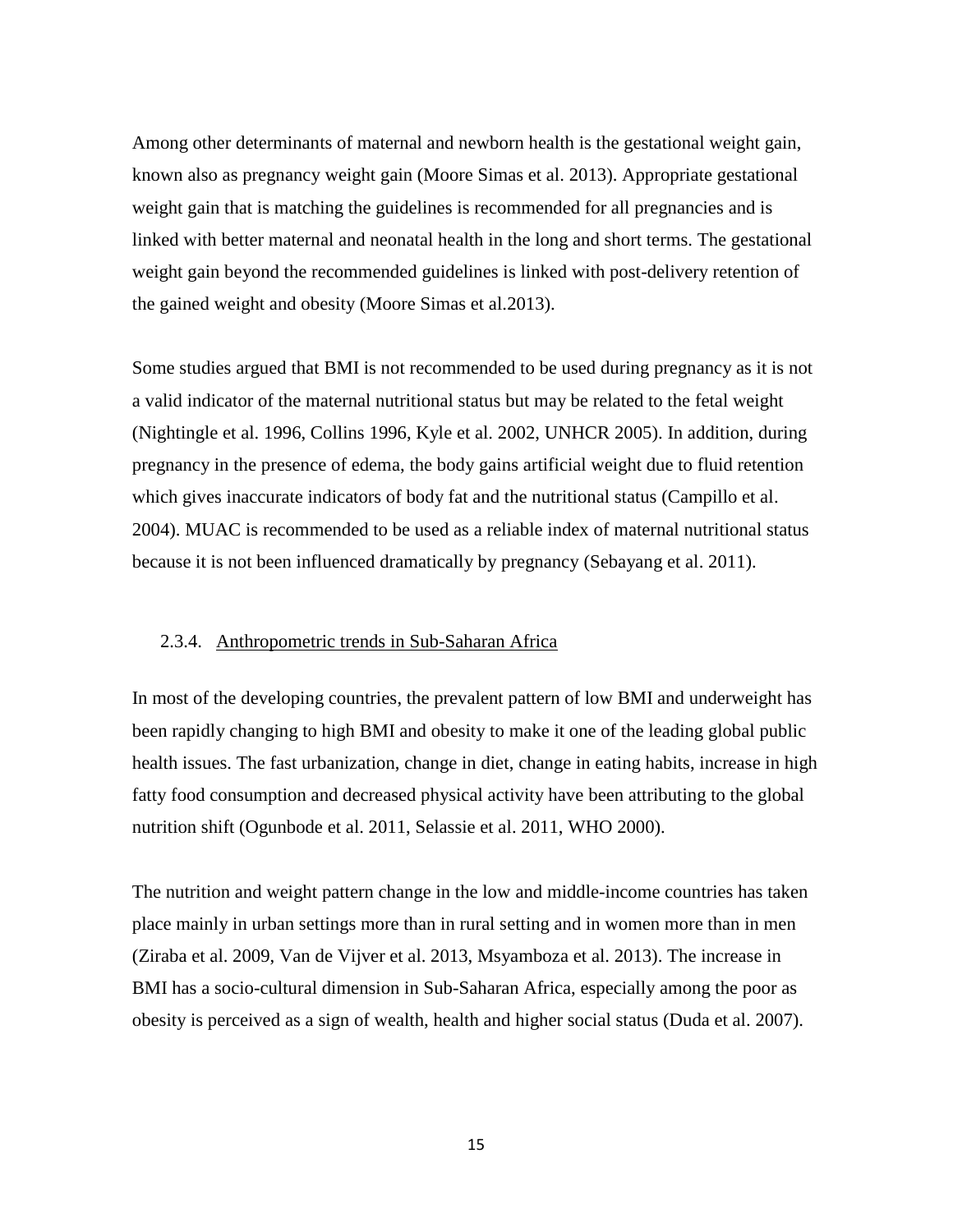Among other determinants of maternal and newborn health is the gestational weight gain, known also as pregnancy weight gain (Moore Simas et al. 2013). Appropriate gestational weight gain that is matching the guidelines is recommended for all pregnancies and is linked with better maternal and neonatal health in the long and short terms. The gestational weight gain beyond the recommended guidelines is linked with post-delivery retention of the gained weight and obesity (Moore Simas et al.2013).

Some studies argued that BMI is not recommended to be used during pregnancy as it is not a valid indicator of the maternal nutritional status but may be related to the fetal weight (Nightingle et al. 1996, Collins 1996, Kyle et al. 2002, UNHCR 2005). In addition, during pregnancy in the presence of edema, the body gains artificial weight due to fluid retention which gives inaccurate indicators of body fat and the nutritional status (Campillo et al. 2004). MUAC is recommended to be used as a reliable index of maternal nutritional status because it is not been influenced dramatically by pregnancy (Sebayang et al. 2011).

## <span id="page-14-0"></span>2.3.4. Anthropometric trends in Sub-Saharan Africa

In most of the developing countries, the prevalent pattern of low BMI and underweight has been rapidly changing to high BMI and obesity to make it one of the leading global public health issues. The fast urbanization, change in diet, change in eating habits, increase in high fatty food consumption and decreased physical activity have been attributing to the global nutrition shift (Ogunbode et al. 2011, Selassie et al. 2011, WHO 2000).

The nutrition and weight pattern change in the low and middle-income countries has taken place mainly in urban settings more than in rural setting and in women more than in men (Ziraba et al. 2009, Van de Vijver et al. 2013, Msyamboza et al. 2013). The increase in BMI has a socio-cultural dimension in Sub-Saharan Africa, especially among the poor as obesity is perceived as a sign of wealth, health and higher social status (Duda et al. 2007).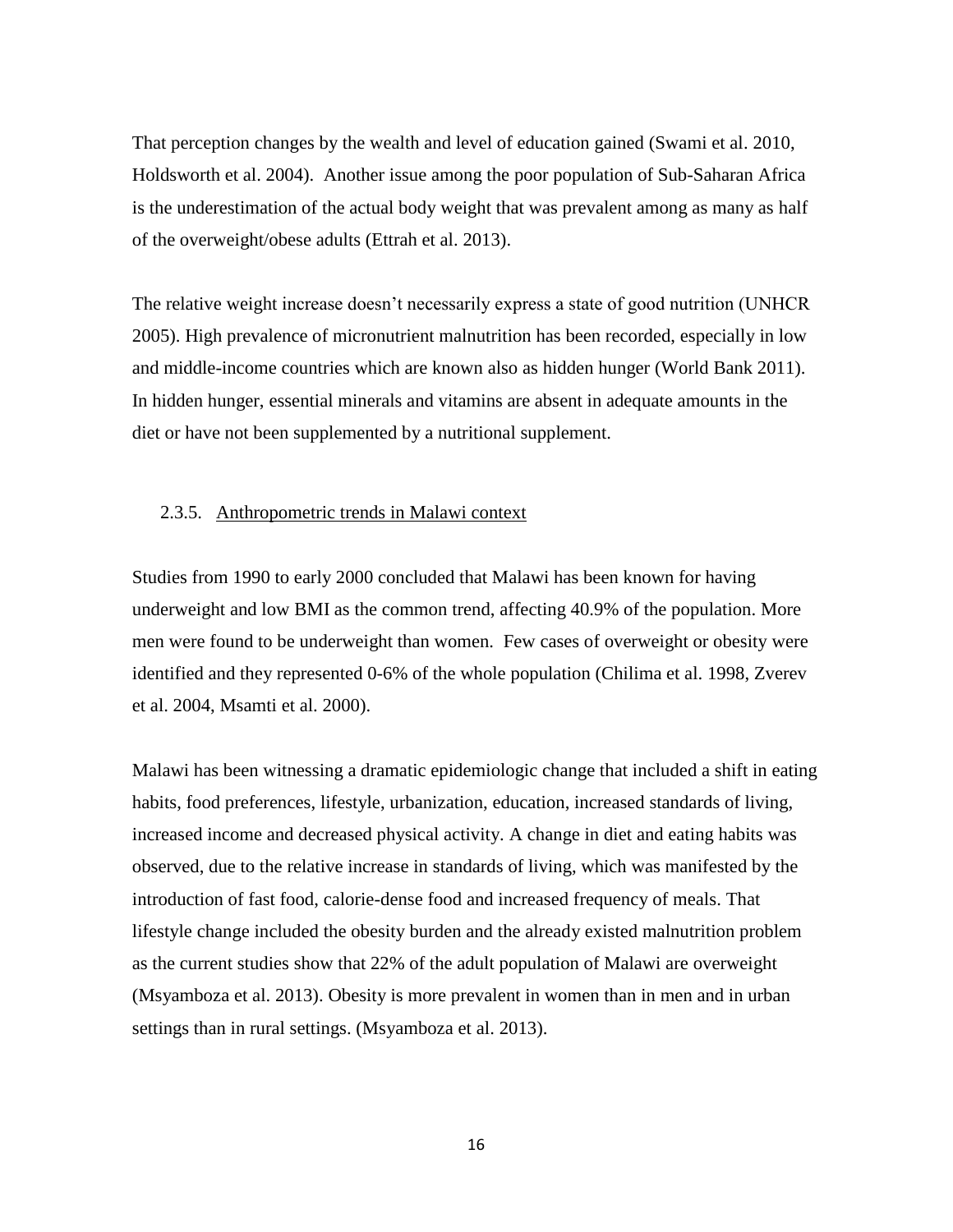That perception changes by the wealth and level of education gained (Swami et al. 2010, Holdsworth et al. 2004). Another issue among the poor population of Sub-Saharan Africa is the underestimation of the actual body weight that was prevalent among as many as half of the overweight/obese adults (Ettrah et al. 2013).

The relative weight increase doesn't necessarily express a state of good nutrition (UNHCR 2005). High prevalence of micronutrient malnutrition has been recorded, especially in low and middle-income countries which are known also as hidden hunger (World Bank 2011). In hidden hunger, essential minerals and vitamins are absent in adequate amounts in the diet or have not been supplemented by a nutritional supplement.

## <span id="page-15-0"></span>2.3.5. Anthropometric trends in Malawi context

Studies from 1990 to early 2000 concluded that Malawi has been known for having underweight and low BMI as the common trend, affecting 40.9% of the population. More men were found to be underweight than women. Few cases of overweight or obesity were identified and they represented 0-6% of the whole population (Chilima et al. 1998, Zverev et al. 2004, Msamti et al. 2000).

Malawi has been witnessing a dramatic epidemiologic change that included a shift in eating habits, food preferences, lifestyle, urbanization, education, increased standards of living, increased income and decreased physical activity. A change in diet and eating habits was observed, due to the relative increase in standards of living, which was manifested by the introduction of fast food, calorie-dense food and increased frequency of meals. That lifestyle change included the obesity burden and the already existed malnutrition problem as the current studies show that 22% of the adult population of Malawi are overweight (Msyamboza et al. 2013). Obesity is more prevalent in women than in men and in urban settings than in rural settings. (Msyamboza et al. 2013).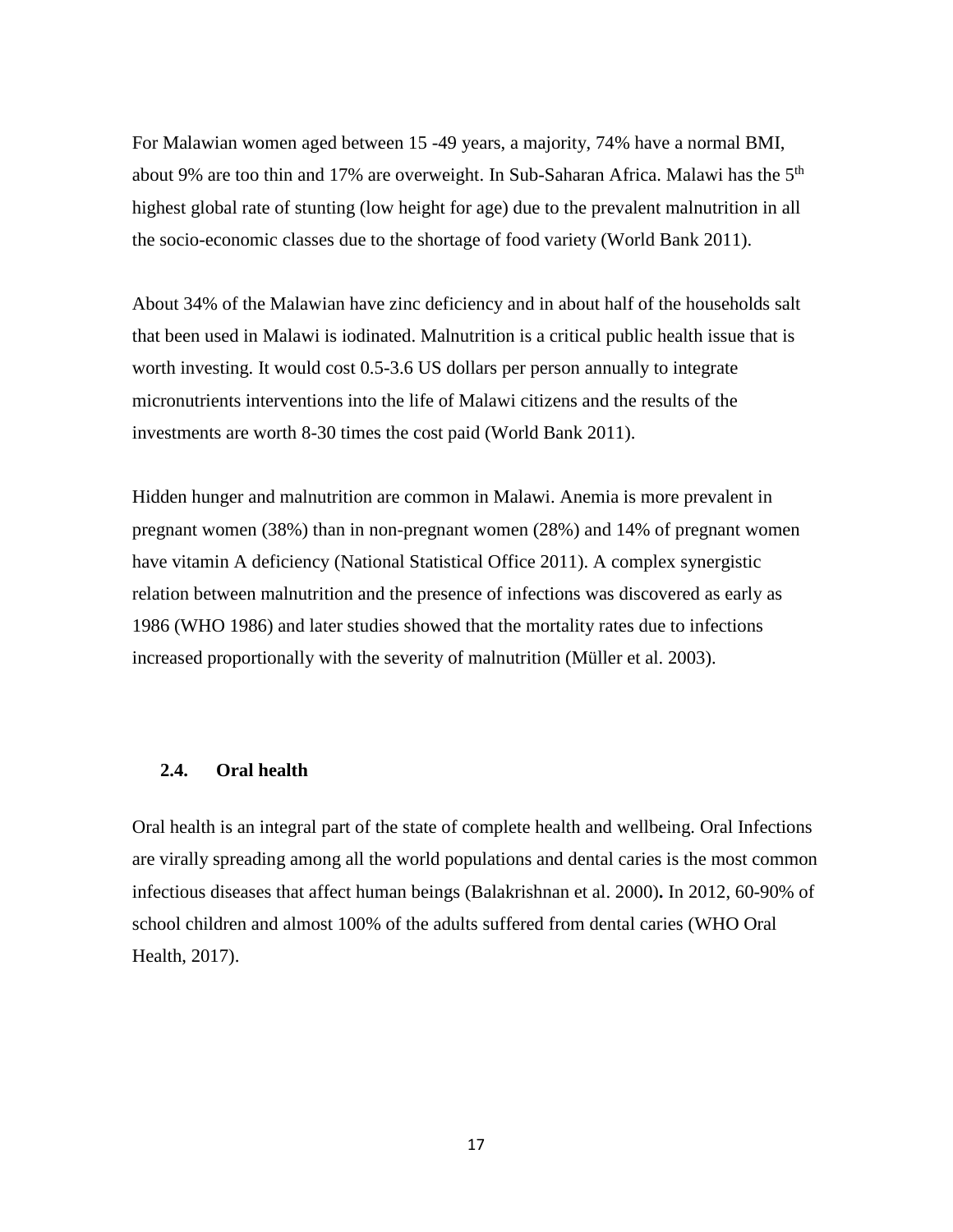For Malawian women aged between 15 -49 years, a majority, 74% have a normal BMI, about 9% are too thin and 17% are overweight. In Sub-Saharan Africa. Malawi has the 5<sup>th</sup> highest global rate of stunting (low height for age) due to the prevalent malnutrition in all the socio-economic classes due to the shortage of food variety (World Bank 2011).

About 34% of the Malawian have zinc deficiency and in about half of the households salt that been used in Malawi is iodinated. Malnutrition is a critical public health issue that is worth investing. It would cost 0.5-3.6 US dollars per person annually to integrate micronutrients interventions into the life of Malawi citizens and the results of the investments are worth 8-30 times the cost paid (World Bank 2011).

Hidden hunger and malnutrition are common in Malawi. Anemia is more prevalent in pregnant women (38%) than in non-pregnant women (28%) and 14% of pregnant women have vitamin A deficiency (National Statistical Office 2011). A complex synergistic relation between malnutrition and the presence of infections was discovered as early as 1986 (WHO 1986) and later studies showed that the mortality rates due to infections increased proportionally with the severity of malnutrition (Müller et al. 2003).

## <span id="page-16-0"></span>**2.4. Oral health**

Oral health is an integral part of the state of complete health and wellbeing. Oral Infections are virally spreading among all the world populations and dental caries is the most common infectious diseases that affect human beings (Balakrishnan et al. 2000)**.** In 2012, 60-90% of school children and almost 100% of the adults suffered from dental caries (WHO Oral Health, 2017).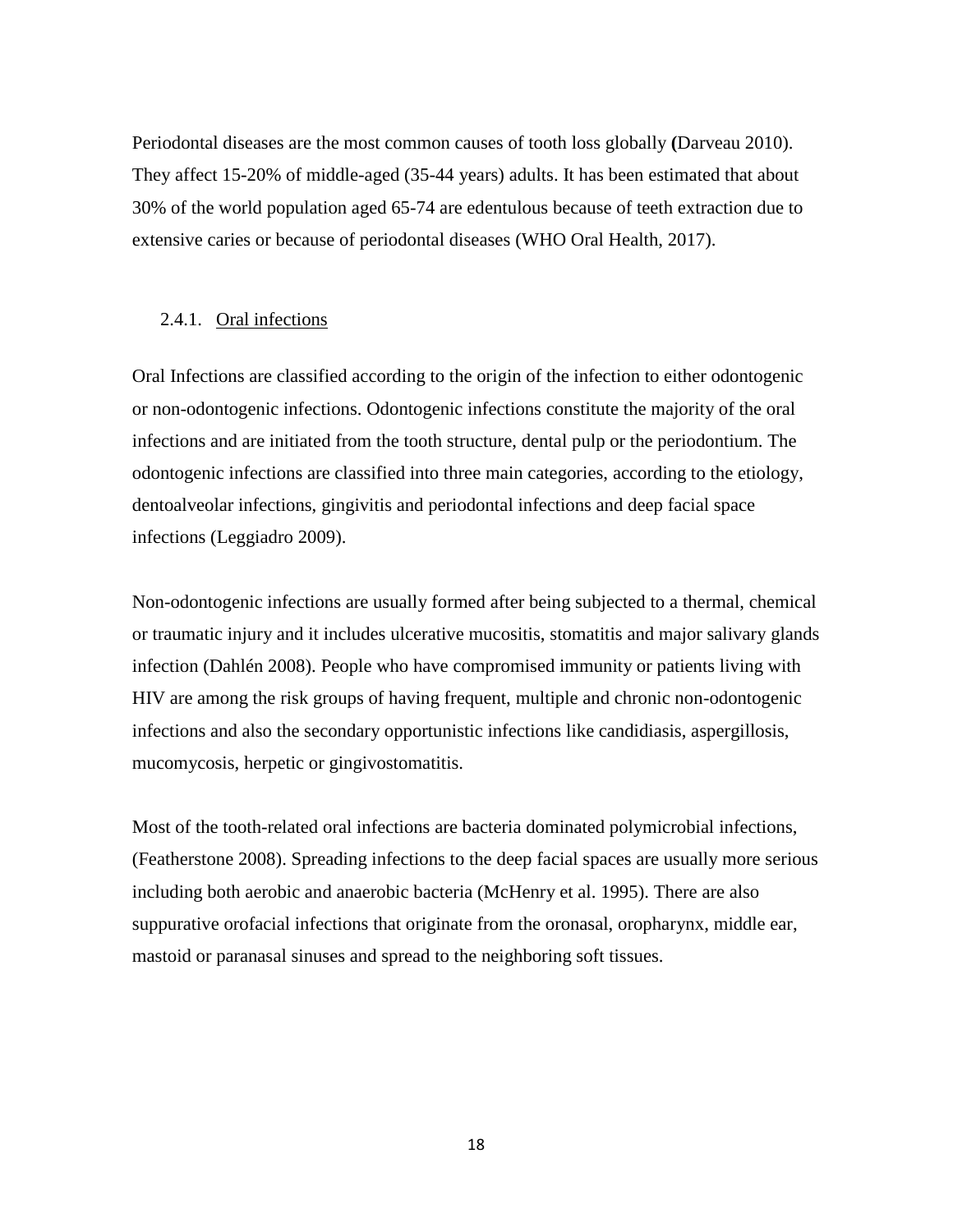Periodontal diseases are the most common causes of tooth loss globally **(**Darveau 2010). They affect 15-20% of middle-aged (35-44 years) adults. It has been estimated that about 30% of the world population aged 65-74 are edentulous because of teeth extraction due to extensive caries or because of periodontal diseases (WHO Oral Health, 2017).

#### <span id="page-17-0"></span>2.4.1. Oral infections

Oral Infections are classified according to the origin of the infection to either odontogenic or non-odontogenic infections. Odontogenic infections constitute the majority of the oral infections and are initiated from the tooth structure, dental pulp or the periodontium. The odontogenic infections are classified into three main categories, according to the etiology, dentoalveolar infections, gingivitis and periodontal infections and deep facial space infections (Leggiadro 2009).

Non-odontogenic infections are usually formed after being subjected to a thermal, chemical or traumatic injury and it includes ulcerative mucositis, stomatitis and major salivary glands infection (Dahlén 2008). People who have compromised immunity or patients living with HIV are among the risk groups of having frequent, multiple and chronic non-odontogenic infections and also the secondary opportunistic infections like candidiasis, aspergillosis, mucomycosis, herpetic or gingivostomatitis.

Most of the tooth-related oral infections are bacteria dominated polymicrobial infections, (Featherstone 2008). Spreading infections to the deep facial spaces are usually more serious including both aerobic and anaerobic bacteria (McHenry et al. 1995). There are also suppurative orofacial infections that originate from the oronasal, oropharynx, middle ear, mastoid or paranasal sinuses and spread to the neighboring soft tissues.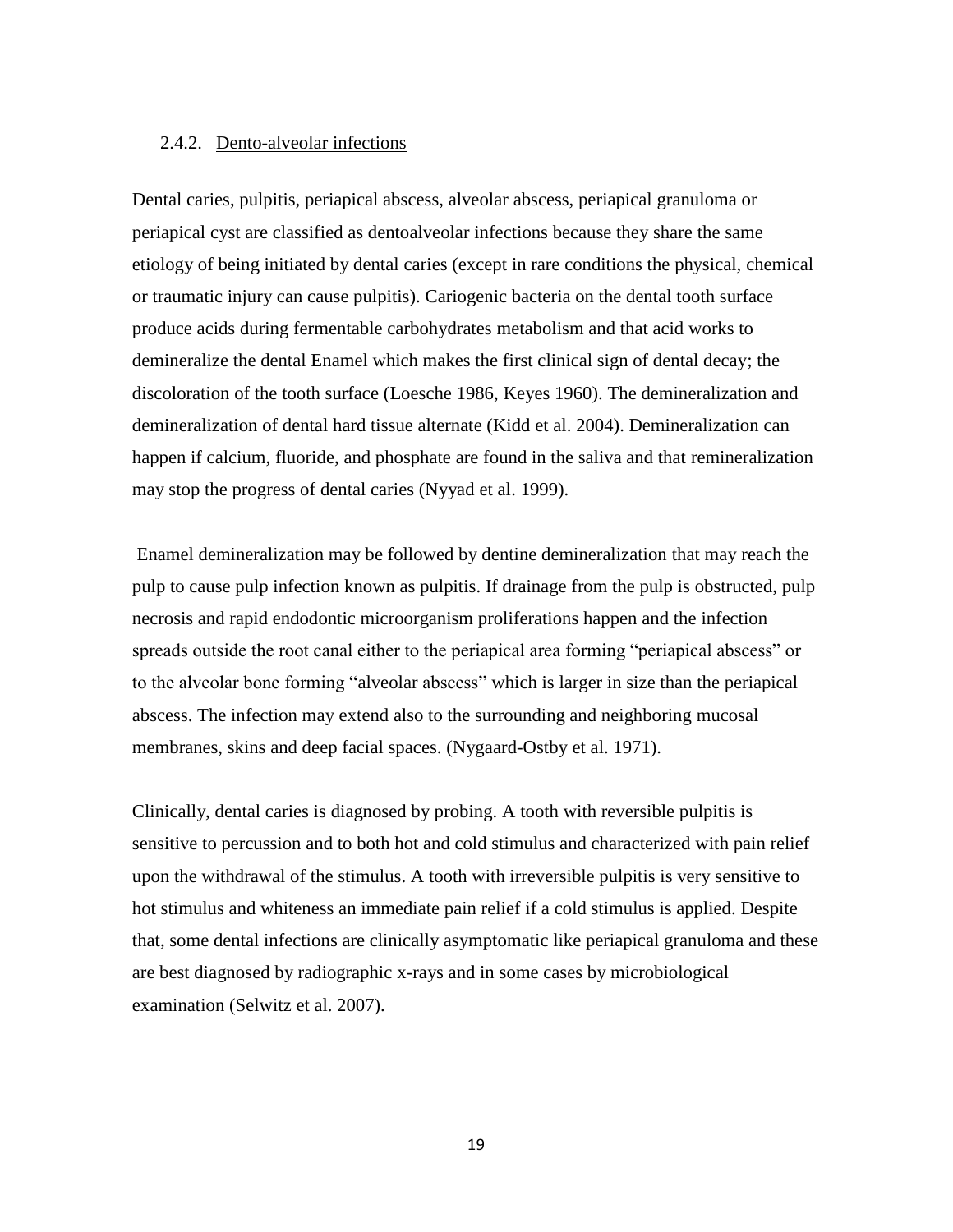## <span id="page-18-0"></span>2.4.2. Dento-alveolar infections

Dental caries, pulpitis, periapical abscess, alveolar abscess, periapical granuloma or periapical cyst are classified as dentoalveolar infections because they share the same etiology of being initiated by dental caries (except in rare conditions the physical, chemical or traumatic injury can cause pulpitis). Cariogenic bacteria on the dental tooth surface produce acids during fermentable carbohydrates metabolism and that acid works to demineralize the dental Enamel which makes the first clinical sign of dental decay; the discoloration of the tooth surface (Loesche 1986, Keyes 1960). The demineralization and demineralization of dental hard tissue alternate (Kidd et al. 2004). Demineralization can happen if calcium, fluoride, and phosphate are found in the saliva and that remineralization may stop the progress of dental caries (Nyyad et al. 1999).

Enamel demineralization may be followed by dentine demineralization that may reach the pulp to cause pulp infection known as pulpitis. If drainage from the pulp is obstructed, pulp necrosis and rapid endodontic microorganism proliferations happen and the infection spreads outside the root canal either to the periapical area forming "periapical abscess" or to the alveolar bone forming "alveolar abscess" which is larger in size than the periapical abscess. The infection may extend also to the surrounding and neighboring mucosal membranes, skins and deep facial spaces. (Nygaard-Ostby et al. 1971).

Clinically, dental caries is diagnosed by probing. A tooth with reversible pulpitis is sensitive to percussion and to both hot and cold stimulus and characterized with pain relief upon the withdrawal of the stimulus. A tooth with irreversible pulpitis is very sensitive to hot stimulus and whiteness an immediate pain relief if a cold stimulus is applied. Despite that, some dental infections are clinically asymptomatic like periapical granuloma and these are best diagnosed by radiographic x-rays and in some cases by microbiological examination (Selwitz et al. 2007).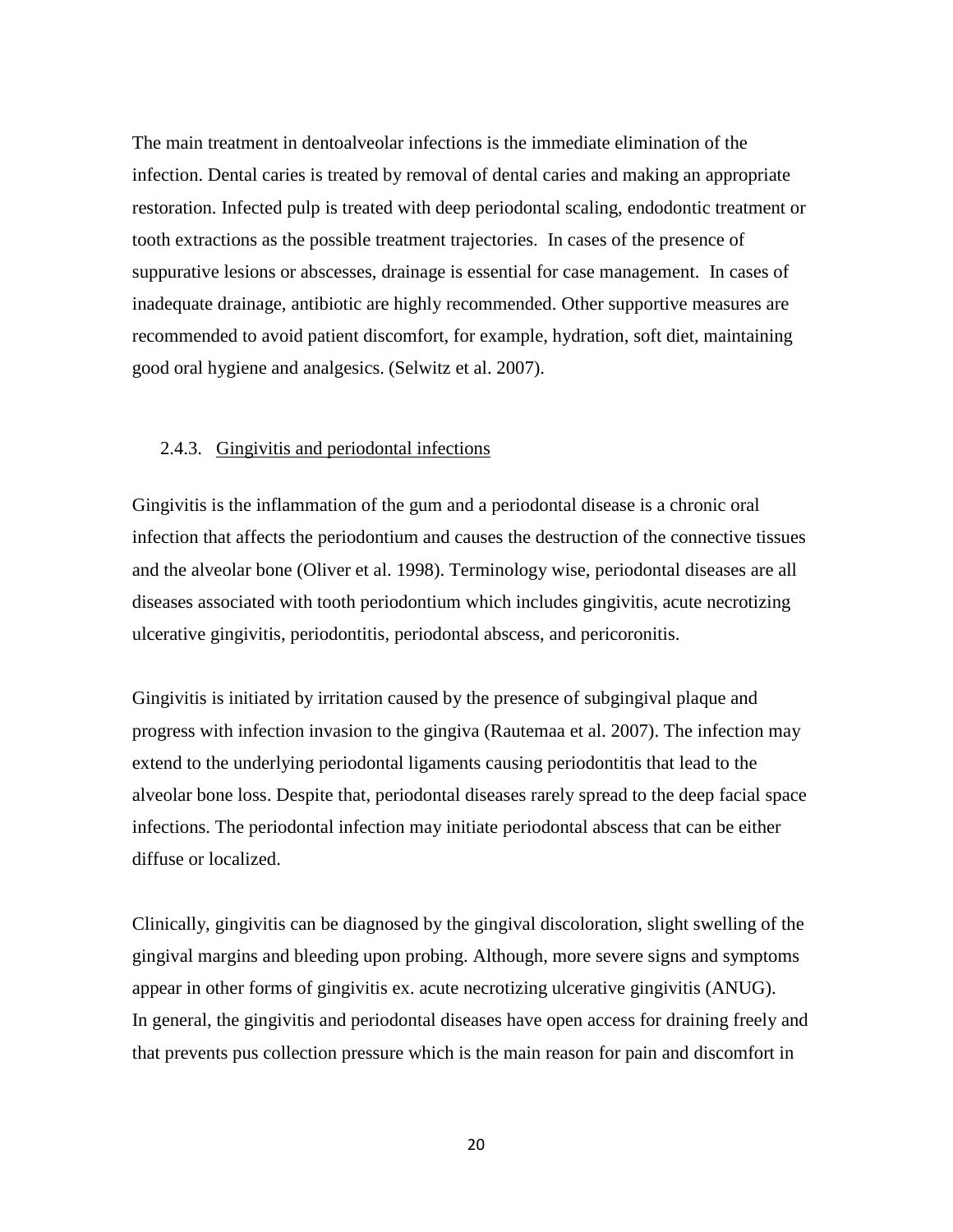The main treatment in dentoalveolar infections is the immediate elimination of the infection. Dental caries is treated by removal of dental caries and making an appropriate restoration. Infected pulp is treated with deep periodontal scaling, endodontic treatment or tooth extractions as the possible treatment trajectories. In cases of the presence of suppurative lesions or abscesses, drainage is essential for case management. In cases of inadequate drainage, antibiotic are highly recommended. Other supportive measures are recommended to avoid patient discomfort, for example, hydration, soft diet, maintaining good oral hygiene and analgesics. (Selwitz et al. 2007).

## <span id="page-19-0"></span>2.4.3. Gingivitis and periodontal infections

Gingivitis is the inflammation of the gum and a periodontal disease is a chronic oral infection that affects the periodontium and causes the destruction of the connective tissues and the alveolar bone (Oliver et al. 1998). Terminology wise, periodontal diseases are all diseases associated with tooth periodontium which includes gingivitis, acute necrotizing ulcerative gingivitis, periodontitis, periodontal abscess, and pericoronitis.

Gingivitis is initiated by irritation caused by the presence of subgingival plaque and progress with infection invasion to the gingiva (Rautemaa et al. 2007). The infection may extend to the underlying periodontal ligaments causing periodontitis that lead to the alveolar bone loss. Despite that, periodontal diseases rarely spread to the deep facial space infections. The periodontal infection may initiate periodontal abscess that can be either diffuse or localized.

Clinically, gingivitis can be diagnosed by the gingival discoloration, slight swelling of the gingival margins and bleeding upon probing. Although, more severe signs and symptoms appear in other forms of gingivitis ex. acute necrotizing ulcerative gingivitis (ANUG). In general, the gingivitis and periodontal diseases have open access for draining freely and that prevents pus collection pressure which is the main reason for pain and discomfort in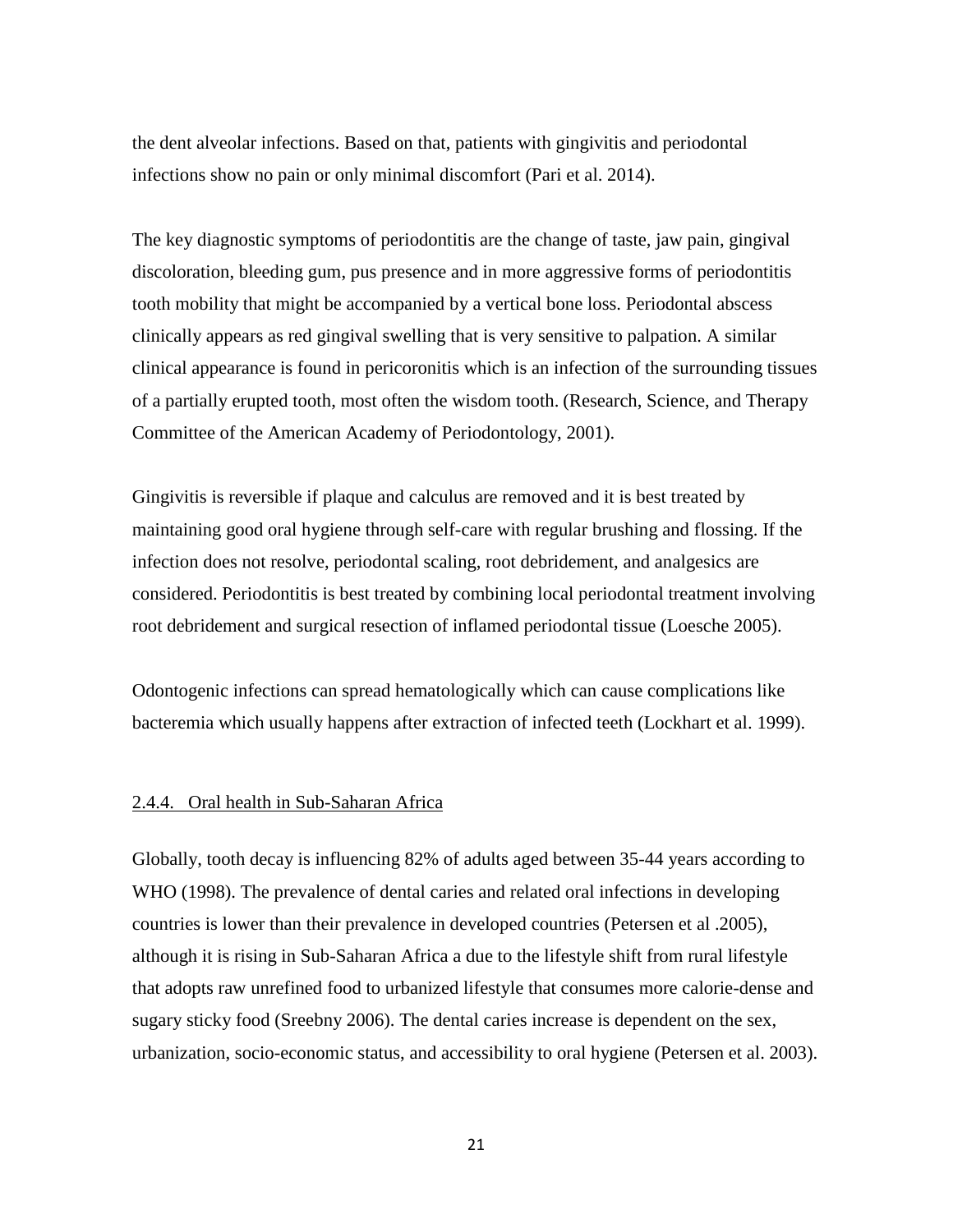the dent alveolar infections. Based on that, patients with gingivitis and periodontal infections show no pain or only minimal discomfort (Pari et al. 2014).

The key diagnostic symptoms of periodontitis are the change of taste, jaw pain, gingival discoloration, bleeding gum, pus presence and in more aggressive forms of periodontitis tooth mobility that might be accompanied by a vertical bone loss. Periodontal abscess clinically appears as red gingival swelling that is very sensitive to palpation. A similar clinical appearance is found in pericoronitis which is an infection of the surrounding tissues of a partially erupted tooth, most often the wisdom tooth. (Research, Science, and Therapy Committee of the American Academy of Periodontology, 2001).

Gingivitis is reversible if plaque and calculus are removed and it is best treated by maintaining good oral hygiene through self-care with regular brushing and flossing. If the infection does not resolve, periodontal scaling, root debridement, and analgesics are considered. Periodontitis is best treated by combining local periodontal treatment involving root debridement and surgical resection of inflamed periodontal tissue (Loesche 2005).

Odontogenic infections can spread hematologically which can cause complications like bacteremia which usually happens after extraction of infected teeth (Lockhart et al. 1999).

## <span id="page-20-0"></span>2.4.4. Oral health in Sub-Saharan Africa

Globally, tooth decay is influencing 82% of adults aged between 35-44 years according to WHO (1998). The prevalence of dental caries and related oral infections in developing countries is lower than their prevalence in developed countries (Petersen et al .2005), although it is rising in Sub-Saharan Africa a due to the lifestyle shift from rural lifestyle that adopts raw unrefined food to urbanized lifestyle that consumes more calorie-dense and sugary sticky food (Sreebny 2006). The dental caries increase is dependent on the sex, urbanization, socio-economic status, and accessibility to oral hygiene (Petersen et al. 2003).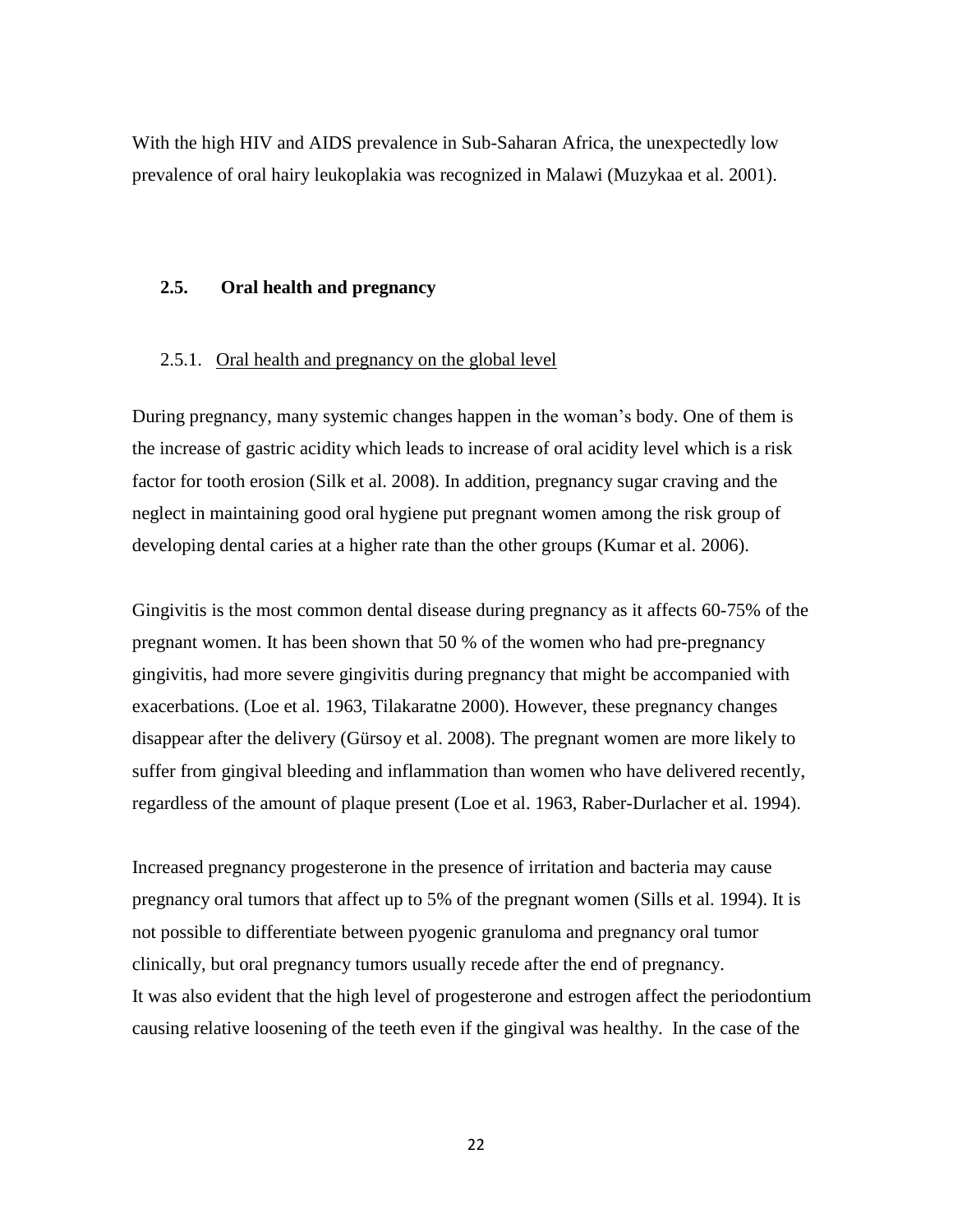With the high HIV and AIDS prevalence in Sub-Saharan Africa, the unexpectedly low prevalence of oral hairy leukoplakia was recognized in Malawi (Muzykaa et al. 2001).

## <span id="page-21-0"></span>**2.5. Oral health and pregnancy**

## <span id="page-21-1"></span>2.5.1. Oral health and pregnancy on the global level

During pregnancy, many systemic changes happen in the woman's body. One of them is the increase of gastric acidity which leads to increase of oral acidity level which is a risk factor for tooth erosion (Silk et al. 2008). In addition, pregnancy sugar craving and the neglect in maintaining good oral hygiene put pregnant women among the risk group of developing dental caries at a higher rate than the other groups (Kumar et al. 2006).

Gingivitis is the most common dental disease during pregnancy as it affects 60-75% of the pregnant women. It has been shown that 50 % of the women who had pre-pregnancy gingivitis, had more severe gingivitis during pregnancy that might be accompanied with exacerbations. (Loe et al. 1963, Tilakaratne 2000). However, these pregnancy changes disappear after the delivery (Gürsoy et al. 2008). The pregnant women are more likely to suffer from gingival bleeding and inflammation than women who have delivered recently, regardless of the amount of plaque present (Loe et al. 1963, Raber-Durlacher et al. 1994).

Increased pregnancy progesterone in the presence of irritation and bacteria may cause pregnancy oral tumors that affect up to 5% of the pregnant women (Sills et al. 1994). It is not possible to differentiate between pyogenic granuloma and pregnancy oral tumor clinically, but oral pregnancy tumors usually recede after the end of pregnancy. It was also evident that the high level of progesterone and estrogen affect the periodontium causing relative loosening of the teeth even if the gingival was healthy. In the case of the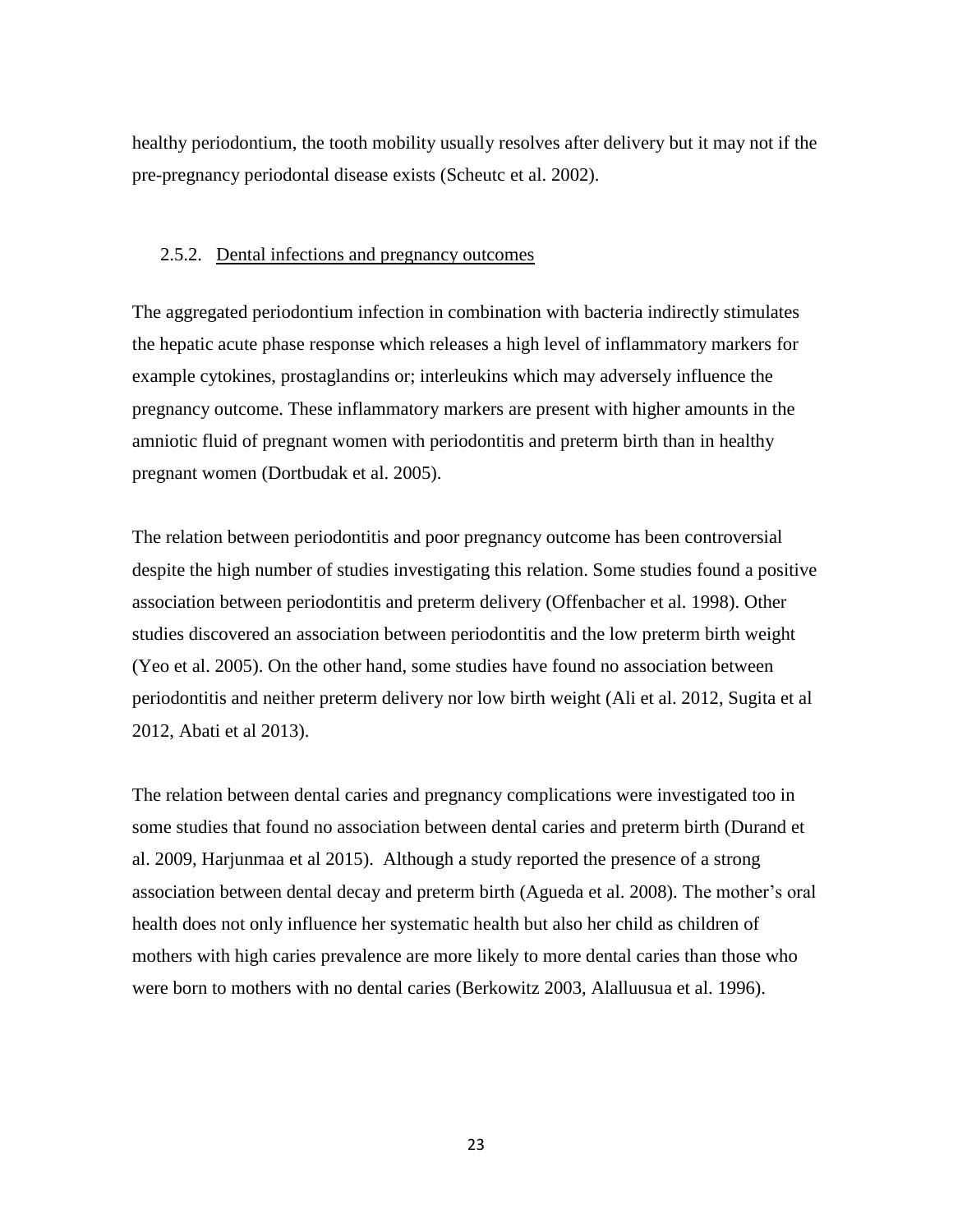healthy periodontium, the tooth mobility usually resolves after delivery but it may not if the pre-pregnancy periodontal disease exists (Scheutc et al. 2002).

### <span id="page-22-0"></span>2.5.2. Dental infections and pregnancy outcomes

The aggregated periodontium infection in combination with bacteria indirectly stimulates the hepatic acute phase response which releases a high level of inflammatory markers for example cytokines, prostaglandins or; interleukins which may adversely influence the pregnancy outcome. These inflammatory markers are present with higher amounts in the amniotic fluid of pregnant women with periodontitis and preterm birth than in healthy pregnant women (Dortbudak et al. 2005).

The relation between periodontitis and poor pregnancy outcome has been controversial despite the high number of studies investigating this relation. Some studies found a positive association between periodontitis and preterm delivery (Offenbacher et al. 1998). Other studies discovered an association between periodontitis and the low preterm birth weight (Yeo et al. 2005). On the other hand, some studies have found no association between periodontitis and neither preterm delivery nor low birth weight (Ali et al. 2012, Sugita et al 2012, Abati et al 2013).

The relation between dental caries and pregnancy complications were investigated too in some studies that found no association between dental caries and preterm birth (Durand et al. 2009, Harjunmaa et al 2015). Although a study reported the presence of a strong association between dental decay and preterm birth (Agueda et al. 2008). The mother's oral health does not only influence her systematic health but also her child as children of mothers with high caries prevalence are more likely to more dental caries than those who were born to mothers with no dental caries (Berkowitz 2003, Alalluusua et al. 1996).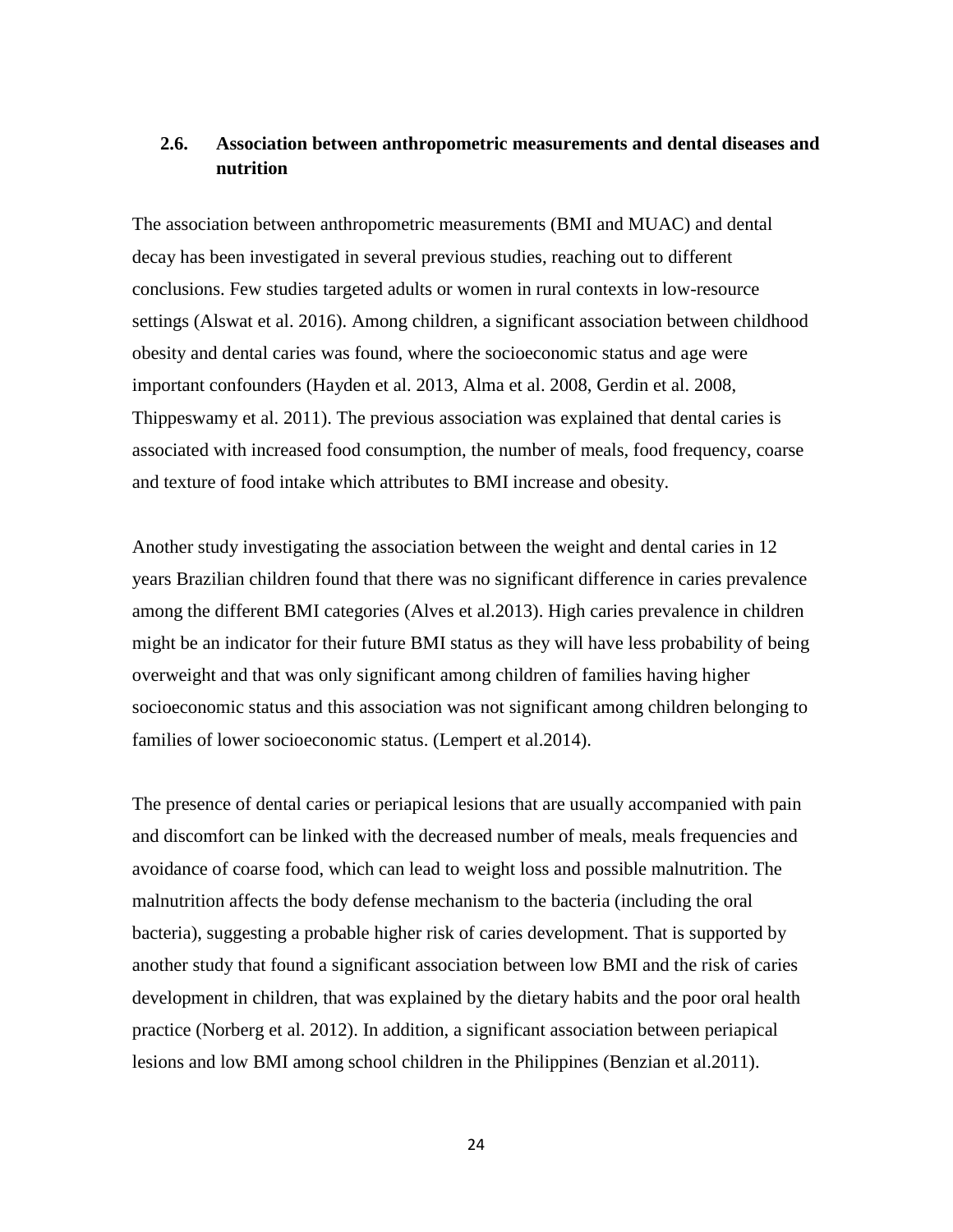## <span id="page-23-0"></span>**2.6. Association between anthropometric measurements and dental diseases and nutrition**

The association between anthropometric measurements (BMI and MUAC) and dental decay has been investigated in several previous studies, reaching out to different conclusions. Few studies targeted adults or women in rural contexts in low-resource settings (Alswat et al. 2016). Among children, a significant association between childhood obesity and dental caries was found, where the socioeconomic status and age were important confounders (Hayden et al. 2013, Alma et al. 2008, Gerdin et al. 2008, Thippeswamy et al. 2011). The previous association was explained that dental caries is associated with increased food consumption, the number of meals, food frequency, coarse and texture of food intake which attributes to BMI increase and obesity.

Another study investigating the association between the weight and dental caries in 12 years Brazilian children found that there was no significant difference in caries prevalence among the different BMI categories (Alves et al.2013). High caries prevalence in children might be an indicator for their future BMI status as they will have less probability of being overweight and that was only significant among children of families having higher socioeconomic status and this association was not significant among children belonging to families of lower socioeconomic status. (Lempert et al.2014).

The presence of dental caries or periapical lesions that are usually accompanied with pain and discomfort can be linked with the decreased number of meals, meals frequencies and avoidance of coarse food, which can lead to weight loss and possible malnutrition. The malnutrition affects the body defense mechanism to the bacteria (including the oral bacteria), suggesting a probable higher risk of caries development. That is supported by another study that found a significant association between low BMI and the risk of caries development in children, that was explained by the dietary habits and the poor oral health practice (Norberg et al. 2012). In addition, a significant association between periapical lesions and low BMI among school children in the Philippines (Benzian et al.2011).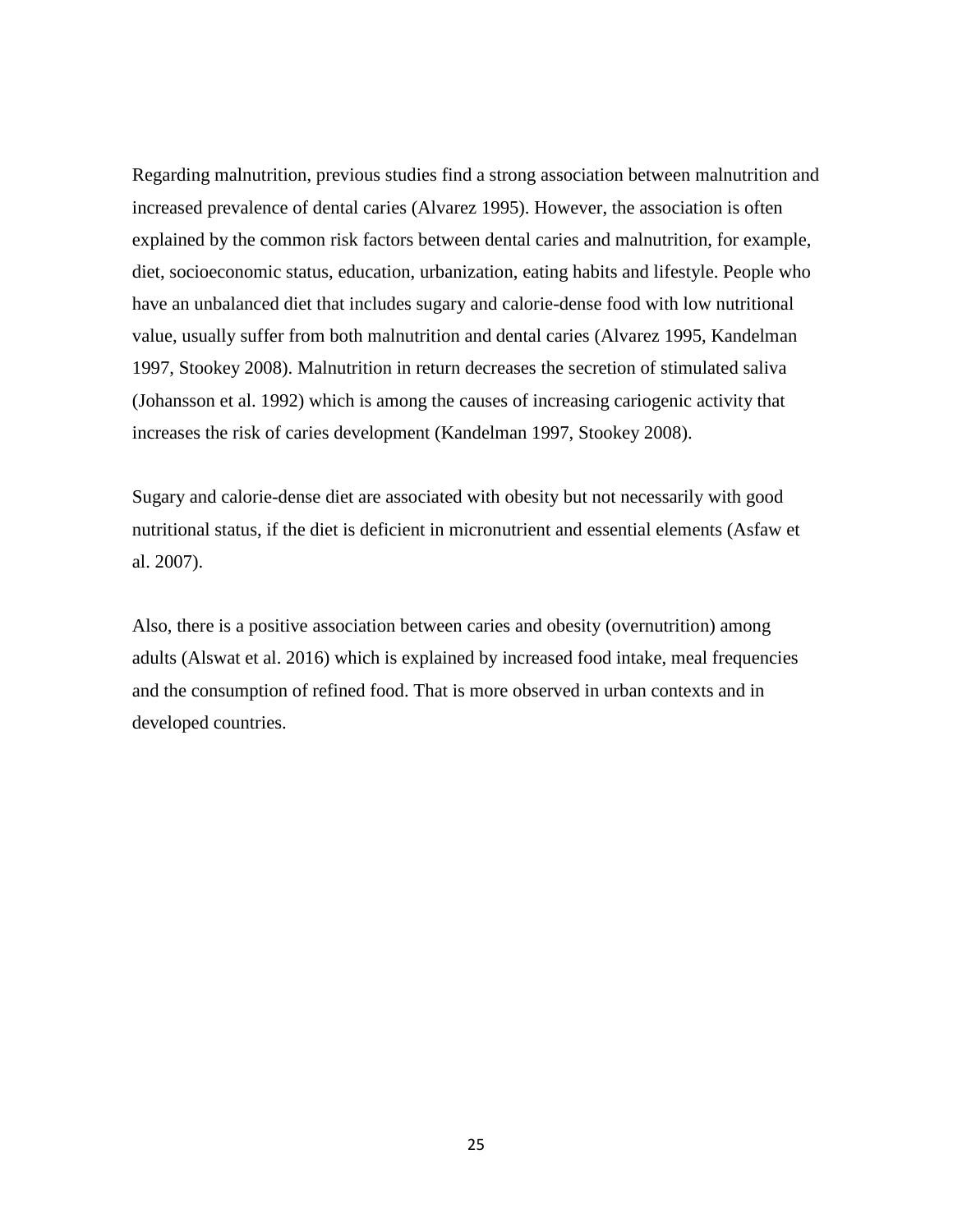Regarding malnutrition, previous studies find a strong association between malnutrition and increased prevalence of dental caries (Alvarez 1995). However, the association is often explained by the common risk factors between dental caries and malnutrition, for example, diet, socioeconomic status, education, urbanization, eating habits and lifestyle. People who have an unbalanced diet that includes sugary and calorie-dense food with low nutritional value, usually suffer from both malnutrition and dental caries (Alvarez 1995, Kandelman 1997, Stookey 2008). Malnutrition in return decreases the secretion of stimulated saliva (Johansson et al. 1992) which is among the causes of increasing cariogenic activity that increases the risk of caries development (Kandelman 1997, Stookey 2008).

Sugary and calorie-dense diet are associated with obesity but not necessarily with good nutritional status, if the diet is deficient in micronutrient and essential elements (Asfaw et al. 2007).

Also, there is a positive association between caries and obesity (overnutrition) among adults (Alswat et al. 2016) which is explained by increased food intake, meal frequencies and the consumption of refined food. That is more observed in urban contexts and in developed countries.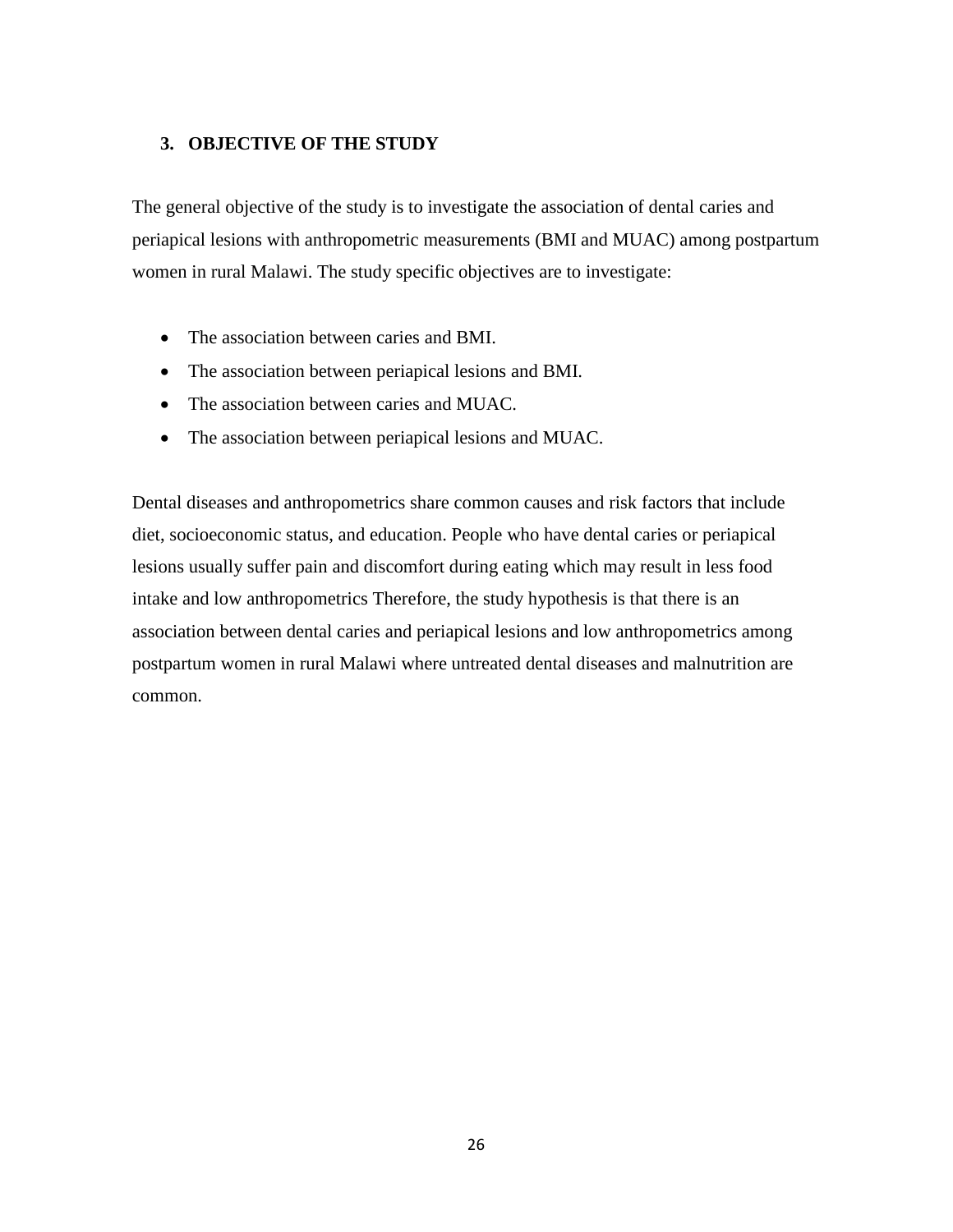## <span id="page-25-0"></span>**3. OBJECTIVE OF THE STUDY**

The general objective of the study is to investigate the association of dental caries and periapical lesions with anthropometric measurements (BMI and MUAC) among postpartum women in rural Malawi. The study specific objectives are to investigate:

- The association between caries and BMI.
- The association between periapical lesions and BMI.
- The association between caries and MUAC.
- The association between periapical lesions and MUAC.

Dental diseases and anthropometrics share common causes and risk factors that include diet, socioeconomic status, and education. People who have dental caries or periapical lesions usually suffer pain and discomfort during eating which may result in less food intake and low anthropometrics Therefore, the study hypothesis is that there is an association between dental caries and periapical lesions and low anthropometrics among postpartum women in rural Malawi where untreated dental diseases and malnutrition are common.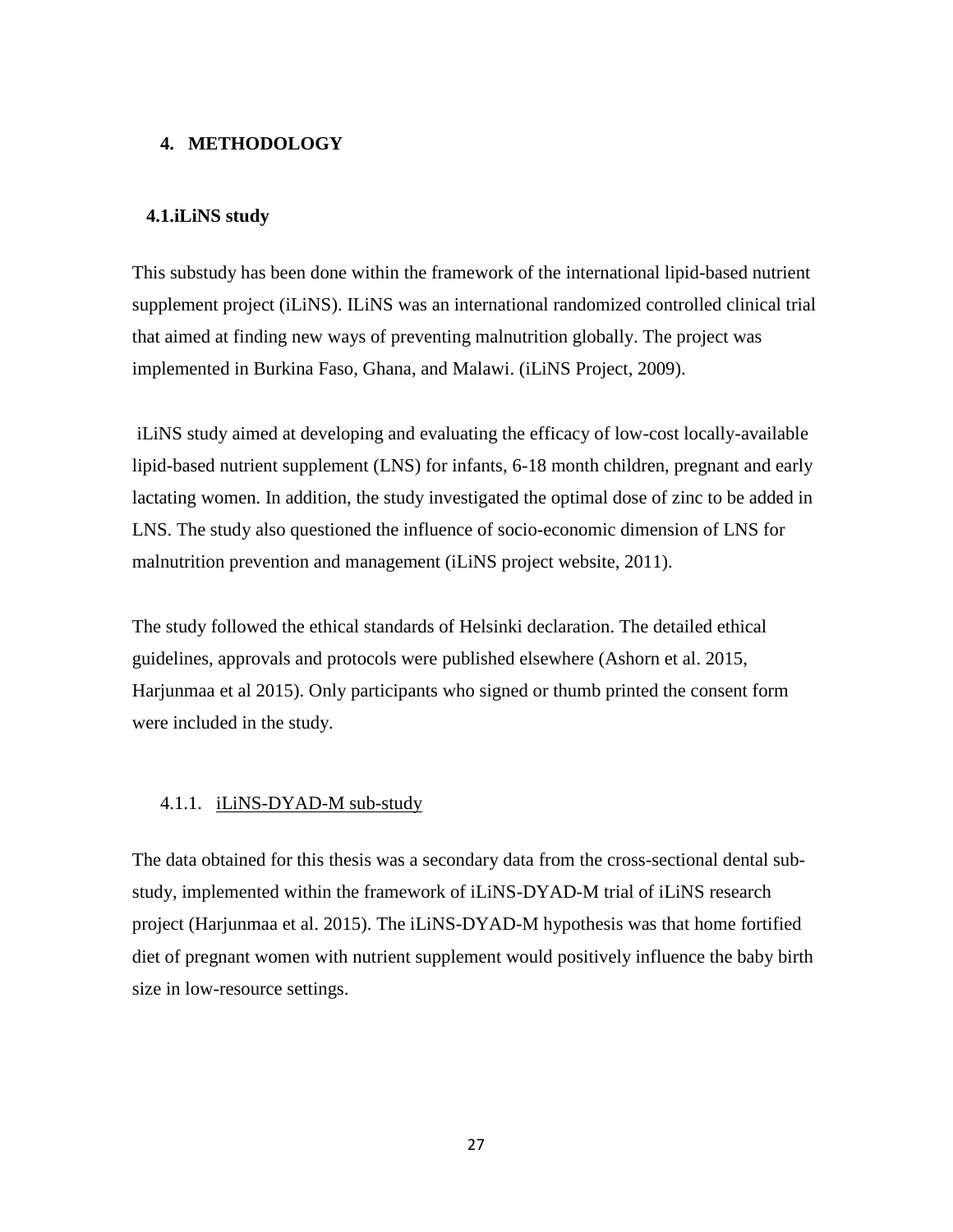## <span id="page-26-0"></span>**4. METHODOLOGY**

## <span id="page-26-1"></span>**4.1.iLiNS study**

This substudy has been done within the framework of the international lipid-based nutrient supplement project (iLiNS). ILiNS was an international randomized controlled clinical trial that aimed at finding new ways of preventing malnutrition globally. The project was implemented in Burkina Faso, Ghana, and Malawi. (iLiNS Project, 2009).

iLiNS study aimed at developing and evaluating the efficacy of low-cost locally-available lipid-based nutrient supplement (LNS) for infants, 6-18 month children, pregnant and early lactating women. In addition, the study investigated the optimal dose of zinc to be added in LNS. The study also questioned the influence of socio-economic dimension of LNS for malnutrition prevention and management (iLiNS project website, 2011).

The study followed the ethical standards of Helsinki declaration. The detailed ethical guidelines, approvals and protocols were published elsewhere (Ashorn et al. 2015, Harjunmaa et al 2015). Only participants who signed or thumb printed the consent form were included in the study.

## <span id="page-26-2"></span>4.1.1. iLiNS-DYAD-M sub-study

The data obtained for this thesis was a secondary data from the cross-sectional dental substudy, implemented within the framework of iLiNS-DYAD-M trial of iLiNS research project (Harjunmaa et al. 2015). The iLiNS-DYAD-M hypothesis was that home fortified diet of pregnant women with nutrient supplement would positively influence the baby birth size in low-resource settings.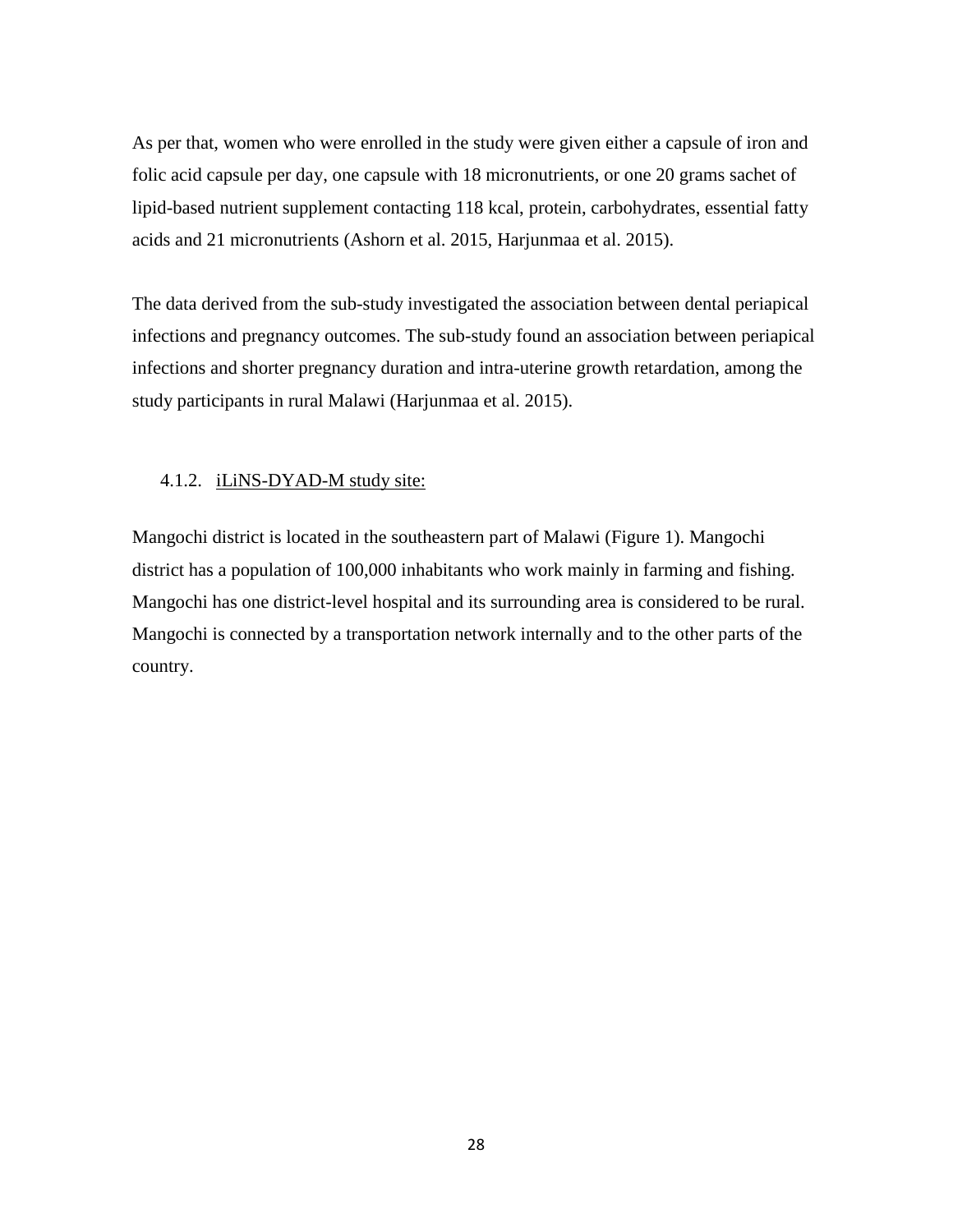As per that, women who were enrolled in the study were given either a capsule of iron and folic acid capsule per day, one capsule with 18 micronutrients, or one 20 grams sachet of lipid-based nutrient supplement contacting 118 kcal, protein, carbohydrates, essential fatty acids and 21 micronutrients (Ashorn et al. 2015, Harjunmaa et al. 2015).

The data derived from the sub-study investigated the association between dental periapical infections and pregnancy outcomes. The sub-study found an association between periapical infections and shorter pregnancy duration and intra-uterine growth retardation, among the study participants in rural Malawi (Harjunmaa et al. 2015).

## <span id="page-27-0"></span>4.1.2. iLiNS-DYAD-M study site:

Mangochi district is located in the southeastern part of Malawi (Figure 1). Mangochi district has a population of 100,000 inhabitants who work mainly in farming and fishing. Mangochi has one district-level hospital and its surrounding area is considered to be rural. Mangochi is connected by a transportation network internally and to the other parts of the country.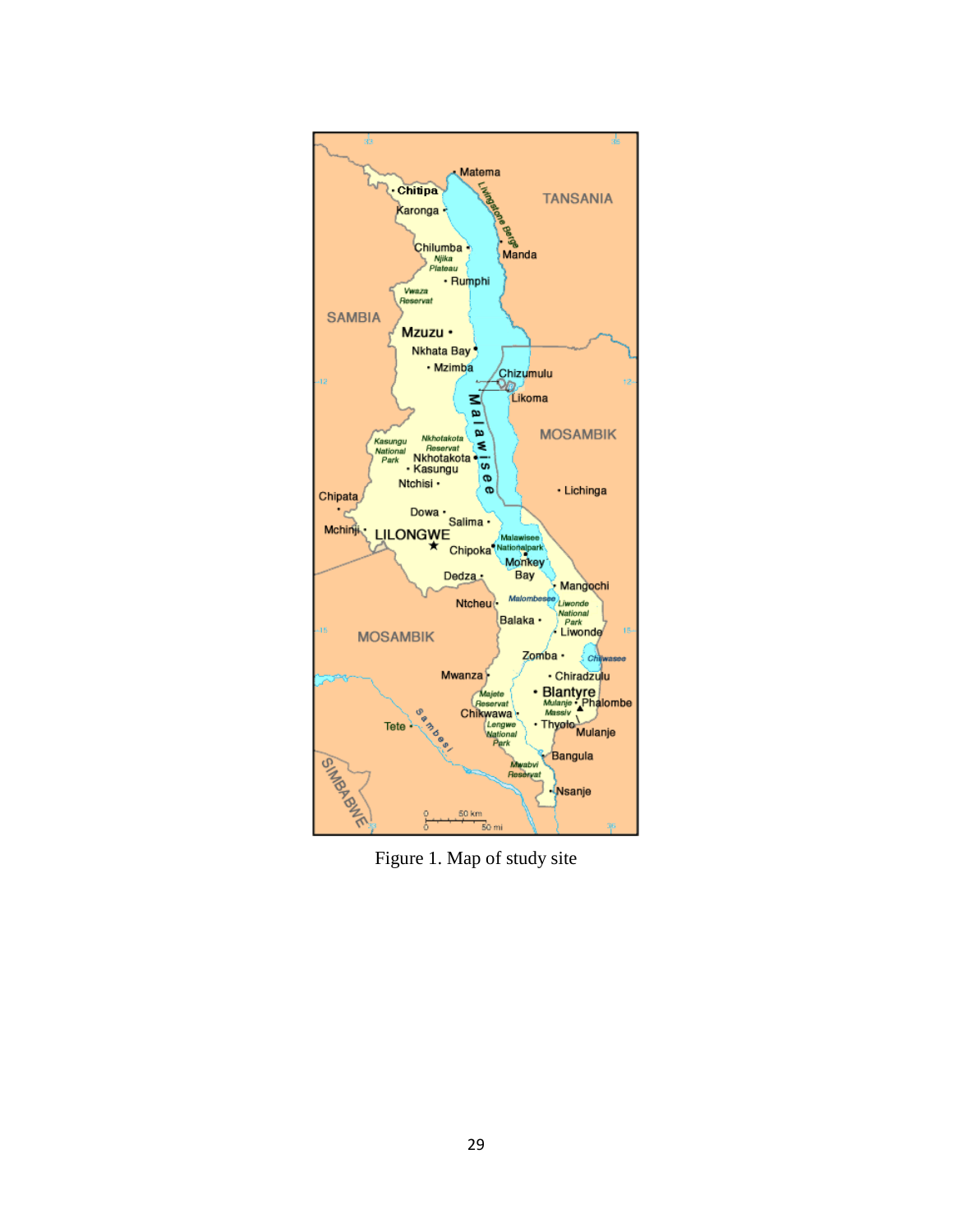

Figure 1. Map of study site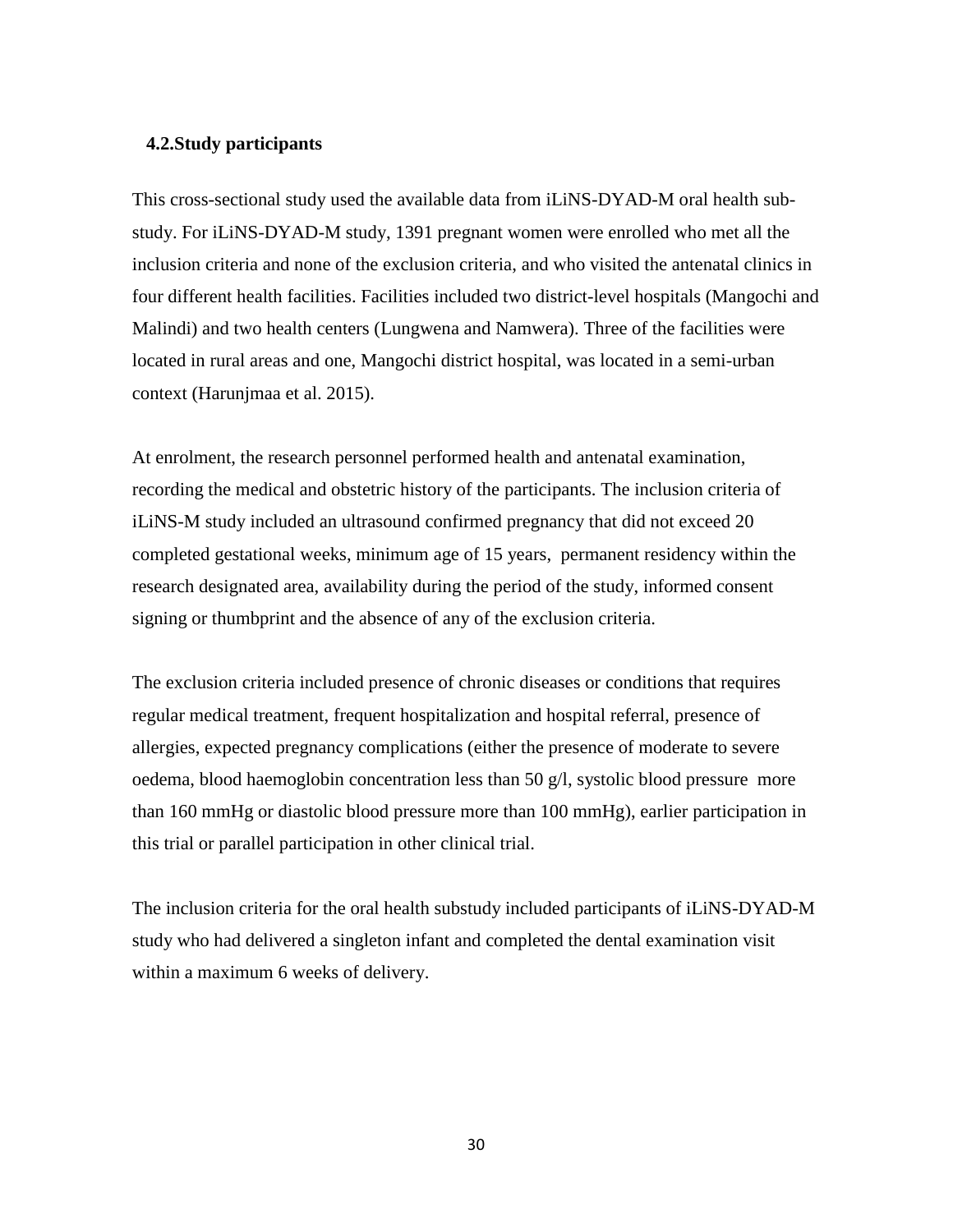#### <span id="page-29-0"></span>**4.2.Study participants**

This cross-sectional study used the available data from iLiNS-DYAD-M oral health substudy. For iLiNS-DYAD-M study, 1391 pregnant women were enrolled who met all the inclusion criteria and none of the exclusion criteria, and who visited the antenatal clinics in four different health facilities. Facilities included two district-level hospitals (Mangochi and Malindi) and two health centers (Lungwena and Namwera). Three of the facilities were located in rural areas and one, Mangochi district hospital, was located in a semi-urban context (Harunjmaa et al. 2015).

At enrolment, the research personnel performed health and antenatal examination, recording the medical and obstetric history of the participants. The inclusion criteria of iLiNS-M study included an ultrasound confirmed pregnancy that did not exceed 20 completed gestational weeks, minimum age of 15 years, permanent residency within the research designated area, availability during the period of the study, informed consent signing or thumbprint and the absence of any of the exclusion criteria.

The exclusion criteria included presence of chronic diseases or conditions that requires regular medical treatment, frequent hospitalization and hospital referral, presence of allergies, expected pregnancy complications (either the presence of moderate to severe oedema, blood haemoglobin concentration less than 50  $\alpha/l$ , systolic blood pressure more than 160 mmHg or diastolic blood pressure more than 100 mmHg), earlier participation in this trial or parallel participation in other clinical trial.

The inclusion criteria for the oral health substudy included participants of iLiNS-DYAD-M study who had delivered a singleton infant and completed the dental examination visit within a maximum 6 weeks of delivery.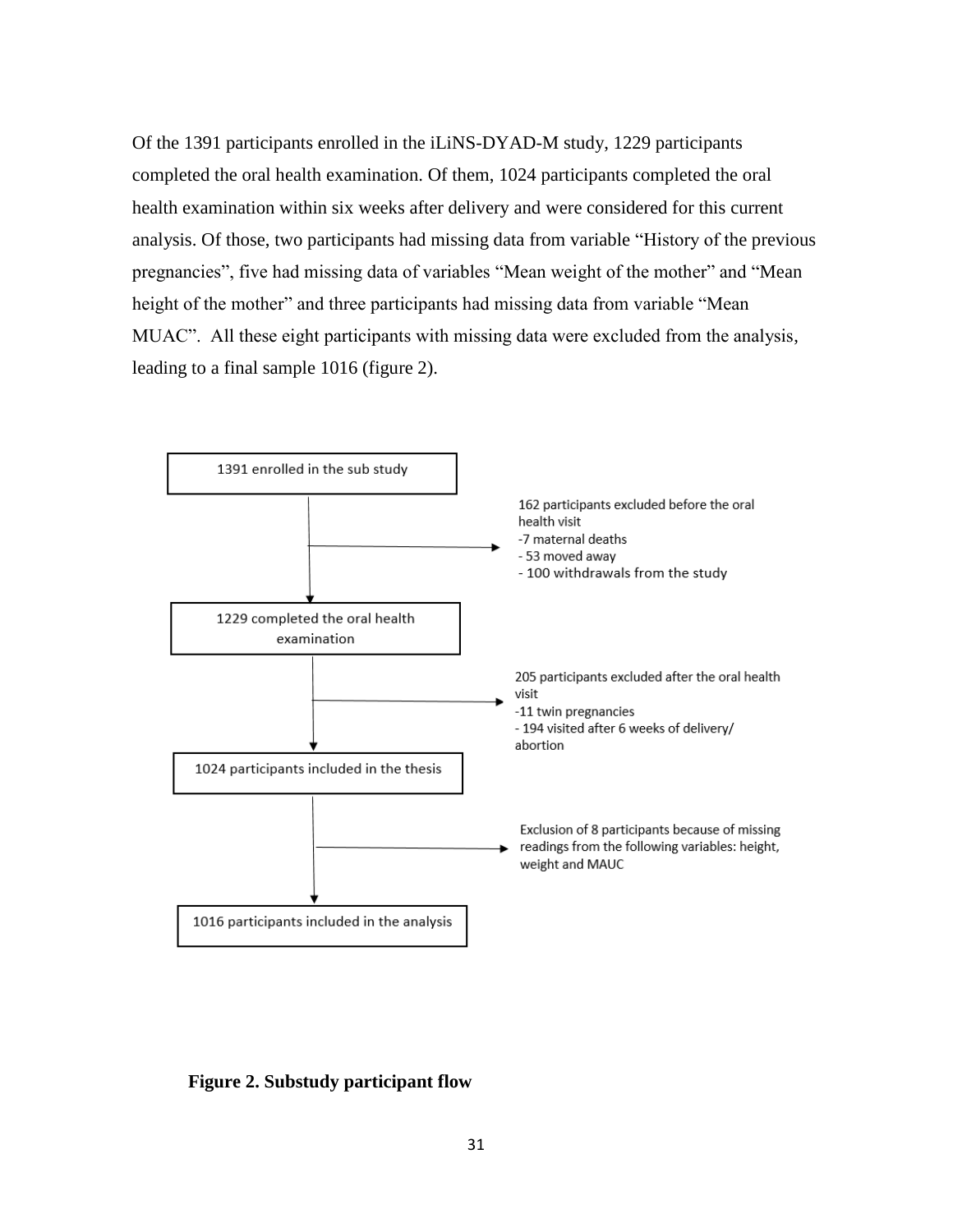Of the 1391 participants enrolled in the iLiNS-DYAD-M study, 1229 participants completed the oral health examination. Of them, 1024 participants completed the oral health examination within six weeks after delivery and were considered for this current analysis. Of those, two participants had missing data from variable "History of the previous pregnancies", five had missing data of variables "Mean weight of the mother" and "Mean height of the mother" and three participants had missing data from variable "Mean MUAC". All these eight participants with missing data were excluded from the analysis, leading to a final sample 1016 (figure 2).



**Figure 2. Substudy participant flow**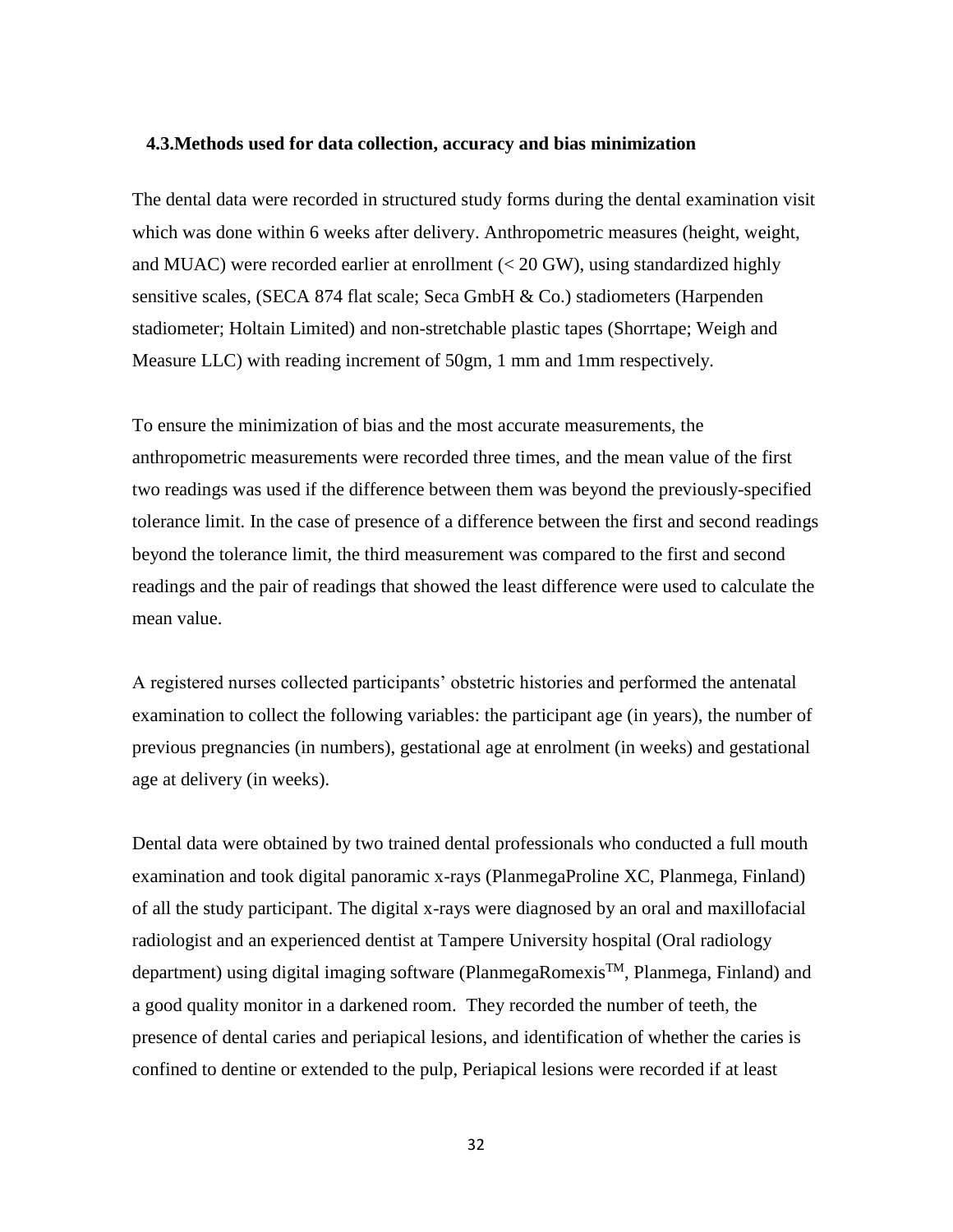#### <span id="page-31-0"></span>**4.3.Methods used for data collection, accuracy and bias minimization**

The dental data were recorded in structured study forms during the dental examination visit which was done within 6 weeks after delivery. Anthropometric measures (height, weight, and MUAC) were recorded earlier at enrollment (< 20 GW), using standardized highly sensitive scales, (SECA 874 flat scale; Seca GmbH & Co.) stadiometers (Harpenden stadiometer; Holtain Limited) and non-stretchable plastic tapes (Shorrtape; Weigh and Measure LLC) with reading increment of 50gm, 1 mm and 1mm respectively.

To ensure the minimization of bias and the most accurate measurements, the anthropometric measurements were recorded three times, and the mean value of the first two readings was used if the difference between them was beyond the previously-specified tolerance limit. In the case of presence of a difference between the first and second readings beyond the tolerance limit, the third measurement was compared to the first and second readings and the pair of readings that showed the least difference were used to calculate the mean value.

A registered nurses collected participants' obstetric histories and performed the antenatal examination to collect the following variables: the participant age (in years), the number of previous pregnancies (in numbers), gestational age at enrolment (in weeks) and gestational age at delivery (in weeks).

Dental data were obtained by two trained dental professionals who conducted a full mouth examination and took digital panoramic x-rays (PlanmegaProline XC, Planmega, Finland) of all the study participant. The digital x-rays were diagnosed by an oral and maxillofacial radiologist and an experienced dentist at Tampere University hospital (Oral radiology department) using digital imaging software (PlanmegaRomexis™, Planmega, Finland) and a good quality monitor in a darkened room. They recorded the number of teeth, the presence of dental caries and periapical lesions, and identification of whether the caries is confined to dentine or extended to the pulp, Periapical lesions were recorded if at least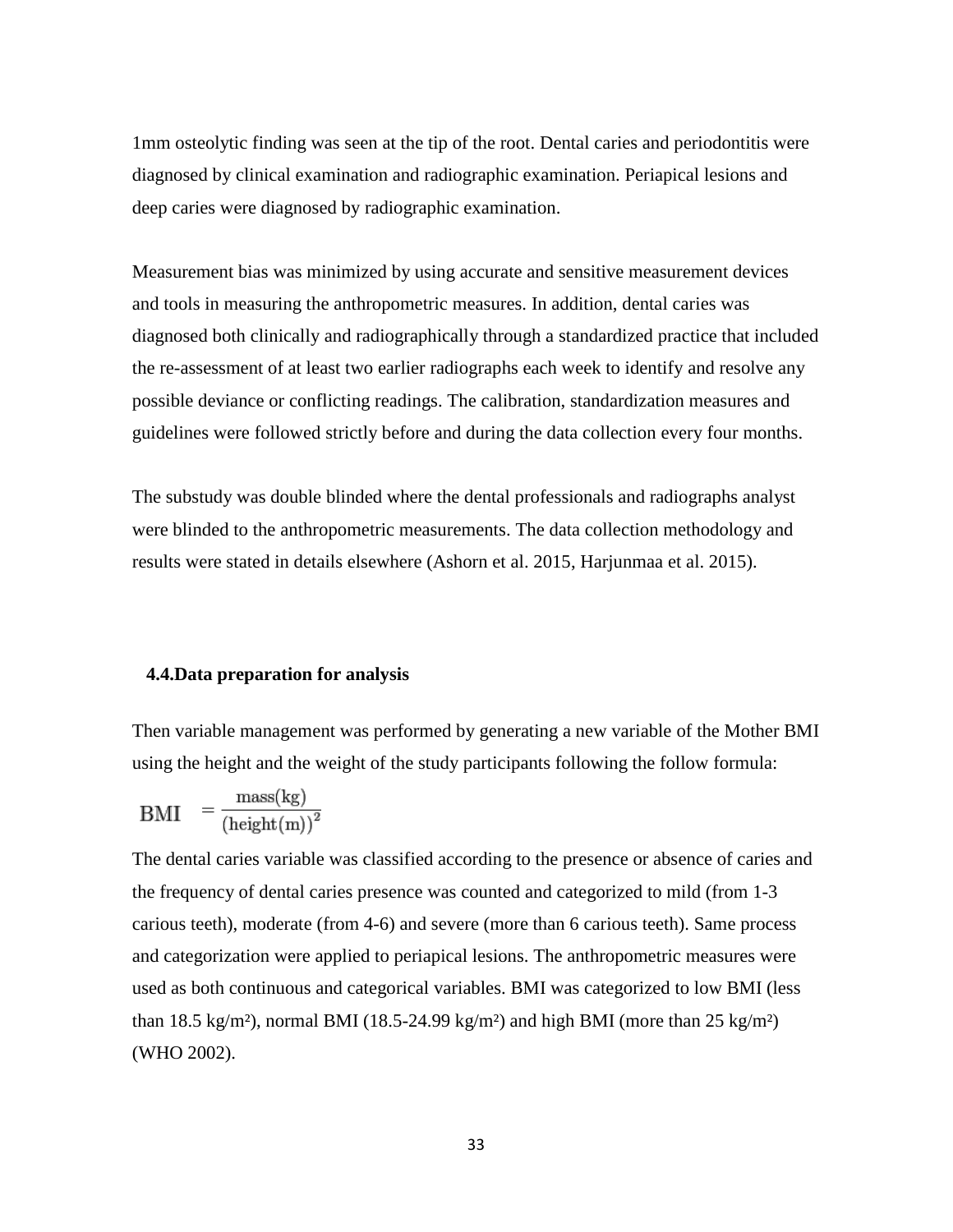1mm osteolytic finding was seen at the tip of the root. Dental caries and periodontitis were diagnosed by clinical examination and radiographic examination. Periapical lesions and deep caries were diagnosed by radiographic examination.

Measurement bias was minimized by using accurate and sensitive measurement devices and tools in measuring the anthropometric measures. In addition, dental caries was diagnosed both clinically and radiographically through a standardized practice that included the re-assessment of at least two earlier radiographs each week to identify and resolve any possible deviance or conflicting readings. The calibration, standardization measures and guidelines were followed strictly before and during the data collection every four months.

The substudy was double blinded where the dental professionals and radiographs analyst were blinded to the anthropometric measurements. The data collection methodology and results were stated in details elsewhere (Ashorn et al. 2015, Harjunmaa et al. 2015).

### <span id="page-32-0"></span>**4.4.Data preparation for analysis**

Then variable management was performed by generating a new variable of the Mother BMI using the height and the weight of the study participants following the follow formula:

$$
BMI = \frac{mass(kg)}{(height(m))^2}
$$

The dental caries variable was classified according to the presence or absence of caries and the frequency of dental caries presence was counted and categorized to mild (from 1-3 carious teeth), moderate (from 4-6) and severe (more than 6 carious teeth). Same process and categorization were applied to periapical lesions. The anthropometric measures were used as both continuous and categorical variables. BMI was categorized to low BMI (less than 18.5 kg/m<sup>2</sup>), normal BMI (18.5-24.99 kg/m<sup>2</sup>) and high BMI (more than 25 kg/m<sup>2</sup>) (WHO 2002).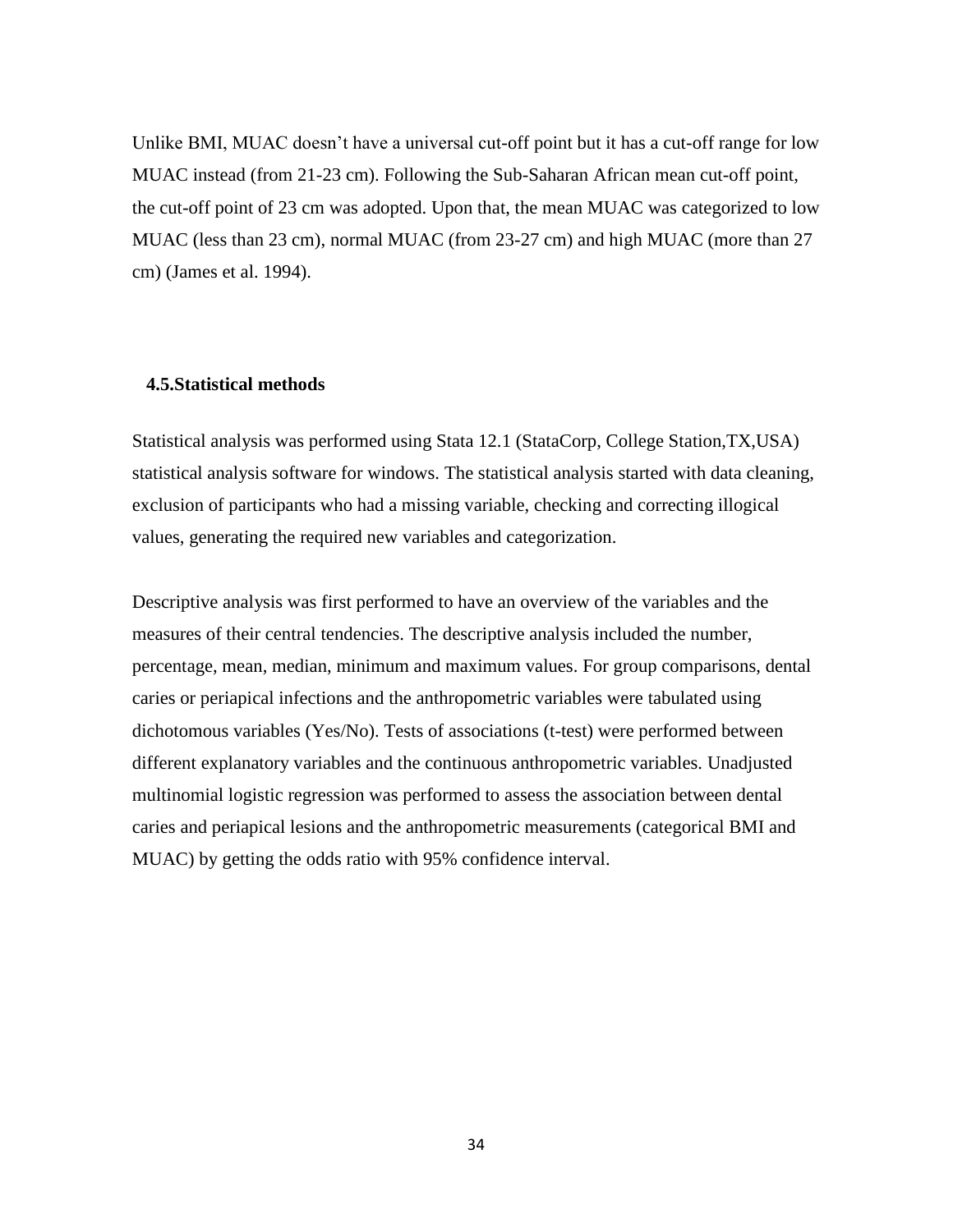Unlike BMI, MUAC doesn't have a universal cut-off point but it has a cut-off range for low MUAC instead (from 21-23 cm). Following the Sub-Saharan African mean cut-off point, the cut-off point of 23 cm was adopted. Upon that, the mean MUAC was categorized to low MUAC (less than 23 cm), normal MUAC (from 23-27 cm) and high MUAC (more than 27 cm) (James et al. 1994).

## <span id="page-33-0"></span>**4.5.Statistical methods**

Statistical analysis was performed using Stata 12.1 (StataCorp, College Station,TX,USA) statistical analysis software for windows. The statistical analysis started with data cleaning, exclusion of participants who had a missing variable, checking and correcting illogical values, generating the required new variables and categorization.

Descriptive analysis was first performed to have an overview of the variables and the measures of their central tendencies. The descriptive analysis included the number, percentage, mean, median, minimum and maximum values. For group comparisons, dental caries or periapical infections and the anthropometric variables were tabulated using dichotomous variables (Yes/No). Tests of associations (t-test) were performed between different explanatory variables and the continuous anthropometric variables. Unadjusted multinomial logistic regression was performed to assess the association between dental caries and periapical lesions and the anthropometric measurements (categorical BMI and MUAC) by getting the odds ratio with 95% confidence interval.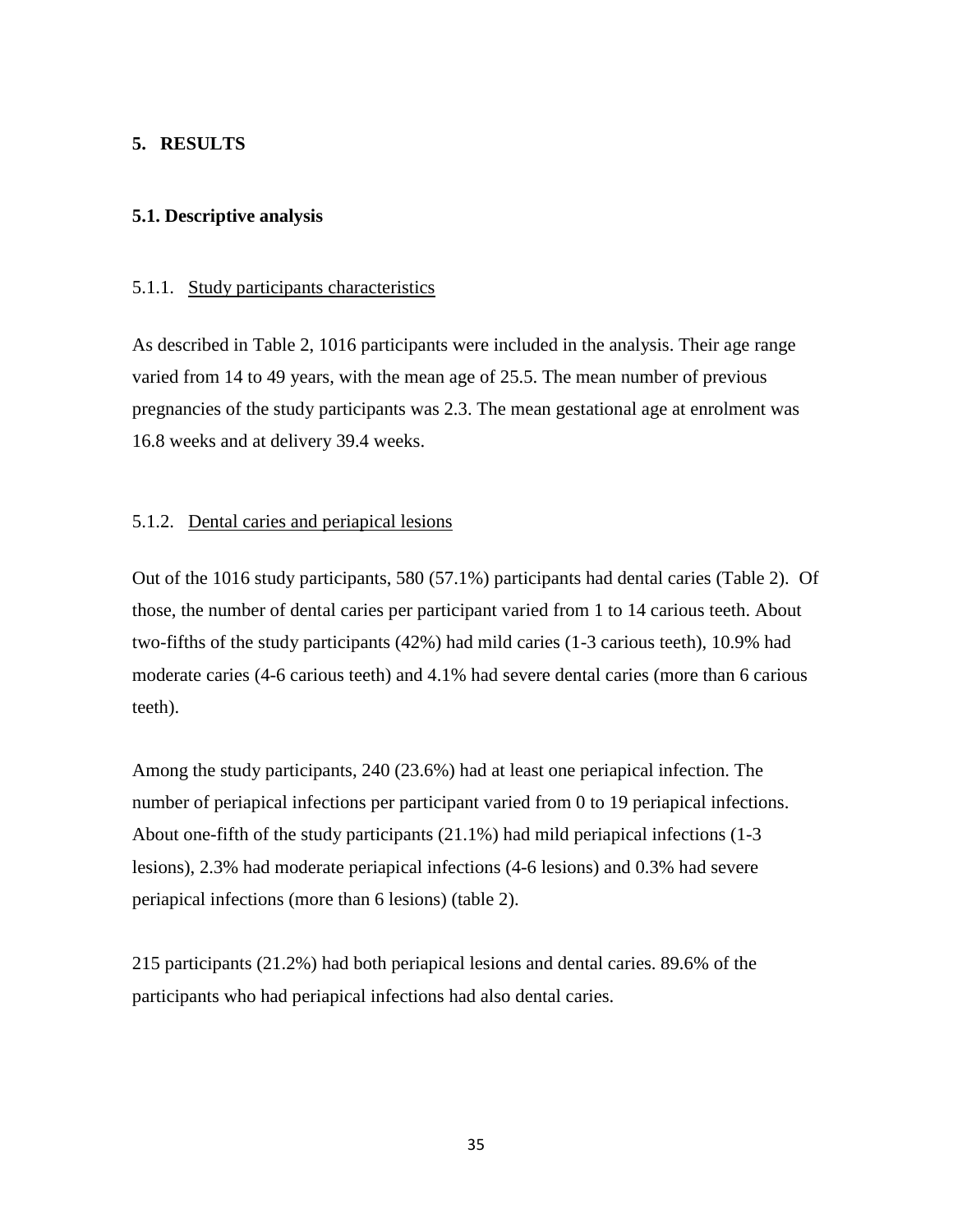## <span id="page-34-0"></span>**5. RESULTS**

## <span id="page-34-1"></span>**5.1. Descriptive analysis**

## <span id="page-34-2"></span>5.1.1. Study participants characteristics

As described in Table 2, 1016 participants were included in the analysis. Their age range varied from 14 to 49 years, with the mean age of 25.5. The mean number of previous pregnancies of the study participants was 2.3. The mean gestational age at enrolment was 16.8 weeks and at delivery 39.4 weeks.

## <span id="page-34-3"></span>5.1.2. Dental caries and periapical lesions

Out of the 1016 study participants, 580 (57.1%) participants had dental caries (Table 2). Of those, the number of dental caries per participant varied from 1 to 14 carious teeth. About two-fifths of the study participants (42%) had mild caries (1-3 carious teeth), 10.9% had moderate caries (4-6 carious teeth) and 4.1% had severe dental caries (more than 6 carious teeth).

Among the study participants, 240 (23.6%) had at least one periapical infection. The number of periapical infections per participant varied from 0 to 19 periapical infections. About one-fifth of the study participants (21.1%) had mild periapical infections (1-3 lesions), 2.3% had moderate periapical infections (4-6 lesions) and 0.3% had severe periapical infections (more than 6 lesions) (table 2).

215 participants (21.2%) had both periapical lesions and dental caries. 89.6% of the participants who had periapical infections had also dental caries.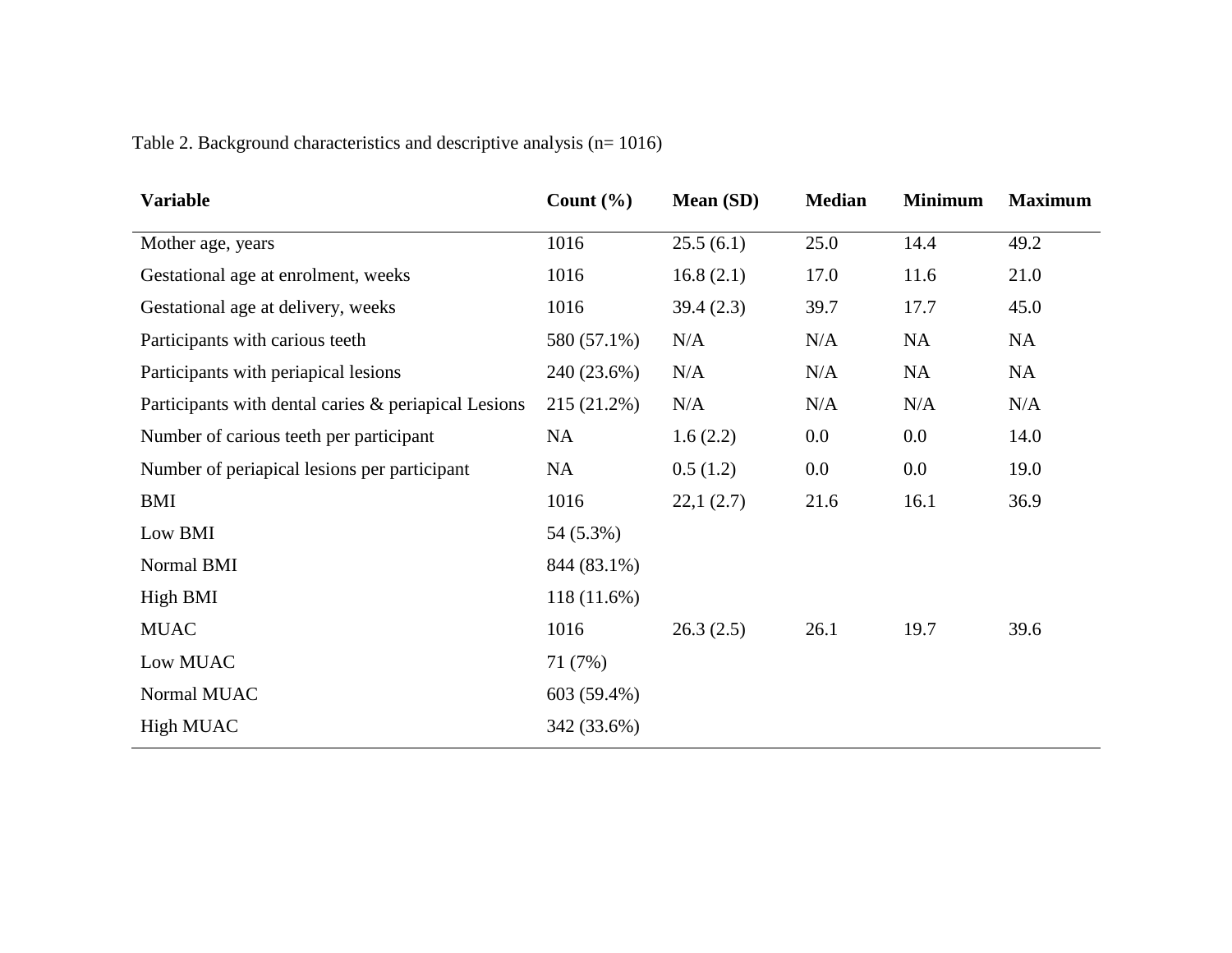| <b>Variable</b>                                      | Count $(\% )$ | <b>Mean</b> (SD) | <b>Median</b> | <b>Minimum</b> | <b>Maximum</b> |
|------------------------------------------------------|---------------|------------------|---------------|----------------|----------------|
| Mother age, years                                    | 1016          | 25.5(6.1)        | 25.0          | 14.4           | 49.2           |
| Gestational age at enrolment, weeks                  | 1016          | 16.8(2.1)        | 17.0          | 11.6           | 21.0           |
| Gestational age at delivery, weeks                   | 1016          | 39.4(2.3)        | 39.7          | 17.7           | 45.0           |
| Participants with carious teeth                      | 580 (57.1%)   | N/A              | N/A           | NA             | <b>NA</b>      |
| Participants with periapical lesions                 | 240 (23.6%)   | N/A              | N/A           | NA             | <b>NA</b>      |
| Participants with dental caries & periapical Lesions | 215 (21.2%)   | N/A              | N/A           | N/A            | N/A            |
| Number of carious teeth per participant              | <b>NA</b>     | 1.6(2.2)         | 0.0           | $0.0\,$        | 14.0           |
| Number of periapical lesions per participant         | NA            | 0.5(1.2)         | 0.0           | $0.0\,$        | 19.0           |
| <b>BMI</b>                                           | 1016          | 22,1(2.7)        | 21.6          | 16.1           | 36.9           |
| Low BMI                                              | 54 (5.3%)     |                  |               |                |                |
| Normal BMI                                           | 844 (83.1%)   |                  |               |                |                |
| High BMI                                             | $118(11.6\%)$ |                  |               |                |                |
| <b>MUAC</b>                                          | 1016          | 26.3(2.5)        | 26.1          | 19.7           | 39.6           |
| Low MUAC                                             | 71(7%)        |                  |               |                |                |
| Normal MUAC                                          | 603 (59.4%)   |                  |               |                |                |
| <b>High MUAC</b>                                     | 342 (33.6%)   |                  |               |                |                |
|                                                      |               |                  |               |                |                |

Table 2. Background characteristics and descriptive analysis (n= 1016)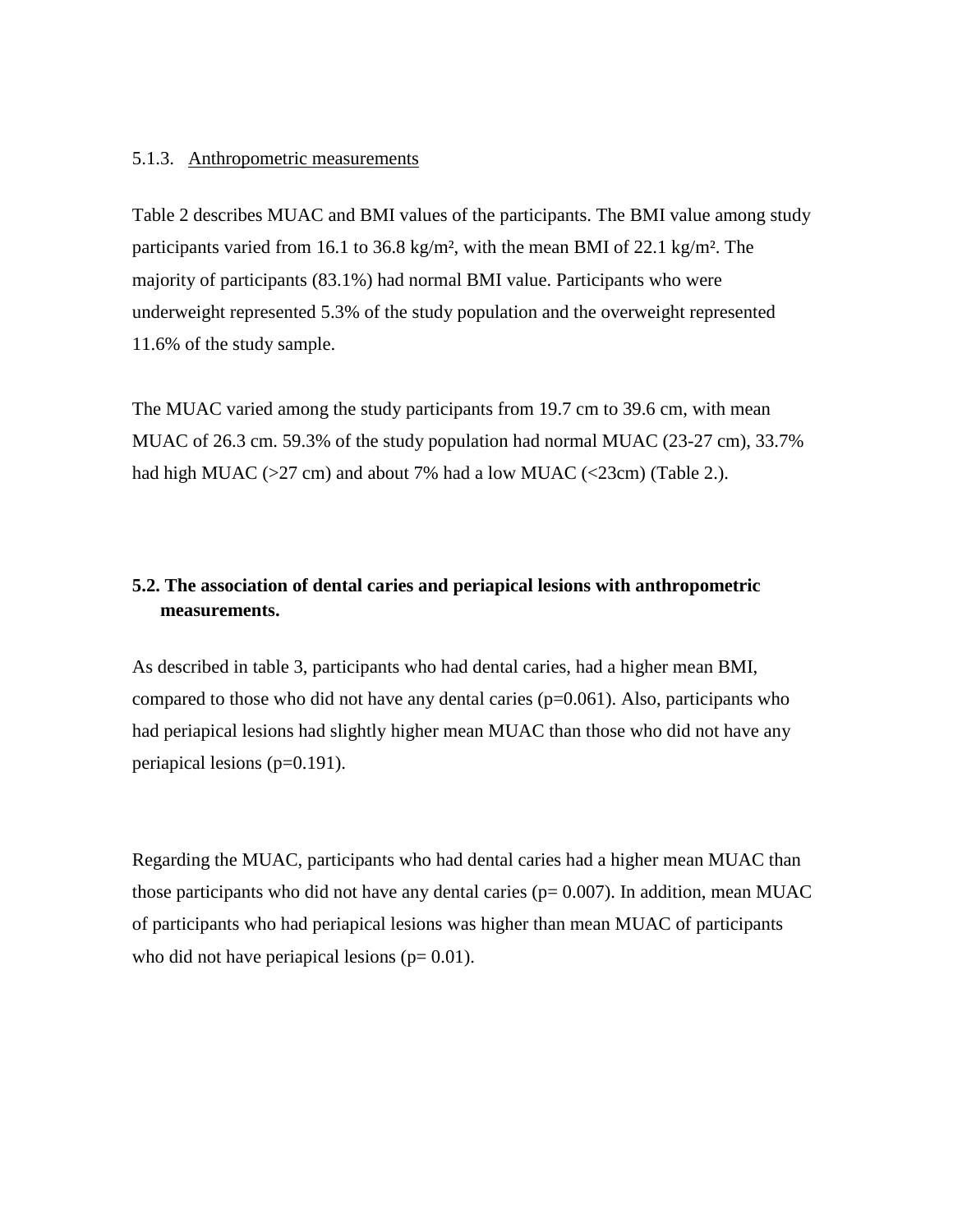## <span id="page-36-0"></span>5.1.3. Anthropometric measurements

Table 2 describes MUAC and BMI values of the participants. The BMI value among study participants varied from 16.1 to 36.8 kg/m², with the mean BMI of 22.1 kg/m². The majority of participants (83.1%) had normal BMI value. Participants who were underweight represented 5.3% of the study population and the overweight represented 11.6% of the study sample.

The MUAC varied among the study participants from 19.7 cm to 39.6 cm, with mean MUAC of 26.3 cm. 59.3% of the study population had normal MUAC (23-27 cm), 33.7% had high MUAC ( $>27$  cm) and about 7% had a low MUAC ( $<$ 23cm) (Table 2.).

# <span id="page-36-1"></span>**5.2. The association of dental caries and periapical lesions with anthropometric measurements.**

As described in table 3, participants who had dental caries, had a higher mean BMI, compared to those who did not have any dental caries  $(p=0.061)$ . Also, participants who had periapical lesions had slightly higher mean MUAC than those who did not have any periapical lesions (p=0.191).

Regarding the MUAC, participants who had dental caries had a higher mean MUAC than those participants who did not have any dental caries ( $p= 0.007$ ). In addition, mean MUAC of participants who had periapical lesions was higher than mean MUAC of participants who did not have periapical lesions ( $p= 0.01$ ).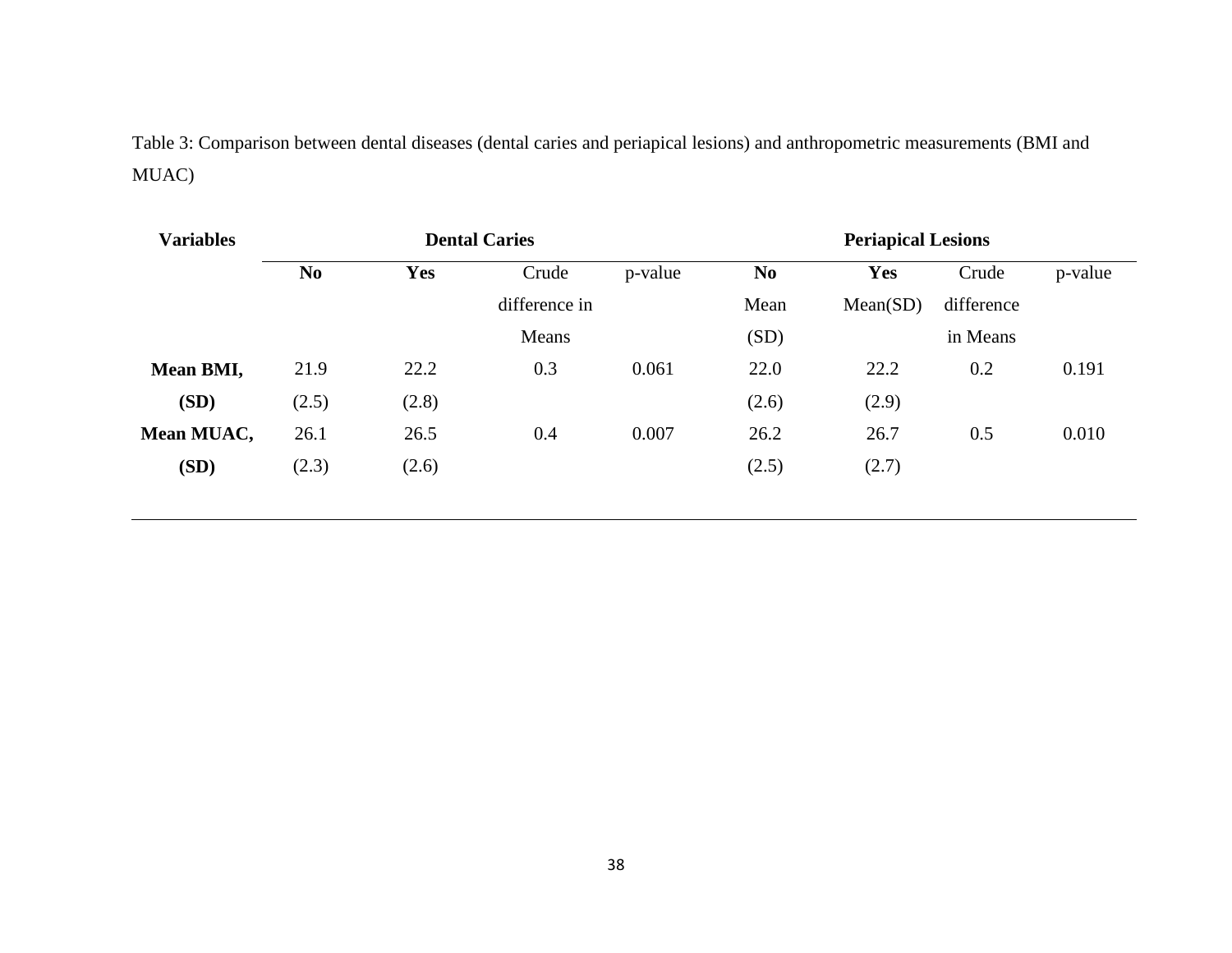Table 3: Comparison between dental diseases (dental caries and periapical lesions) and anthropometric measurements (BMI and MUAC)

| <b>Variables</b> | <b>Dental Caries</b> |            |               |         | <b>Periapical Lesions</b> |            |            |         |
|------------------|----------------------|------------|---------------|---------|---------------------------|------------|------------|---------|
|                  | N <sub>0</sub>       | <b>Yes</b> | Crude         | p-value | N <sub>0</sub>            | <b>Yes</b> | Crude      | p-value |
|                  |                      |            | difference in |         | Mean                      | Mean(SD)   | difference |         |
|                  |                      |            | Means         |         | (SD)                      |            | in Means   |         |
| Mean BMI,        | 21.9                 | 22.2       | 0.3           | 0.061   | 22.0                      | 22.2       | 0.2        | 0.191   |
| (SD)             | (2.5)                | (2.8)      |               |         | (2.6)                     | (2.9)      |            |         |
| Mean MUAC,       | 26.1                 | 26.5       | 0.4           | 0.007   | 26.2                      | 26.7       | 0.5        | 0.010   |
| (SD)             | (2.3)                | (2.6)      |               |         | (2.5)                     | (2.7)      |            |         |
|                  |                      |            |               |         |                           |            |            |         |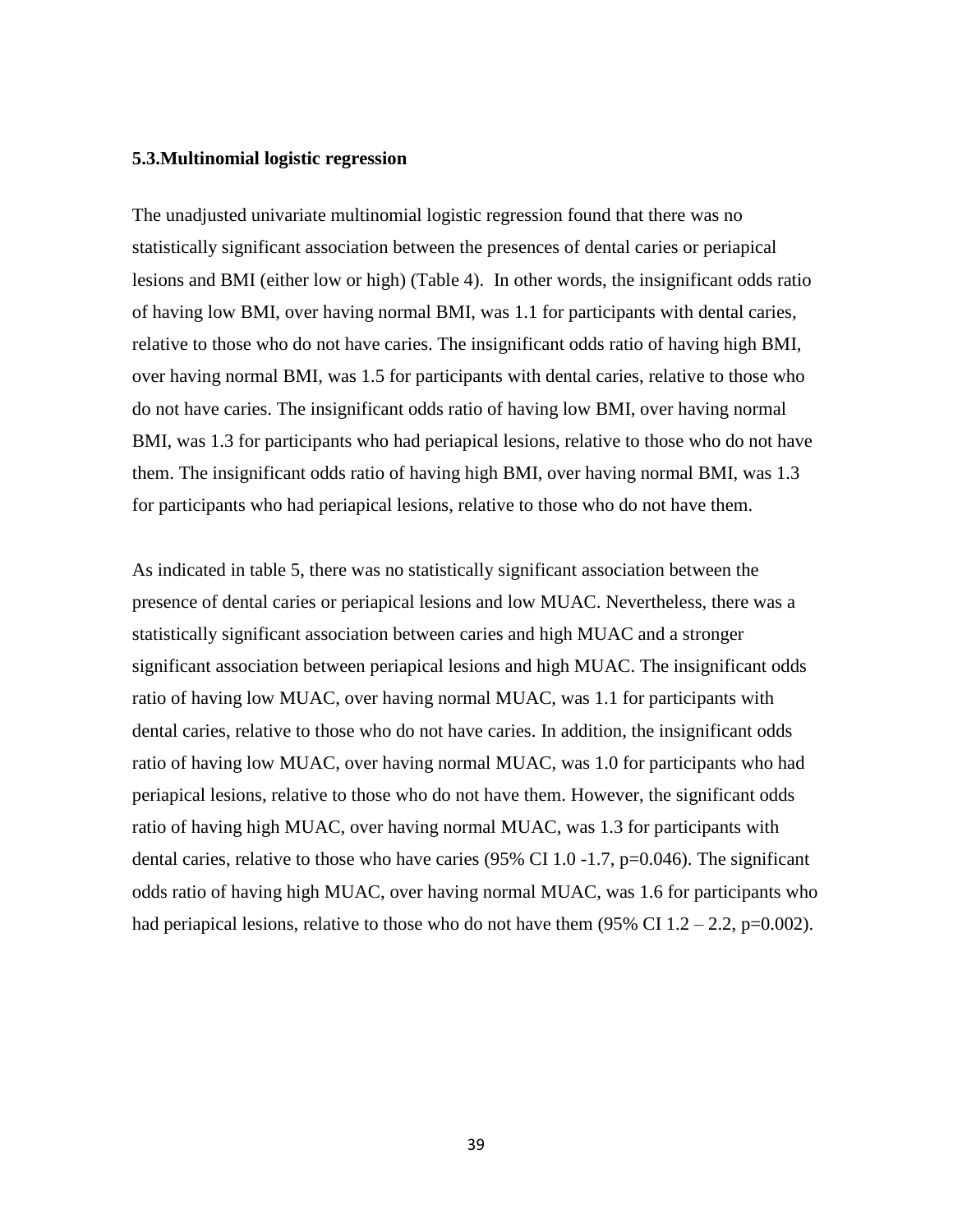### <span id="page-38-0"></span>**5.3.Multinomial logistic regression**

The unadjusted univariate multinomial logistic regression found that there was no statistically significant association between the presences of dental caries or periapical lesions and BMI (either low or high) (Table 4). In other words, the insignificant odds ratio of having low BMI, over having normal BMI, was 1.1 for participants with dental caries, relative to those who do not have caries. The insignificant odds ratio of having high BMI, over having normal BMI, was 1.5 for participants with dental caries, relative to those who do not have caries. The insignificant odds ratio of having low BMI, over having normal BMI, was 1.3 for participants who had periapical lesions, relative to those who do not have them. The insignificant odds ratio of having high BMI, over having normal BMI, was 1.3 for participants who had periapical lesions, relative to those who do not have them.

As indicated in table 5, there was no statistically significant association between the presence of dental caries or periapical lesions and low MUAC. Nevertheless, there was a statistically significant association between caries and high MUAC and a stronger significant association between periapical lesions and high MUAC. The insignificant odds ratio of having low MUAC, over having normal MUAC, was 1.1 for participants with dental caries, relative to those who do not have caries. In addition, the insignificant odds ratio of having low MUAC, over having normal MUAC, was 1.0 for participants who had periapical lesions, relative to those who do not have them. However, the significant odds ratio of having high MUAC, over having normal MUAC, was 1.3 for participants with dental caries, relative to those who have caries (95% CI 1.0 -1.7, p=0.046). The significant odds ratio of having high MUAC, over having normal MUAC, was 1.6 for participants who had periapical lesions, relative to those who do not have them  $(95\% \text{ CI } 1.2 - 2.2, \text{p=0.002}).$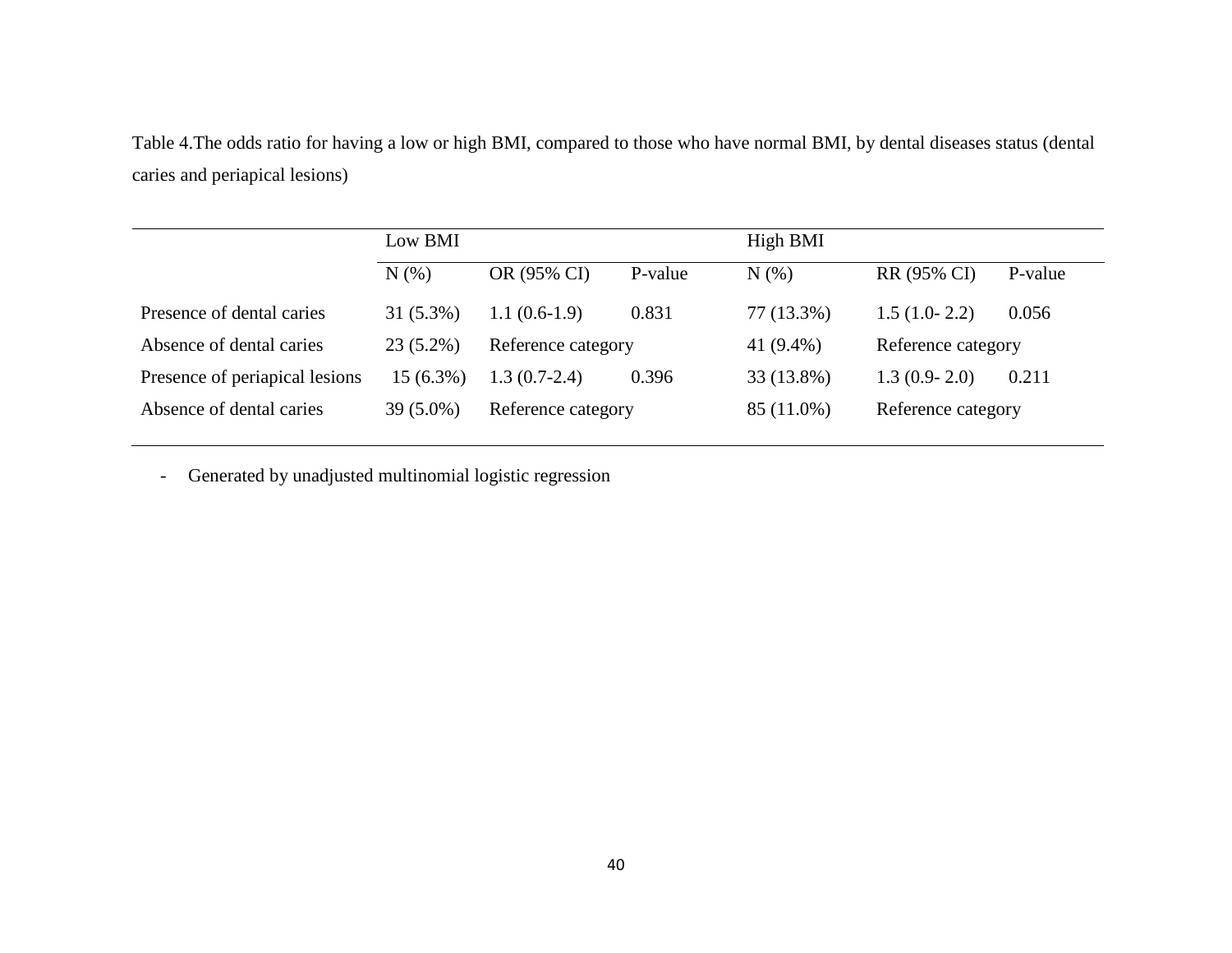Table 4.The odds ratio for having a low or high BMI, compared to those who have normal BMI, by dental diseases status (dental caries and periapical lesions)

|             |                    |                | High BMI                    |                    |                    |
|-------------|--------------------|----------------|-----------------------------|--------------------|--------------------|
| N(% )       | OR (95% CI)        | P-value        | N(% )                       | RR (95% CI)        | P-value            |
| $31(5.3\%)$ | $1.1(0.6-1.9)$     | 0.831          | 77 (13.3%)                  | $1.5(1.0-2.2)$     | 0.056              |
| $23(5.2\%)$ | Reference category |                | 41 (9.4%)                   | Reference category |                    |
| $15(6.3\%)$ |                    |                | 33 (13.8%)                  | $1.3(0.9-2.0)$     | 0.211              |
| $39(5.0\%)$ |                    |                | 85 (11.0%)                  |                    |                    |
|             |                    | $1.3(0.7-2.4)$ | 0.396<br>Reference category |                    | Reference category |

- Generated by unadjusted multinomial logistic regression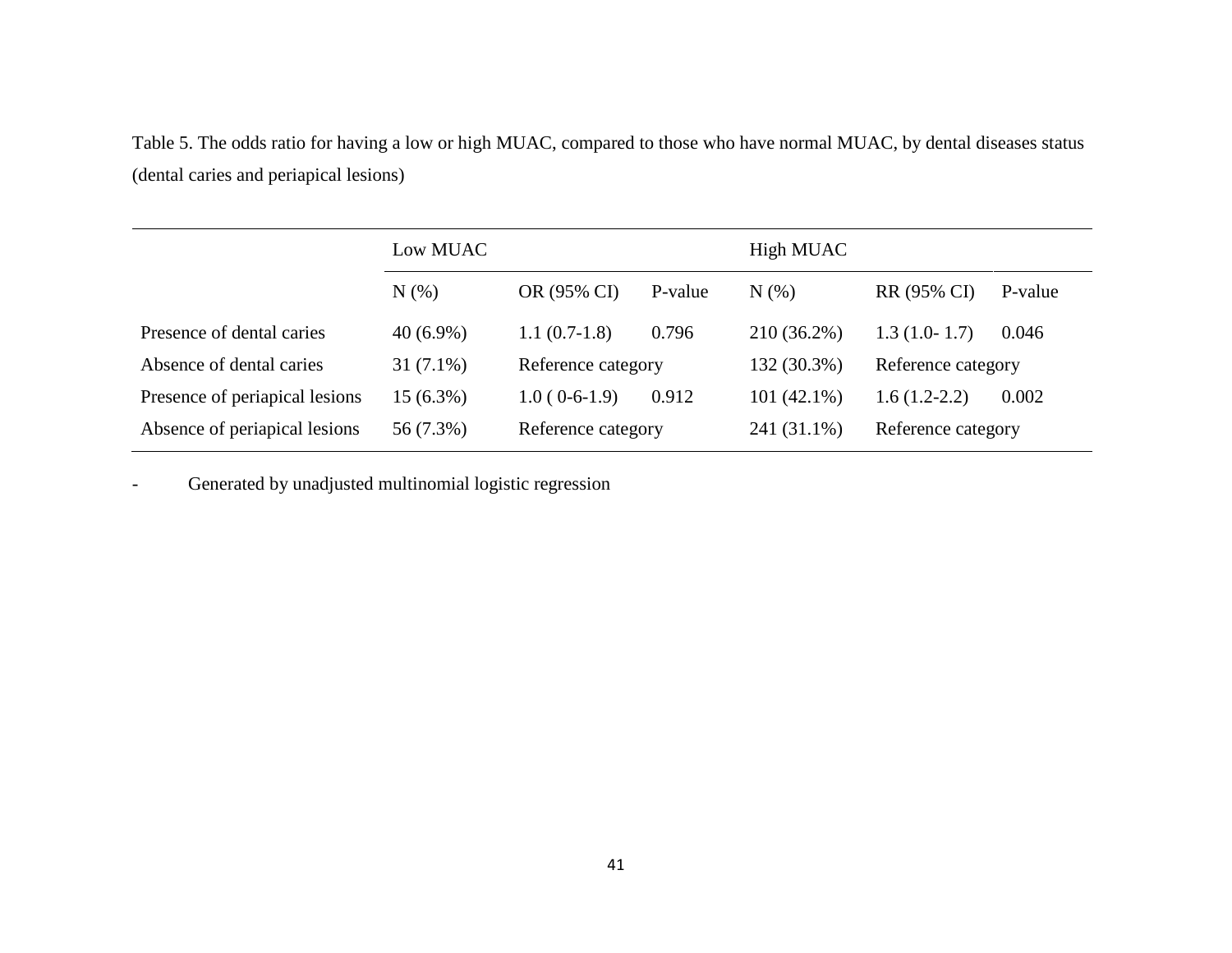Table 5. The odds ratio for having a low or high MUAC, compared to those who have normal MUAC, by dental diseases status (dental caries and periapical lesions)

|                                | Low MUAC    |                    |         | High MUAC     |                    |         |
|--------------------------------|-------------|--------------------|---------|---------------|--------------------|---------|
|                                | $N(\%)$     | OR (95% CI)        | P-value | N(% )         | RR (95% CI)        | P-value |
| Presence of dental caries      | $40(6.9\%)$ | $1.1(0.7-1.8)$     | 0.796   | 210 (36.2%)   | $1.3(1.0-1.7)$     | 0.046   |
| Absence of dental caries       | $31(7.1\%)$ | Reference category |         | 132 (30.3%)   | Reference category |         |
| Presence of periapical lesions | 15 (6.3%)   | $1.0(0-6-1.9)$     | 0.912   | $101(42.1\%)$ | $1.6(1.2-2.2)$     | 0.002   |
| Absence of periapical lesions  | 56 (7.3%)   | Reference category |         | 241 (31.1%)   | Reference category |         |

Generated by unadjusted multinomial logistic regression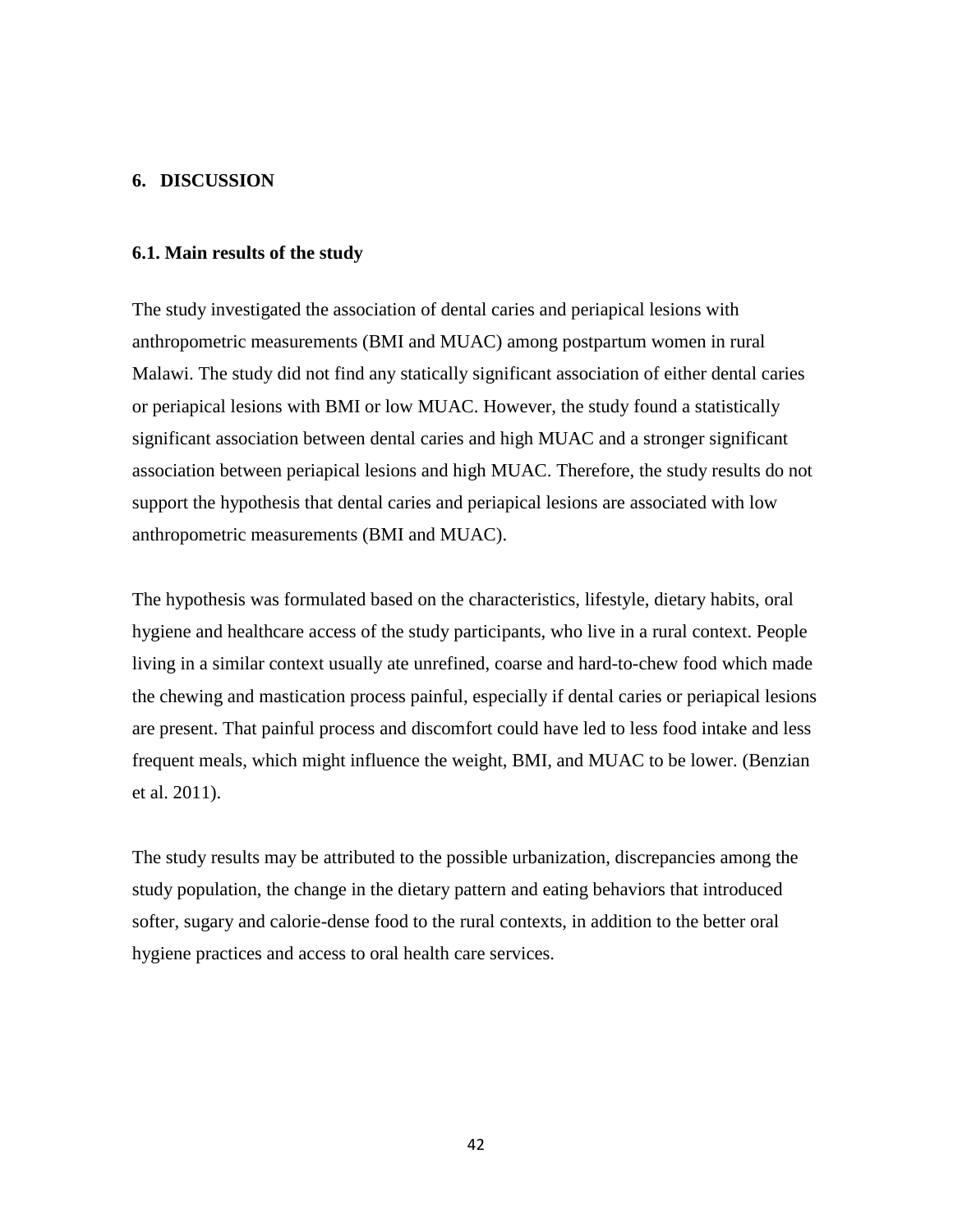## <span id="page-41-0"></span>**6. DISCUSSION**

## <span id="page-41-1"></span>**6.1. Main results of the study**

The study investigated the association of dental caries and periapical lesions with anthropometric measurements (BMI and MUAC) among postpartum women in rural Malawi. The study did not find any statically significant association of either dental caries or periapical lesions with BMI or low MUAC. However, the study found a statistically significant association between dental caries and high MUAC and a stronger significant association between periapical lesions and high MUAC. Therefore, the study results do not support the hypothesis that dental caries and periapical lesions are associated with low anthropometric measurements (BMI and MUAC).

The hypothesis was formulated based on the characteristics, lifestyle, dietary habits, oral hygiene and healthcare access of the study participants, who live in a rural context. People living in a similar context usually ate unrefined, coarse and hard-to-chew food which made the chewing and mastication process painful, especially if dental caries or periapical lesions are present. That painful process and discomfort could have led to less food intake and less frequent meals, which might influence the weight, BMI, and MUAC to be lower. (Benzian et al. 2011).

The study results may be attributed to the possible urbanization, discrepancies among the study population, the change in the dietary pattern and eating behaviors that introduced softer, sugary and calorie-dense food to the rural contexts, in addition to the better oral hygiene practices and access to oral health care services.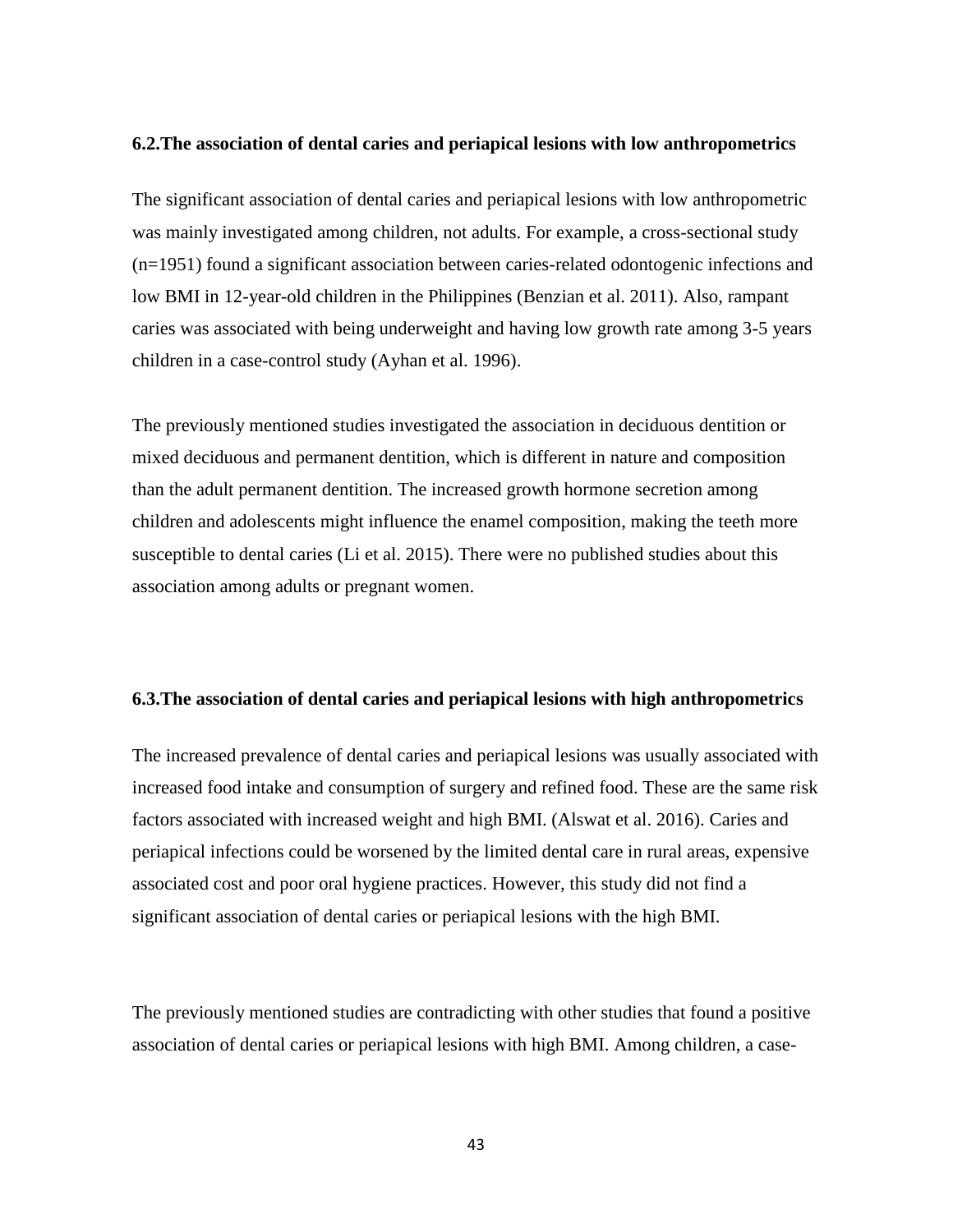#### <span id="page-42-0"></span>**6.2.The association of dental caries and periapical lesions with low anthropometrics**

The significant association of dental caries and periapical lesions with low anthropometric was mainly investigated among children, not adults. For example, a cross-sectional study (n=1951) found a significant association between caries-related odontogenic infections and low BMI in 12-year-old children in the Philippines (Benzian et al. 2011). Also, rampant caries was associated with being underweight and having low growth rate among 3-5 years children in a case-control study (Ayhan et al. 1996).

The previously mentioned studies investigated the association in deciduous dentition or mixed deciduous and permanent dentition, which is different in nature and composition than the adult permanent dentition. The increased growth hormone secretion among children and adolescents might influence the enamel composition, making the teeth more susceptible to dental caries (Li et al. 2015). There were no published studies about this association among adults or pregnant women.

### <span id="page-42-1"></span>**6.3.The association of dental caries and periapical lesions with high anthropometrics**

The increased prevalence of dental caries and periapical lesions was usually associated with increased food intake and consumption of surgery and refined food. These are the same risk factors associated with increased weight and high BMI. (Alswat et al. 2016). Caries and periapical infections could be worsened by the limited dental care in rural areas, expensive associated cost and poor oral hygiene practices. However, this study did not find a significant association of dental caries or periapical lesions with the high BMI.

The previously mentioned studies are contradicting with other studies that found a positive association of dental caries or periapical lesions with high BMI. Among children, a case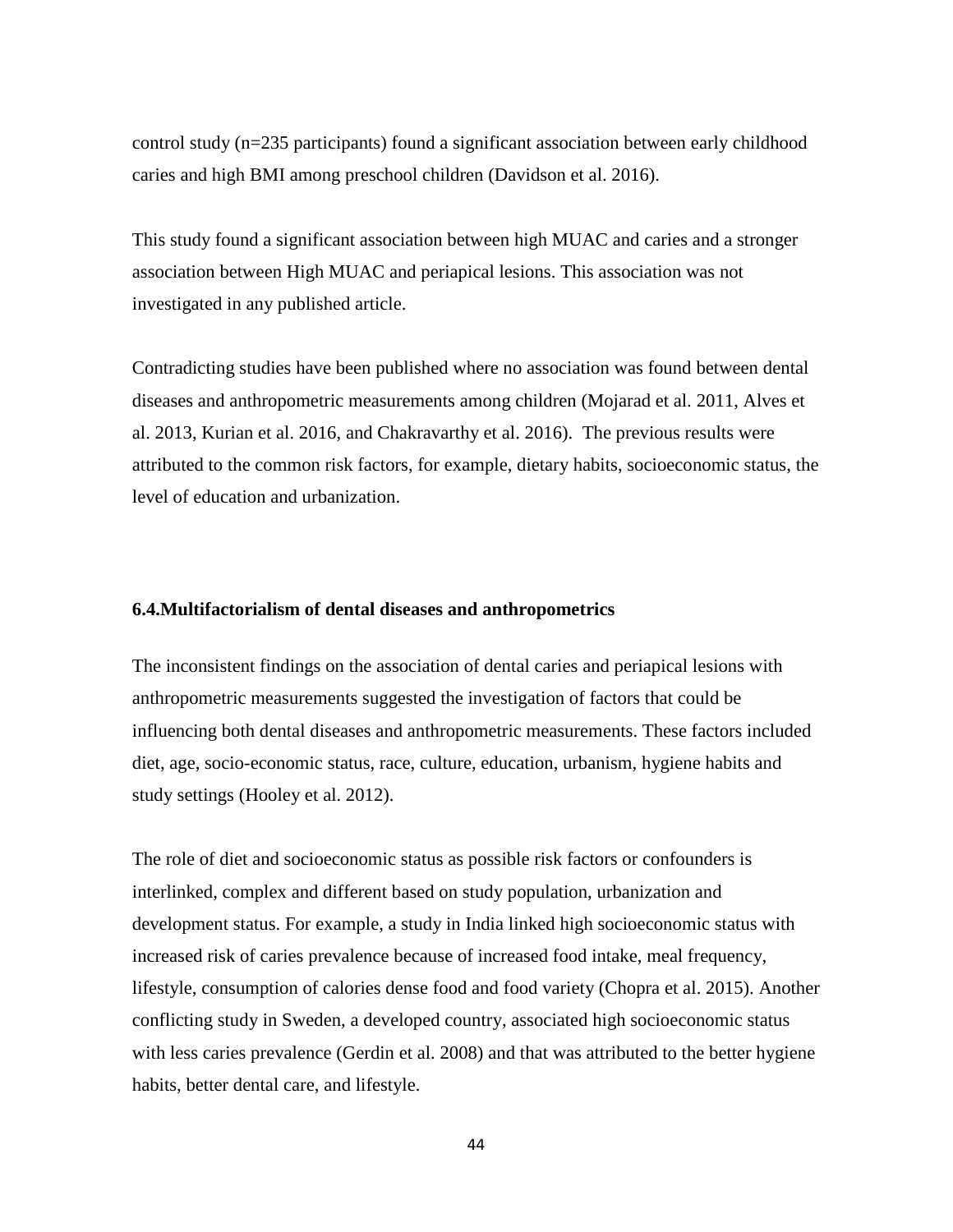control study (n=235 participants) found a significant association between early childhood caries and high BMI among preschool children (Davidson et al. 2016).

This study found a significant association between high MUAC and caries and a stronger association between High MUAC and periapical lesions. This association was not investigated in any published article.

Contradicting studies have been published where no association was found between dental diseases and anthropometric measurements among children (Mojarad et al. 2011, Alves et al. 2013, Kurian et al. 2016, and Chakravarthy et al. 2016). The previous results were attributed to the common risk factors, for example, dietary habits, socioeconomic status, the level of education and urbanization.

### <span id="page-43-0"></span>**6.4.Multifactorialism of dental diseases and anthropometrics**

The inconsistent findings on the association of dental caries and periapical lesions with anthropometric measurements suggested the investigation of factors that could be influencing both dental diseases and anthropometric measurements. These factors included diet, age, socio-economic status, race, culture, education, urbanism, hygiene habits and study settings (Hooley et al. 2012).

The role of diet and socioeconomic status as possible risk factors or confounders is interlinked, complex and different based on study population, urbanization and development status. For example, a study in India linked high socioeconomic status with increased risk of caries prevalence because of increased food intake, meal frequency, lifestyle, consumption of calories dense food and food variety (Chopra et al. 2015). Another conflicting study in Sweden, a developed country, associated high socioeconomic status with less caries prevalence (Gerdin et al. 2008) and that was attributed to the better hygiene habits, better dental care, and lifestyle.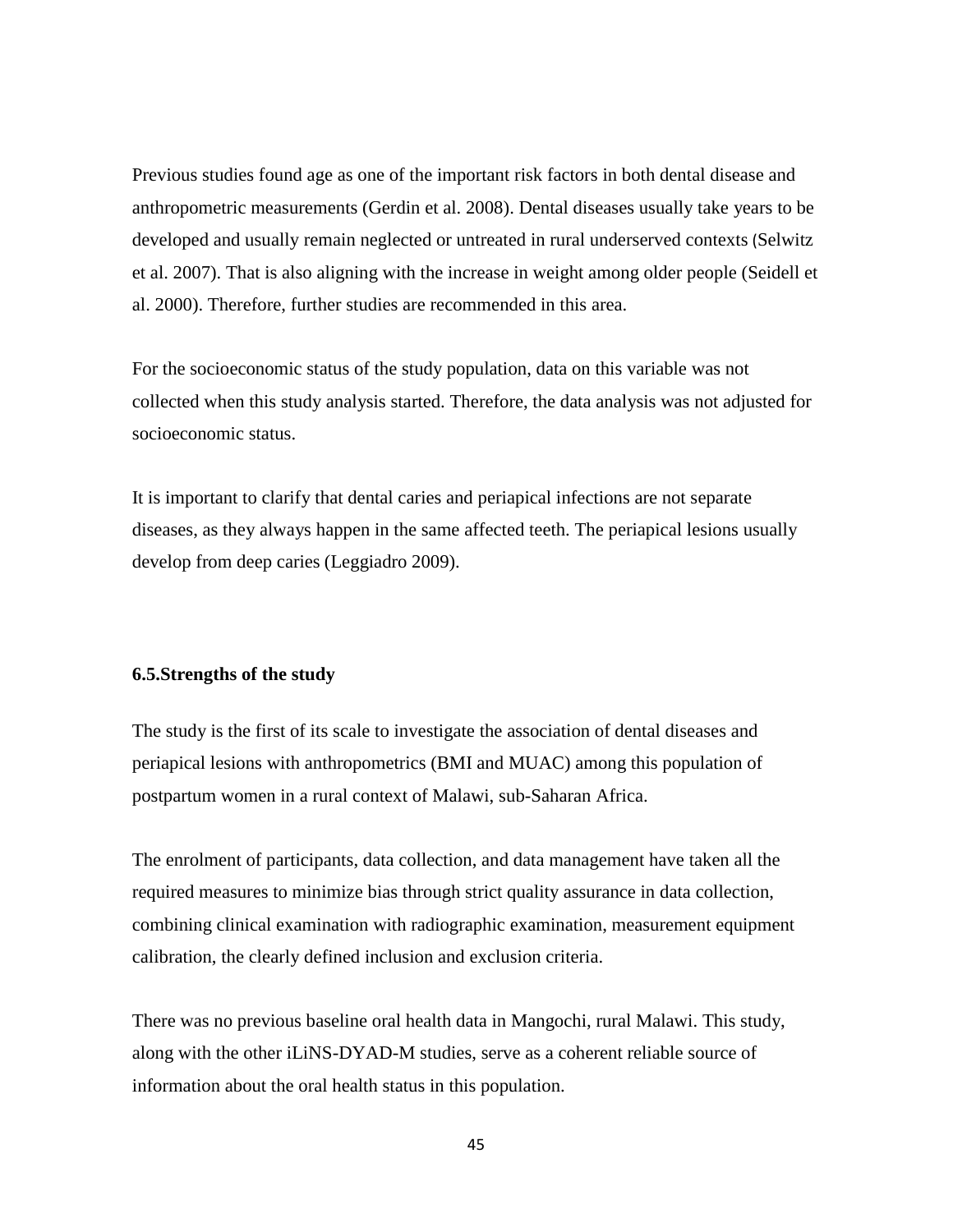Previous studies found age as one of the important risk factors in both dental disease and anthropometric measurements (Gerdin et al. 2008). Dental diseases usually take years to be developed and usually remain neglected or untreated in rural underserved contexts (Selwitz et al. 2007). That is also aligning with the increase in weight among older people (Seidell et al. 2000). Therefore, further studies are recommended in this area.

For the socioeconomic status of the study population, data on this variable was not collected when this study analysis started. Therefore, the data analysis was not adjusted for socioeconomic status.

It is important to clarify that dental caries and periapical infections are not separate diseases, as they always happen in the same affected teeth. The periapical lesions usually develop from deep caries (Leggiadro 2009).

## <span id="page-44-0"></span>**6.5.Strengths of the study**

The study is the first of its scale to investigate the association of dental diseases and periapical lesions with anthropometrics (BMI and MUAC) among this population of postpartum women in a rural context of Malawi, sub-Saharan Africa.

The enrolment of participants, data collection, and data management have taken all the required measures to minimize bias through strict quality assurance in data collection, combining clinical examination with radiographic examination, measurement equipment calibration, the clearly defined inclusion and exclusion criteria.

There was no previous baseline oral health data in Mangochi, rural Malawi. This study, along with the other iLiNS-DYAD-M studies, serve as a coherent reliable source of information about the oral health status in this population.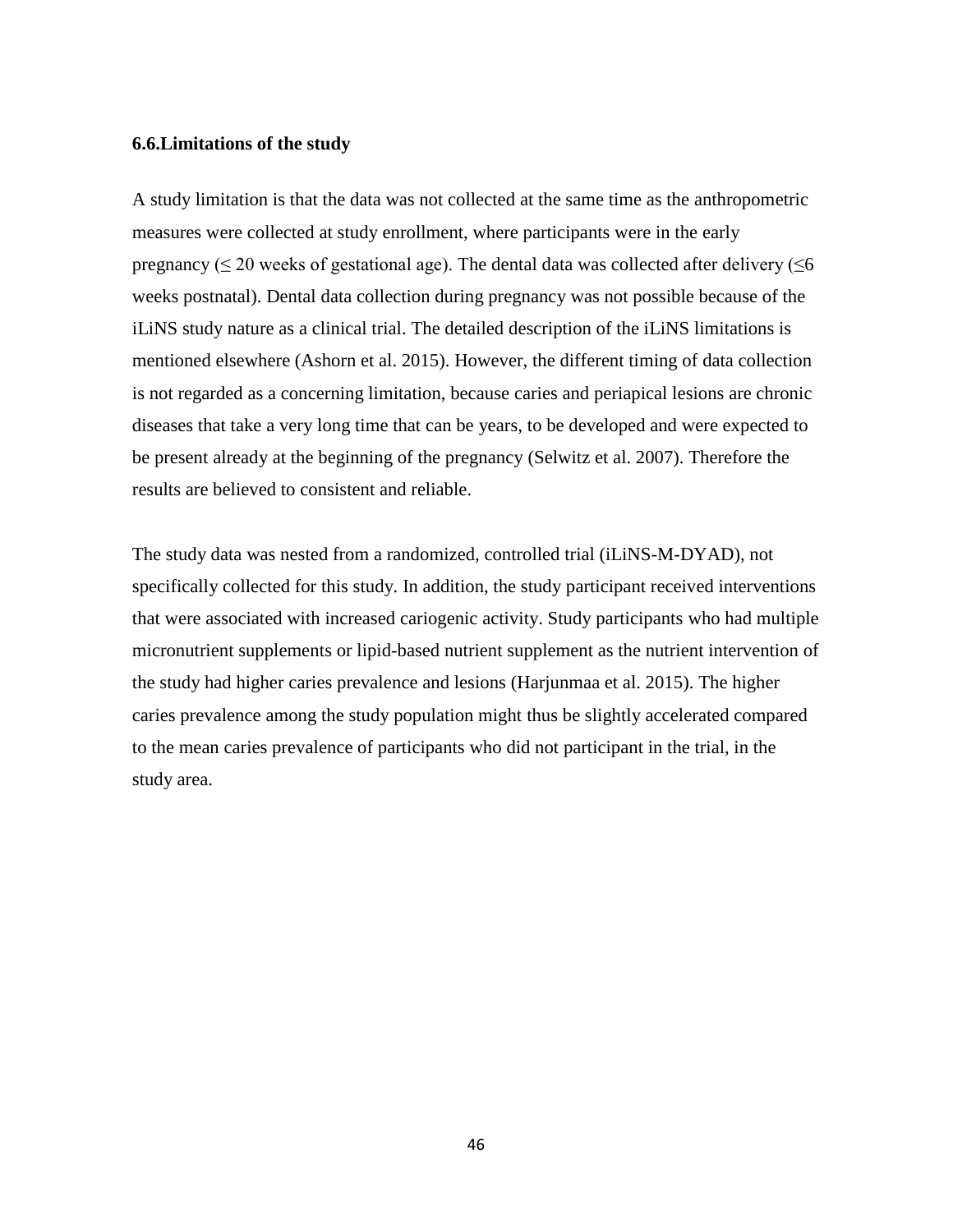### <span id="page-45-0"></span>**6.6.Limitations of the study**

A study limitation is that the data was not collected at the same time as the anthropometric measures were collected at study enrollment, where participants were in the early pregnancy ( $\leq$  20 weeks of gestational age). The dental data was collected after delivery ( $\leq$ 6 weeks postnatal). Dental data collection during pregnancy was not possible because of the iLiNS study nature as a clinical trial. The detailed description of the iLiNS limitations is mentioned elsewhere (Ashorn et al. 2015). However, the different timing of data collection is not regarded as a concerning limitation, because caries and periapical lesions are chronic diseases that take a very long time that can be years, to be developed and were expected to be present already at the beginning of the pregnancy (Selwitz et al. 2007). Therefore the results are believed to consistent and reliable.

The study data was nested from a randomized, controlled trial (iLiNS-M-DYAD), not specifically collected for this study. In addition, the study participant received interventions that were associated with increased cariogenic activity. Study participants who had multiple micronutrient supplements or lipid-based nutrient supplement as the nutrient intervention of the study had higher caries prevalence and lesions (Harjunmaa et al. 2015). The higher caries prevalence among the study population might thus be slightly accelerated compared to the mean caries prevalence of participants who did not participant in the trial, in the study area.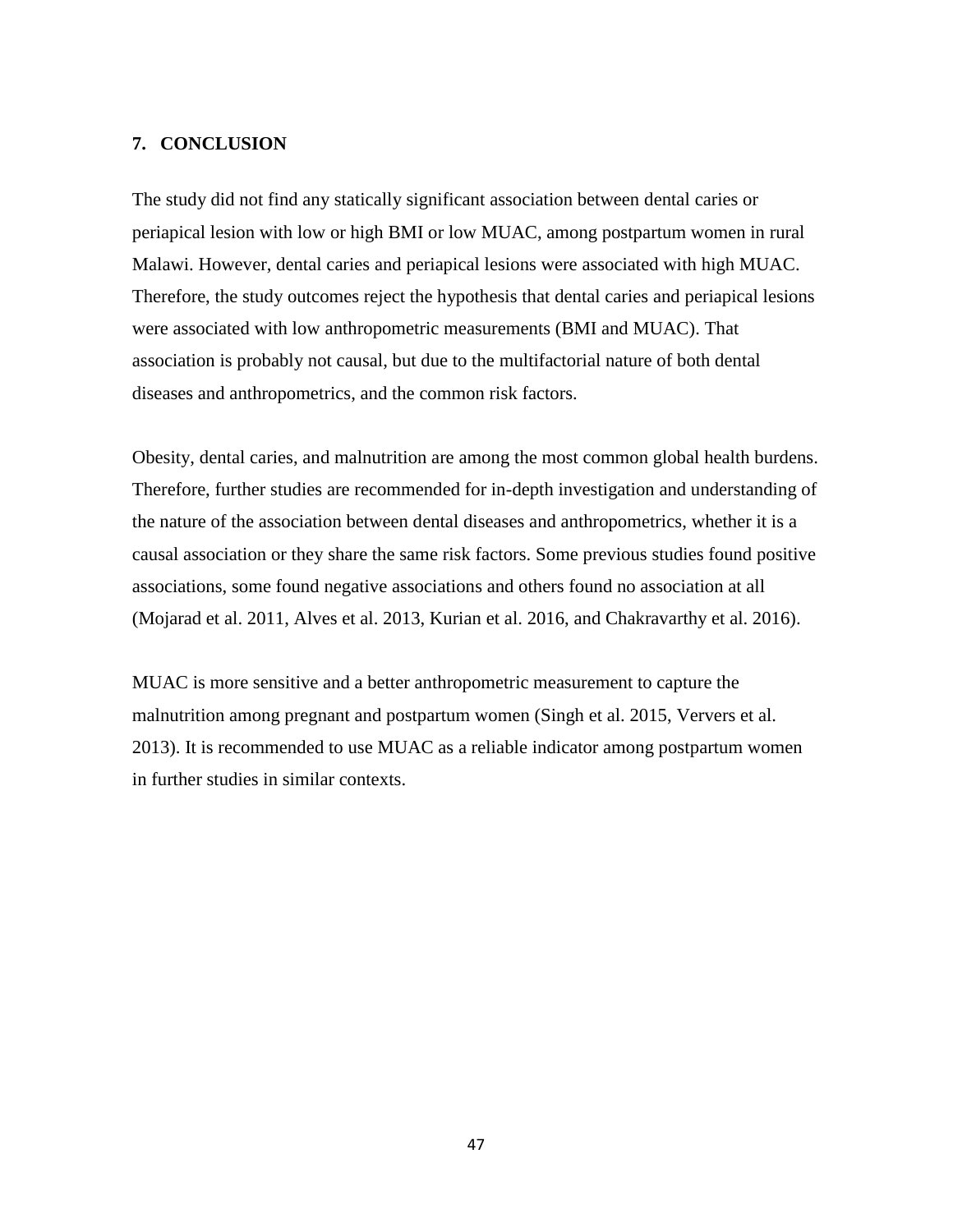## <span id="page-46-0"></span>**7. CONCLUSION**

The study did not find any statically significant association between dental caries or periapical lesion with low or high BMI or low MUAC, among postpartum women in rural Malawi. However, dental caries and periapical lesions were associated with high MUAC. Therefore, the study outcomes reject the hypothesis that dental caries and periapical lesions were associated with low anthropometric measurements (BMI and MUAC). That association is probably not causal, but due to the multifactorial nature of both dental diseases and anthropometrics, and the common risk factors.

Obesity, dental caries, and malnutrition are among the most common global health burdens. Therefore, further studies are recommended for in-depth investigation and understanding of the nature of the association between dental diseases and anthropometrics, whether it is a causal association or they share the same risk factors. Some previous studies found positive associations, some found negative associations and others found no association at all (Mojarad et al. 2011, Alves et al. 2013, Kurian et al. 2016, and Chakravarthy et al. 2016).

MUAC is more sensitive and a better anthropometric measurement to capture the malnutrition among pregnant and postpartum women (Singh et al. 2015, Ververs et al. 2013). It is recommended to use MUAC as a reliable indicator among postpartum women in further studies in similar contexts.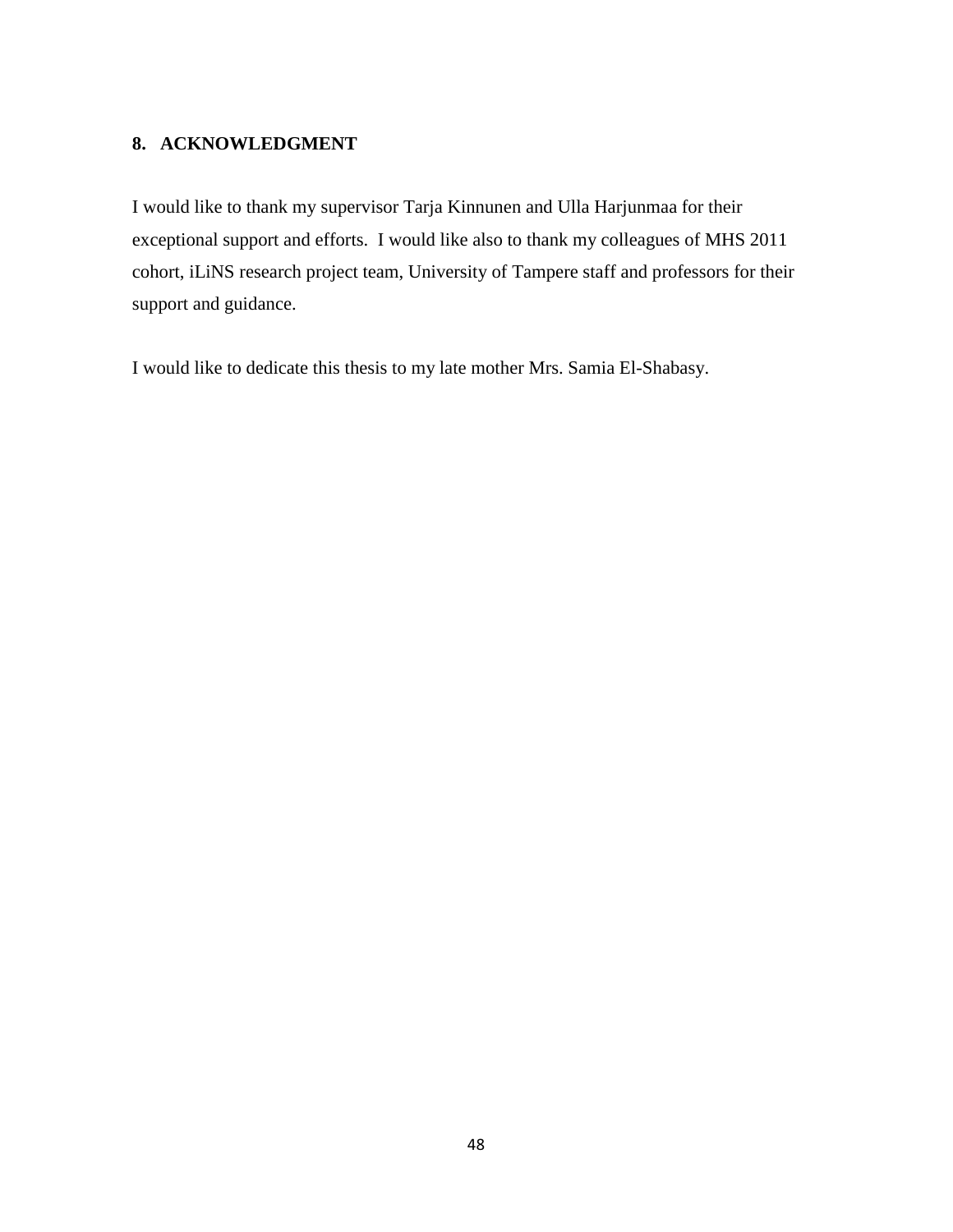## <span id="page-47-0"></span>**8. ACKNOWLEDGMENT**

I would like to thank my supervisor Tarja Kinnunen and Ulla Harjunmaa for their exceptional support and efforts. I would like also to thank my colleagues of MHS 2011 cohort, iLiNS research project team, University of Tampere staff and professors for their support and guidance.

I would like to dedicate this thesis to my late mother Mrs. Samia El-Shabasy.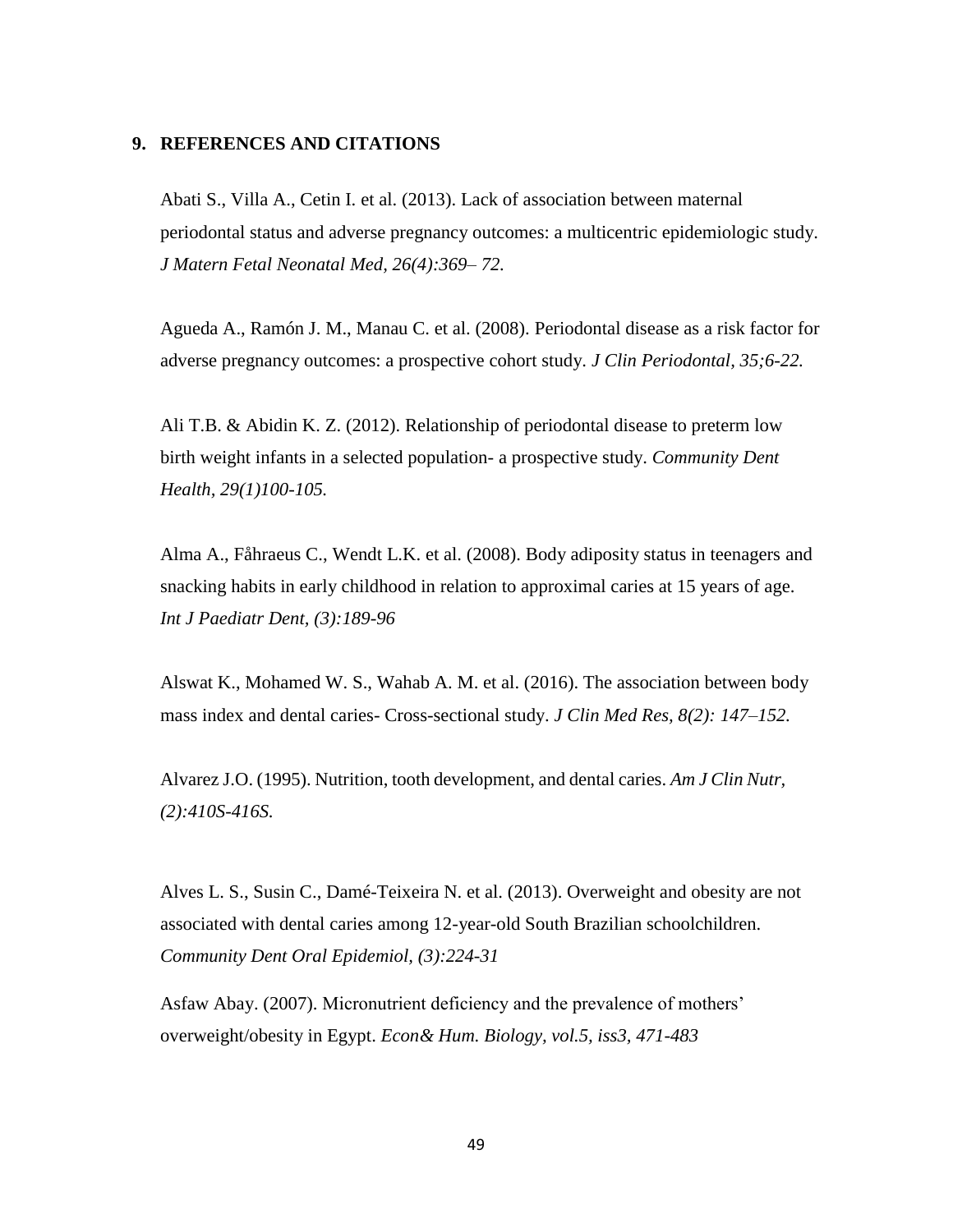## <span id="page-48-0"></span>**9. REFERENCES AND CITATIONS**

Abati S., Villa A., Cetin I. et al. (2013). Lack of association between maternal periodontal status and adverse pregnancy outcomes: a multicentric epidemiologic study. *J Matern Fetal Neonatal Med, 26(4):369– 72.* 

Agueda A., Ramón J. M., Manau C. et al. (2008). Periodontal disease as a risk factor for adverse pregnancy outcomes: a prospective cohort study. *J Clin Periodontal, 35;6-22.* 

Ali T.B. & Abidin K. Z. (2012). Relationship of periodontal disease to preterm low birth weight infants in a selected population- a prospective study. *Community Dent Health, 29(1)100-105.* 

Alma A., Fåhraeus C., Wendt L.K. et al. (2008). Body adiposity status in teenagers and snacking habits in early childhood in relation to approximal caries at 15 years of age. *Int J Paediatr Dent, (3):189-96*

Alswat K., Mohamed W. S., Wahab A. M. et al. (2016). The association between body mass index and dental caries- Cross-sectional study. *J Clin Med Res, 8(2): 147–152.* 

Alvarez J.O. (1995). Nutrition, tooth development, and dental caries. *Am J Clin Nutr, (2):410S-416S.* 

Alves L. S., Susin C., Damé-Teixeira N. et al. (2013). Overweight and obesity are not associated with dental caries among 12-year-old South Brazilian schoolchildren. *Community Dent Oral Epidemiol, (3):224-31*

Asfaw Abay. (2007). Micronutrient deficiency and the prevalence of mothers' overweight/obesity in Egypt. *Econ& Hum. Biology, vol.5, iss3, 471-483*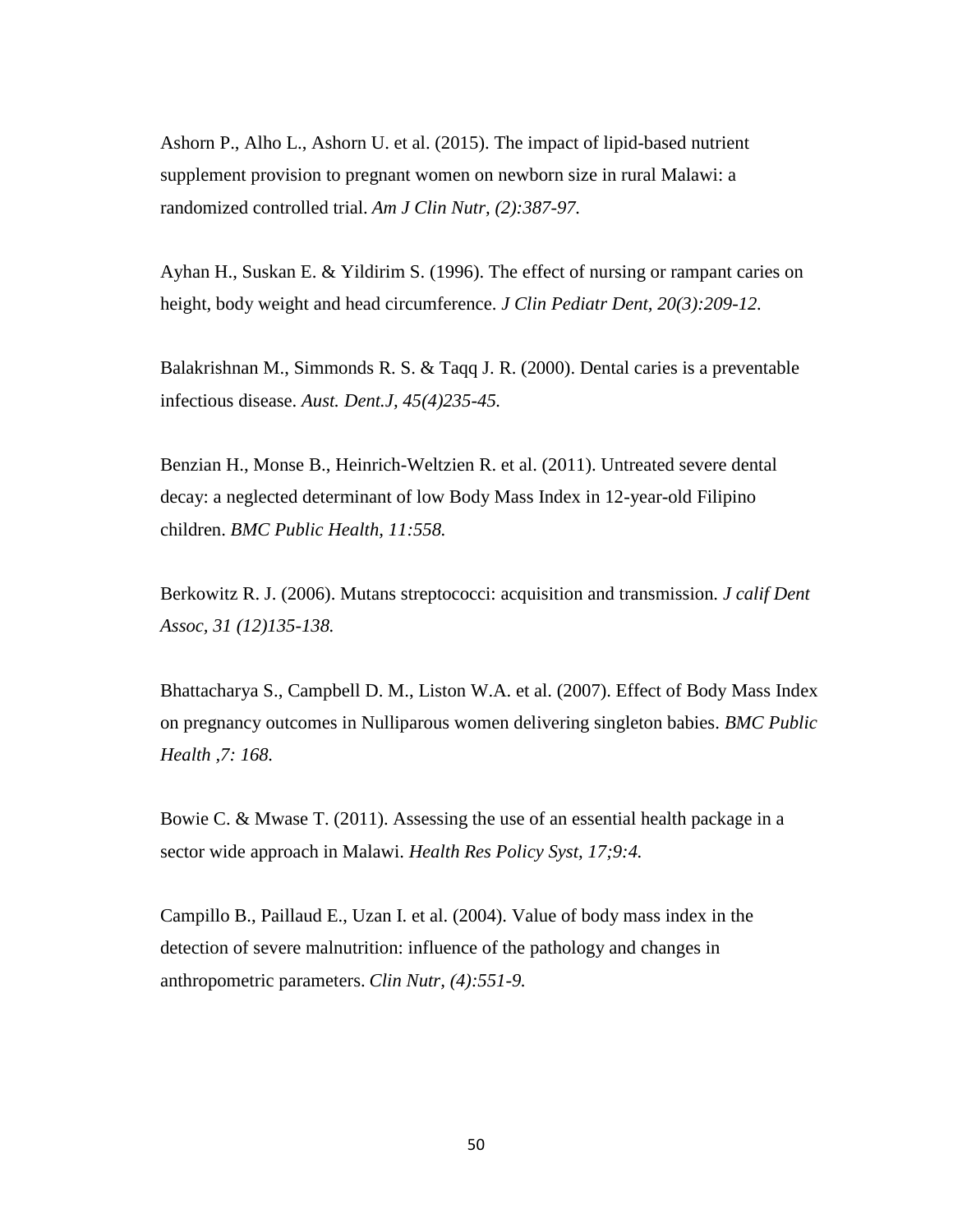Ashorn P., Alho L., Ashorn U. et al. (2015). The impact of lipid-based nutrient supplement provision to pregnant women on newborn size in rural Malawi: a randomized controlled trial. *Am J Clin Nutr, (2):387-97.* 

Ayhan H., Suskan E. & Yildirim S. (1996). The effect of nursing or rampant caries on height, body weight and head circumference. *J Clin Pediatr Dent, 20(3):209-12.*

Balakrishnan M., Simmonds R. S. & Taqq J. R. (2000). Dental caries is a preventable infectious disease. *Aust. Dent.J, 45(4)235-45.*

Benzian H., Monse B., Heinrich-Weltzien R. et al. (2011). Untreated severe dental decay: a neglected determinant of low Body Mass Index in 12-year-old Filipino children. *BMC Public Health, 11:558.* 

Berkowitz R. J. (2006). Mutans streptococci: acquisition and transmission. *J calif Dent Assoc, 31 (12)135-138.*

Bhattacharya S., Campbell D. M., Liston W.A. et al. (2007). Effect of Body Mass Index on pregnancy outcomes in Nulliparous women delivering singleton babies. *BMC Public Health ,7: 168.*

Bowie C. & Mwase T. (2011). Assessing the use of an essential health package in a sector wide approach in Malawi. *Health Res Policy Syst, 17;9:4.* 

Campillo B., Paillaud E., Uzan I. et al. (2004). Value of body mass index in the detection of severe malnutrition: influence of the pathology and changes in anthropometric parameters. *Clin Nutr, (4):551-9.*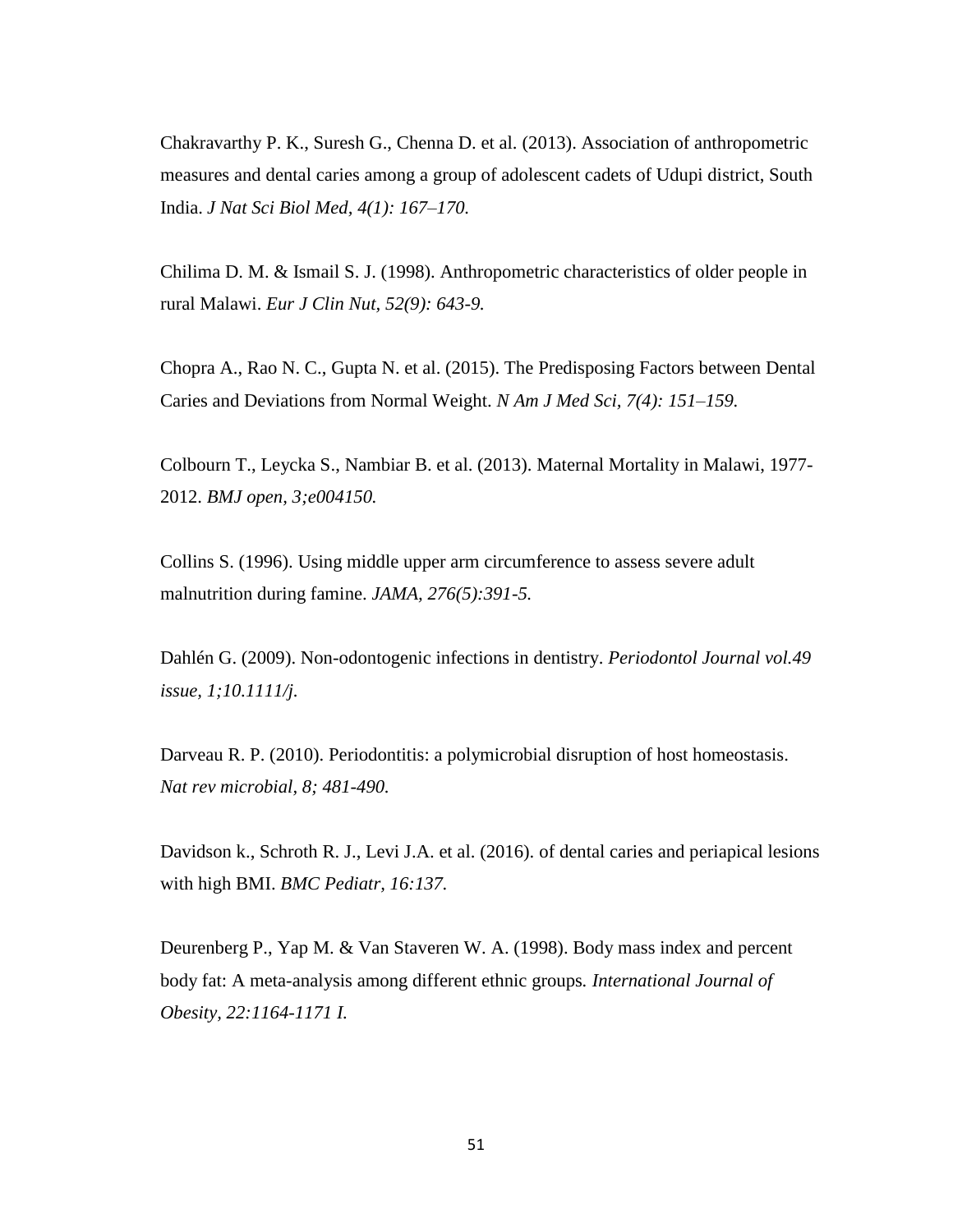Chakravarthy P. K., Suresh G., Chenna D. et al. (2013). Association of anthropometric measures and dental caries among a group of adolescent cadets of Udupi district, South India. *J Nat Sci Biol Med, 4(1): 167–170.* 

Chilima D. M. & Ismail S. J. (1998). Anthropometric characteristics of older people in rural Malawi. *Eur J Clin Nut, 52(9): 643-9.* 

Chopra A., Rao N. C., Gupta N. et al. (2015). The Predisposing Factors between Dental Caries and Deviations from Normal Weight. *N Am J Med Sci, 7(4): 151–159.* 

Colbourn T., Leycka S., Nambiar B. et al. (2013). Maternal Mortality in Malawi, 1977- 2012. *BMJ open, 3;e004150.* 

Collins S. (1996). Using middle upper arm circumference to assess severe adult malnutrition during famine. *JAMA, 276(5):391-5.* 

Dahlén G. (2009). Non-odontogenic infections in dentistry. *Periodontol Journal vol.49 issue, 1;10.1111/j.*

Darveau R. P. (2010). Periodontitis: a polymicrobial disruption of host homeostasis. *Nat rev microbial, 8; 481-490.* 

Davidson k., Schroth R. J., Levi J.A. et al. (2016). of dental caries and periapical lesions with high BMI. *BMC Pediatr, 16:137.*

Deurenberg P., Yap M. & Van Staveren W. A. (1998). Body mass index and percent body fat: A meta-analysis among different ethnic groups*. International Journal of Obesity, 22:1164-1171 I.*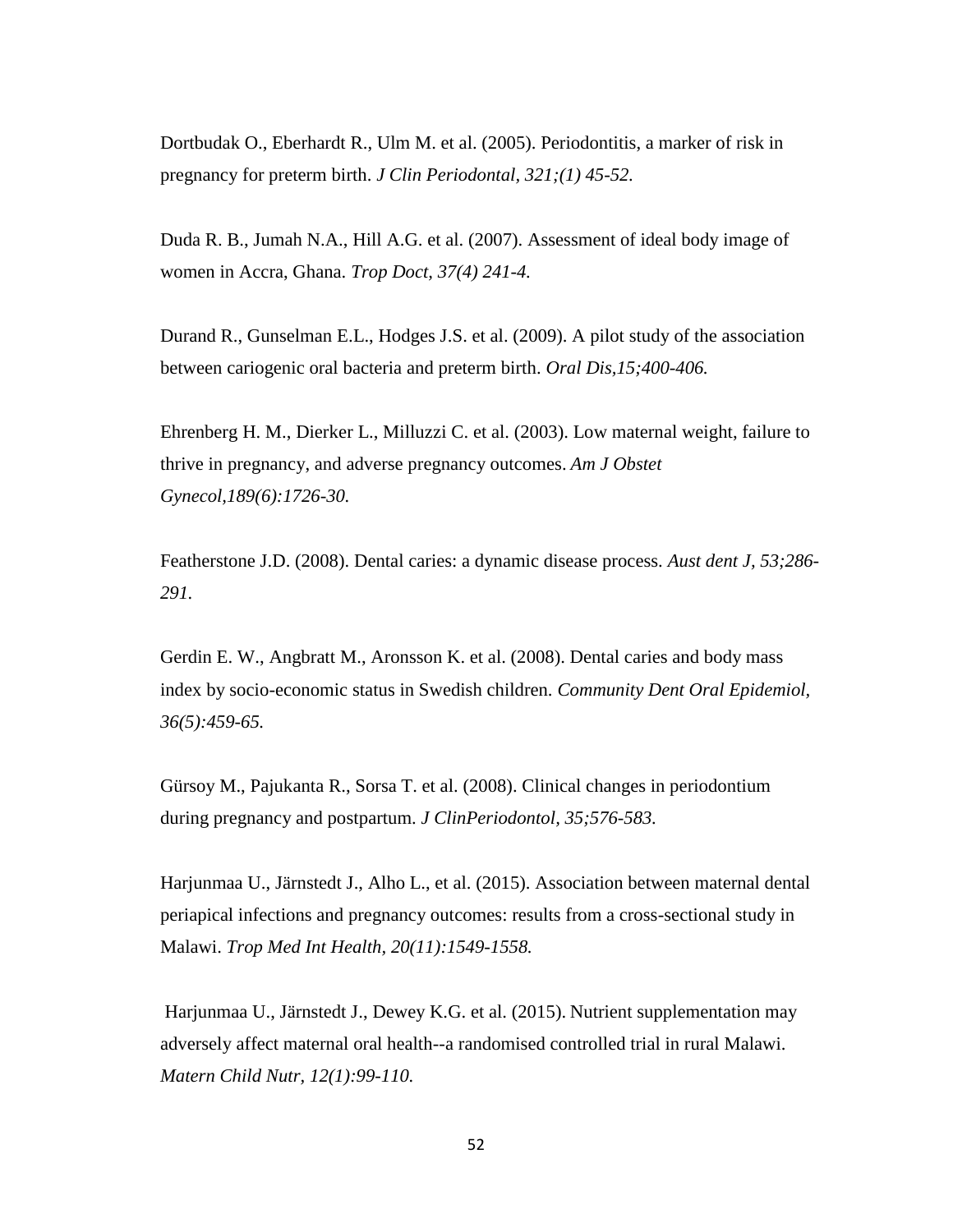Dortbudak O., Eberhardt R., Ulm M. et al. (2005). Periodontitis, a marker of risk in pregnancy for preterm birth. *J Clin Periodontal, 321;(1) 45-52.* 

Duda R. B., Jumah N.A., Hill A.G. et al. (2007). Assessment of ideal body image of women in Accra, Ghana. *Trop Doct, 37(4) 241-4.* 

Durand R., Gunselman E.L., Hodges J.S. et al. (2009). A pilot study of the association between cariogenic oral bacteria and preterm birth. *Oral Dis,15;400-406.* 

[Ehrenberg](http://www.sciencedirect.com/science/article/pii/S0002937803008603) H. M., [Dierker](http://www.sciencedirect.com/science/article/pii/S0002937803008603) L., [Milluzzi](http://www.sciencedirect.com/science/article/pii/S0002937803008603) C. et al. (2003). Low maternal weight, failure to thrive in pregnancy, and adverse pregnancy outcomes. *Am J Obstet Gynecol,189(6):1726-30.* 

Featherstone J.D. (2008). Dental caries: a dynamic disease process. *Aust dent J, 53;286- 291.* 

Gerdin E. W., Angbratt M., Aronsson K. et al. (2008). Dental caries and body mass index by socio-economic status in Swedish children. *Community Dent Oral Epidemiol, 36(5):459-65.* 

Gürsoy M., Pajukanta R., Sorsa T. et al. (2008). Clinical changes in periodontium during pregnancy and postpartum. *J ClinPeriodontol, 35;576-583.* 

Harjunmaa U., Järnstedt J., Alho L., et al. (2015). Association between maternal dental periapical infections and pregnancy outcomes: results from a cross-sectional study in Malawi. *Trop Med Int Health, 20(11):1549-1558.* 

Harjunmaa U., Järnstedt J., Dewey K.G. et al. (2015). Nutrient supplementation may adversely affect maternal oral health--a randomised controlled trial in rural Malawi. *Matern Child Nutr, 12(1):99-110.*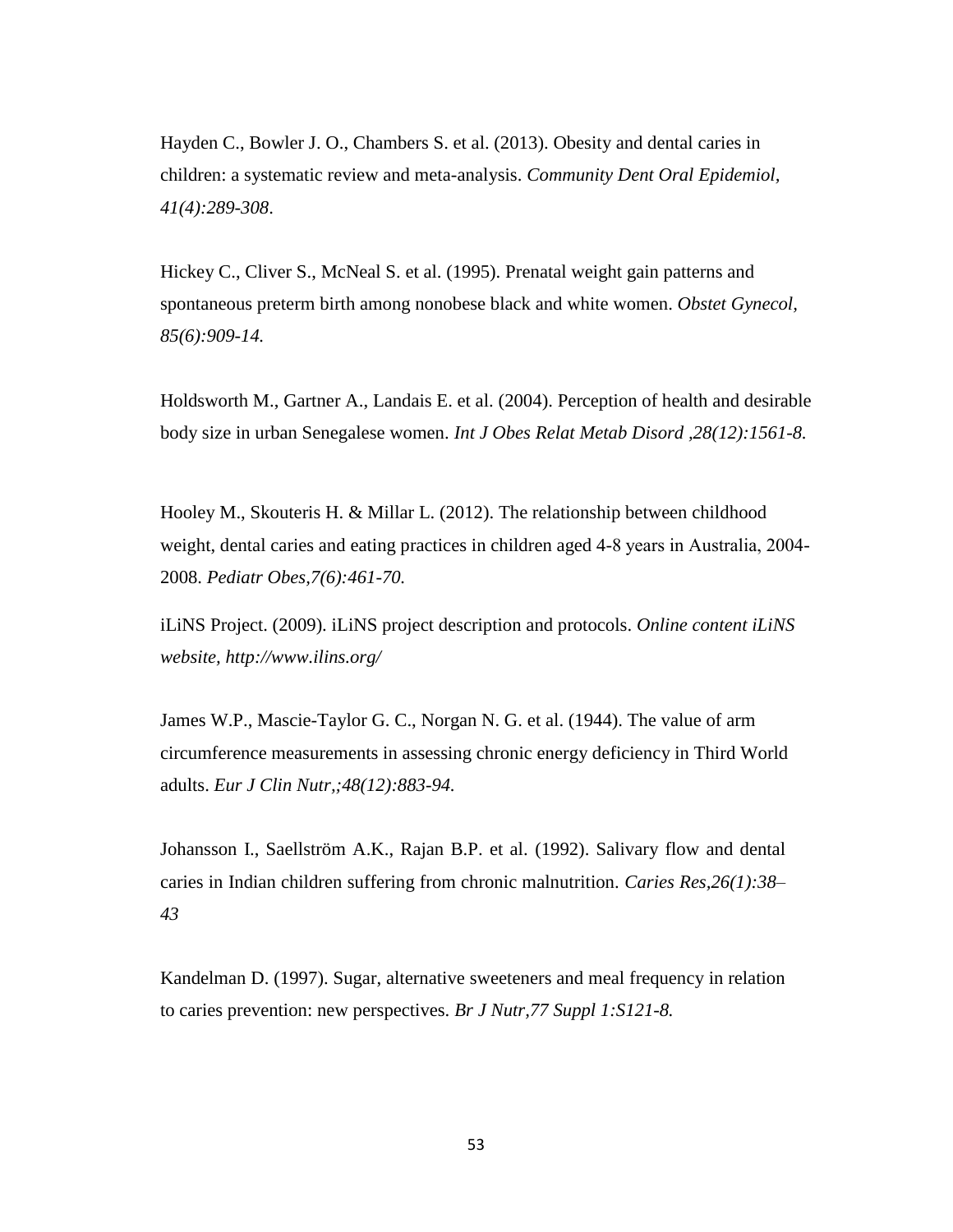Hayden C., Bowler J. O., Chambers S. et al. (2013). Obesity and dental caries in children: a systematic review and meta-analysis. *Community Dent Oral Epidemiol, 41(4):289-308*.

Hickey C., Cliver S., McNeal S. et al. (1995). Prenatal weight gain patterns and spontaneous preterm birth among nonobese black and white women. *Obstet Gynecol, 85(6):909-14.* 

Holdsworth M., Gartner A., Landais E. et al. (2004). Perception of health and desirable body size in urban Senegalese women. *Int J Obes Relat Metab Disord ,28(12):1561-8.*

Hooley M., Skouteris H. & Millar L. (2012). The relationship between childhood weight, dental caries and eating practices in children aged 4-8 years in Australia, 2004- 2008. *Pediatr Obes,7(6):461-70.*

iLiNS Project. (2009). iLiNS project description and protocols. *Online content iLiNS website, http://www.ilins.org/*

[James W.P.](http://europepmc.org/search?page=1&query=AUTH:%22James+WP%22), [Mascie-Taylor G. C.](http://europepmc.org/search?page=1&query=AUTH:%22Mascie-Taylor+GC%22), [Norgan N. G.](http://europepmc.org/search?page=1&query=AUTH:%22Norgan+NG%22) et al. (1944). The value of arm circumference measurements in assessing chronic energy deficiency in Third World adults. *Eur J Clin Nutr,;48(12):883-94.* 

Johansson I., Saellström A.K., Rajan B.P. et al. (1992). Salivary flow and dental caries in Indian children suffering from chronic malnutrition. *Caries Res,26(1):38– 43*

Kandelman D. (1997). Sugar, alternative sweeteners and meal frequency in relation to caries prevention: new perspectives. *Br J Nutr,77 Suppl 1:S121-8.*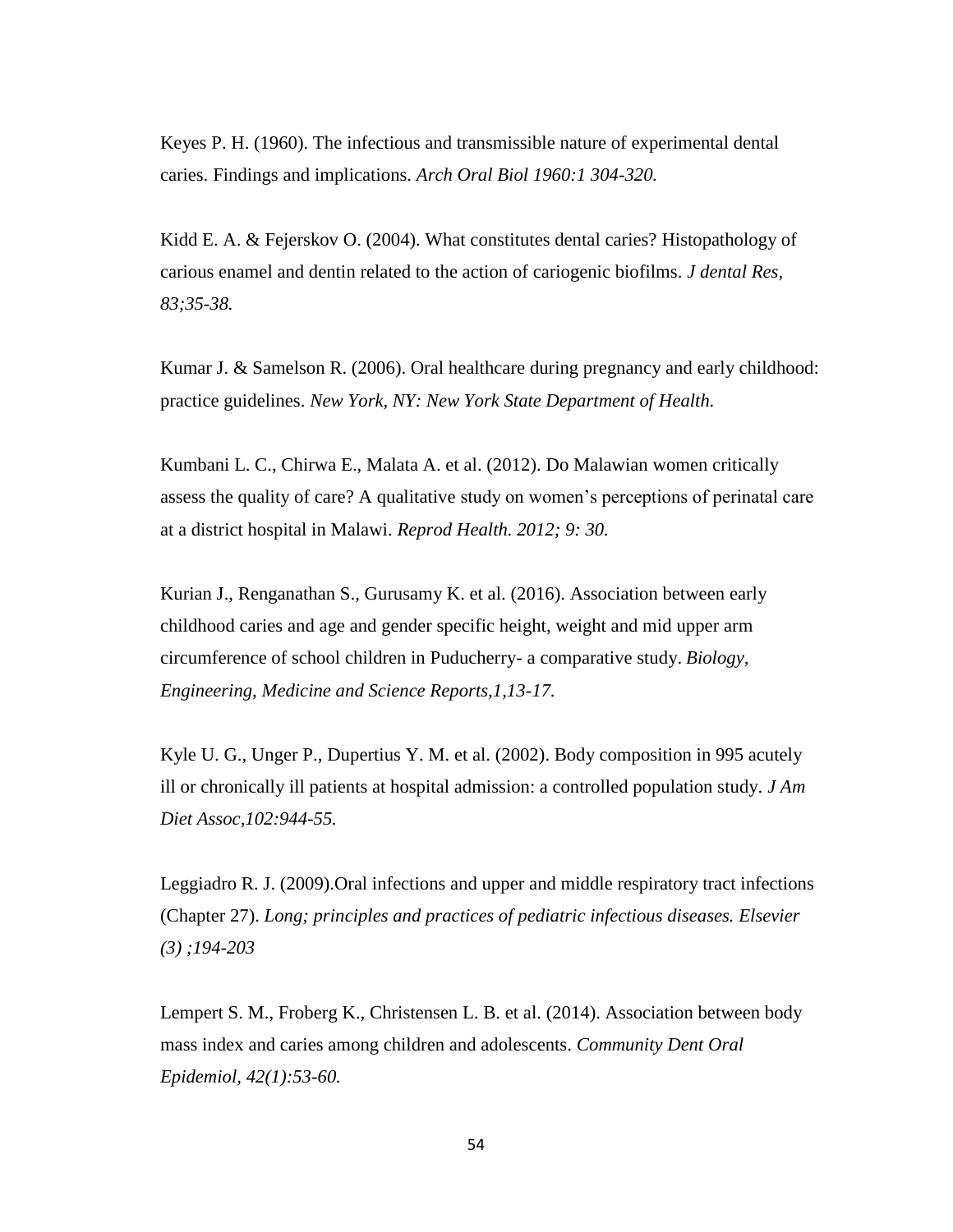Keyes P. H. (1960). The infectious and transmissible nature of experimental dental caries. Findings and implications. *Arch Oral Biol 1960:1 304-320.* 

Kidd E. A. & Fejerskov O. (2004). What constitutes dental caries? Histopathology of carious enamel and dentin related to the action of cariogenic biofilms. *J dental Res, 83;35-38.* 

Kumar J. & Samelson R. (2006). Oral healthcare during pregnancy and early childhood: practice guidelines. *New York, NY: New York State Department of Health.* 

Kumbani L. C., Chirwa E., Malata A. et al. (2012). Do Malawian women critically assess the quality of care? A qualitative study on women's perceptions of perinatal care at a district hospital in Malawi. *Reprod Health. 2012; 9: 30.*

Kurian J., Renganathan S., Gurusamy K. et al. (2016). Association between early childhood caries and age and gender specific height, weight and mid upper arm circumference of school children in Puducherry- a comparative study. *Biology, Engineering, Medicine and Science Reports,1,13-17.* 

Kyle U. G., Unger P., Dupertius Y. M. et al. (2002). Body composition in 995 acutely ill or chronically ill patients at hospital admission: a controlled population study. *J Am Diet Assoc,102:944-55.* 

Leggiadro R. J. (2009).Oral infections and upper and middle respiratory tract infections (Chapter 27). *Long; principles and practices of pediatric infectious diseases. Elsevier (3) ;194-203*

Lempert S. M., Froberg K., Christensen L. B. et al. (2014). Association between body mass index and caries among children and adolescents. *Community Dent Oral Epidemiol, 42(1):53-60.*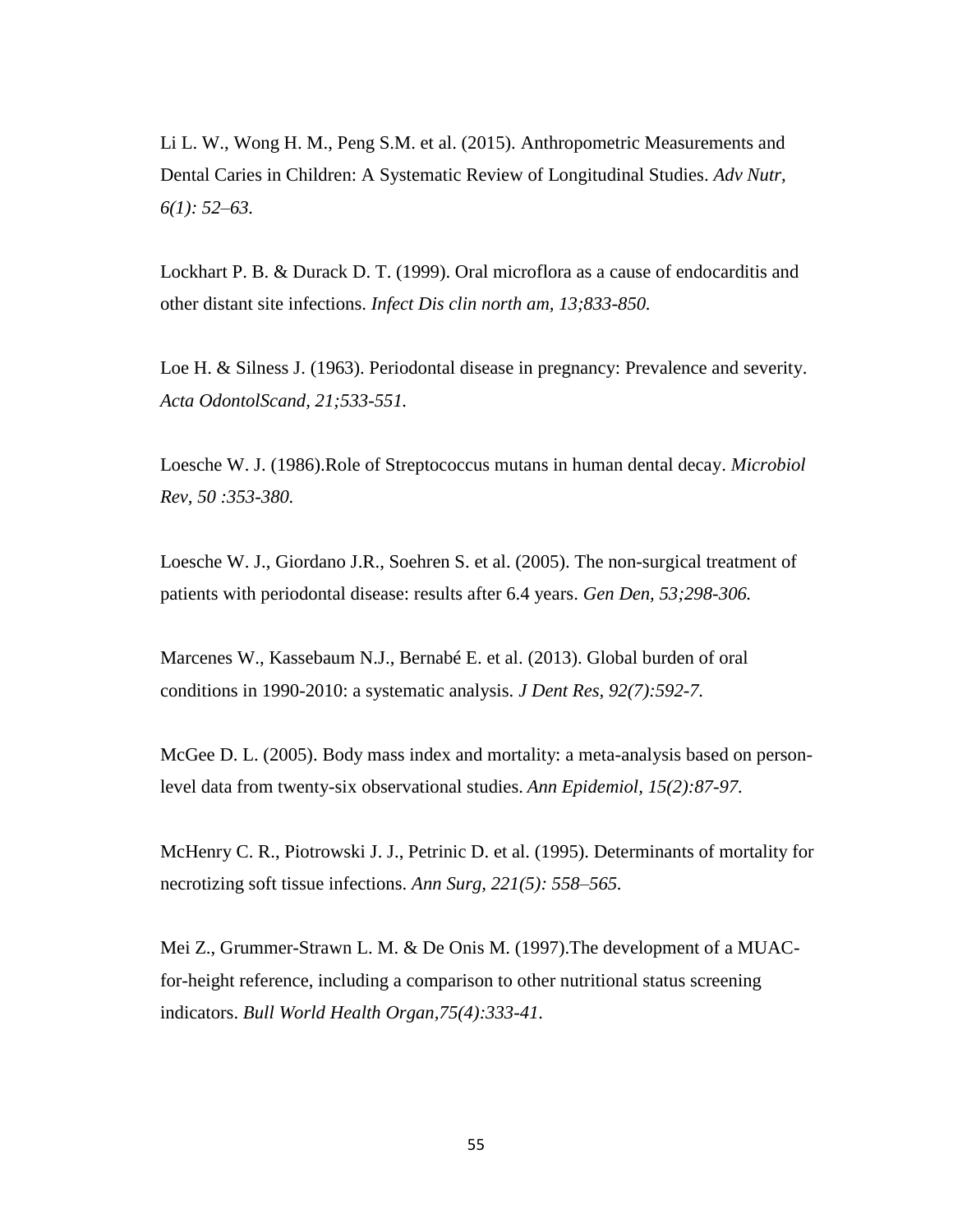Li L. W., Wong H. M., Peng S.M. et al. (2015). Anthropometric Measurements and Dental Caries in Children: A Systematic Review of Longitudinal Studies. *Adv Nutr, 6(1): 52–63.*

Lockhart P. B. & Durack D. T. (1999). Oral microflora as a cause of endocarditis and other distant site infections. *Infect Dis clin north am, 13;833-850.* 

Loe H. & Silness J. (1963). Periodontal disease in pregnancy: Prevalence and severity. *Acta OdontolScand, 21;533-551.*

Loesche W. J. (1986).Role of Streptococcus mutans in human dental decay. *Microbiol Rev, 50 :353-380.* 

Loesche W. J., Giordano J.R., Soehren S. et al. (2005). The non-surgical treatment of patients with periodontal disease: results after 6.4 years. *Gen Den, 53;298-306.* 

Marcenes W., Kassebaum N.J., Bernabé E. et al. (2013). Global burden of oral conditions in 1990-2010: a systematic analysis. *J Dent Res, 92(7):592-7.* 

McGee D. L. (2005). Body mass index and mortality: a meta-analysis based on personlevel data from twenty-six observational studies. *Ann Epidemiol, 15(2):87-97.*

McHenry C. R., Piotrowski J. J., Petrinic D. et al. (1995). Determinants of mortality for necrotizing soft tissue infections. *Ann Surg, 221(5): 558–565.* 

Mei Z., Grummer-Strawn L. M. & De Onis M. (1997).The development of a MUACfor-height reference, including a comparison to other nutritional status screening indicators. *Bull World Health Organ,75(4):333-41.*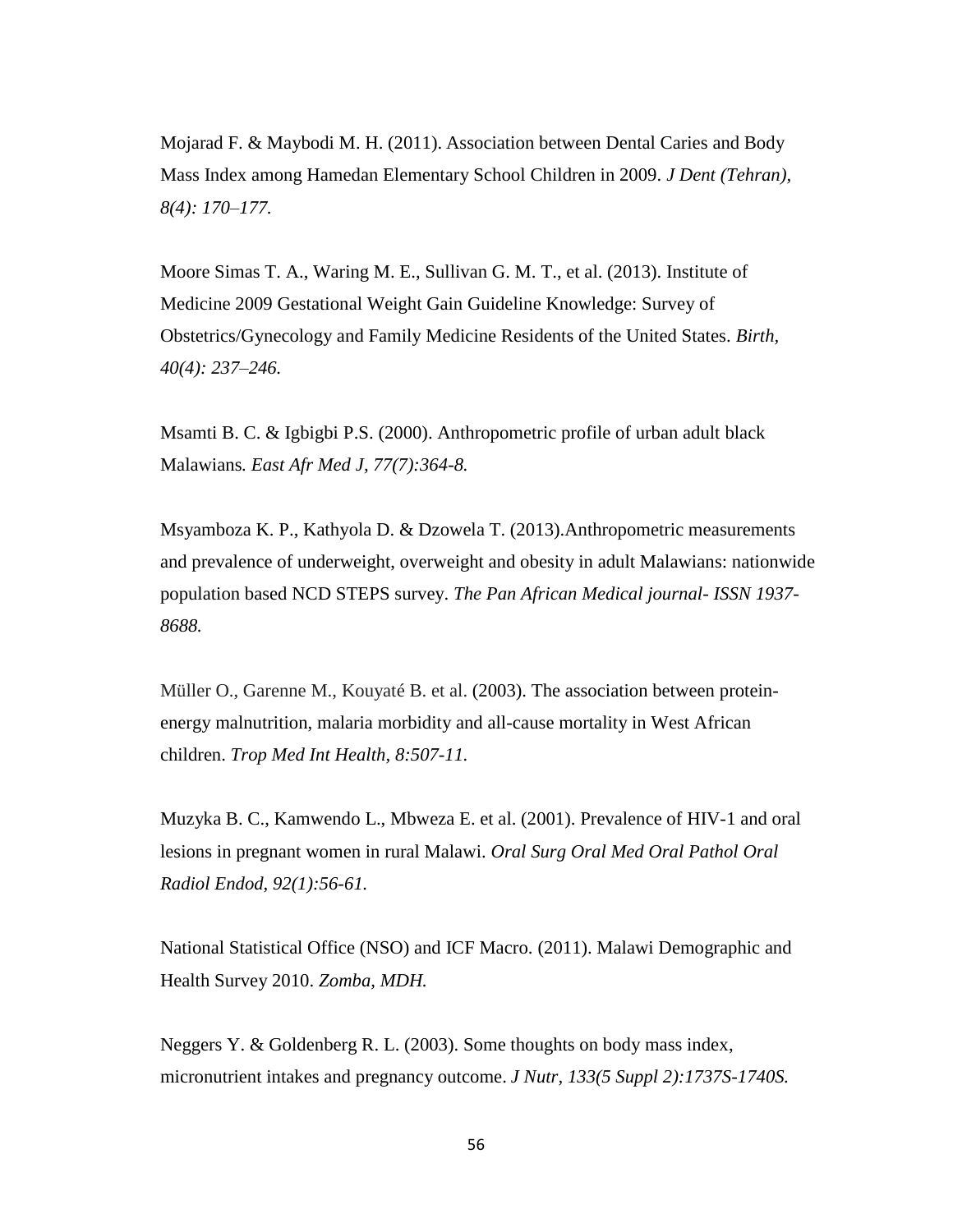Mojarad F. & Maybodi M. H. (2011). Association between Dental Caries and Body Mass Index among Hamedan Elementary School Children in 2009. *J Dent (Tehran), 8(4): 170–177.* 

Moore Simas T. A., Waring M. E., Sullivan G. M. T., et al. (2013). Institute of Medicine 2009 Gestational Weight Gain Guideline Knowledge: Survey of Obstetrics/Gynecology and Family Medicine Residents of the United States. *Birth, 40(4): 237–246.* 

Msamti B. C. & Igbigbi P.S. (2000). Anthropometric profile of urban adult black Malawians*. East Afr Med J, 77(7):364-8.* 

Msyamboza K. P., Kathyola D. & Dzowela T. (2013).Anthropometric measurements and prevalence of underweight, overweight and obesity in adult Malawians: nationwide population based NCD STEPS survey. *The Pan African Medical journal- ISSN 1937- 8688.*

Müller O., Garenne M., Kouyaté B. et al. (2003). The association between proteinenergy malnutrition, malaria morbidity and all-cause mortality in West African children. *Trop Med Int Health, 8:507-11.*

Muzyka B. C., Kamwendo L., Mbweza E. et al. (2001). Prevalence of HIV-1 and oral lesions in pregnant women in rural Malawi. *Oral Surg Oral Med Oral Pathol Oral Radiol Endod, 92(1):56-61.*

National Statistical Office (NSO) and ICF Macro. (2011). Malawi Demographic and Health Survey 2010. *Zomba, MDH.* 

Neggers Y. & Goldenberg R. L. (2003). Some thoughts on body mass index, micronutrient intakes and pregnancy outcome. *J Nutr, 133(5 Suppl 2):1737S-1740S.*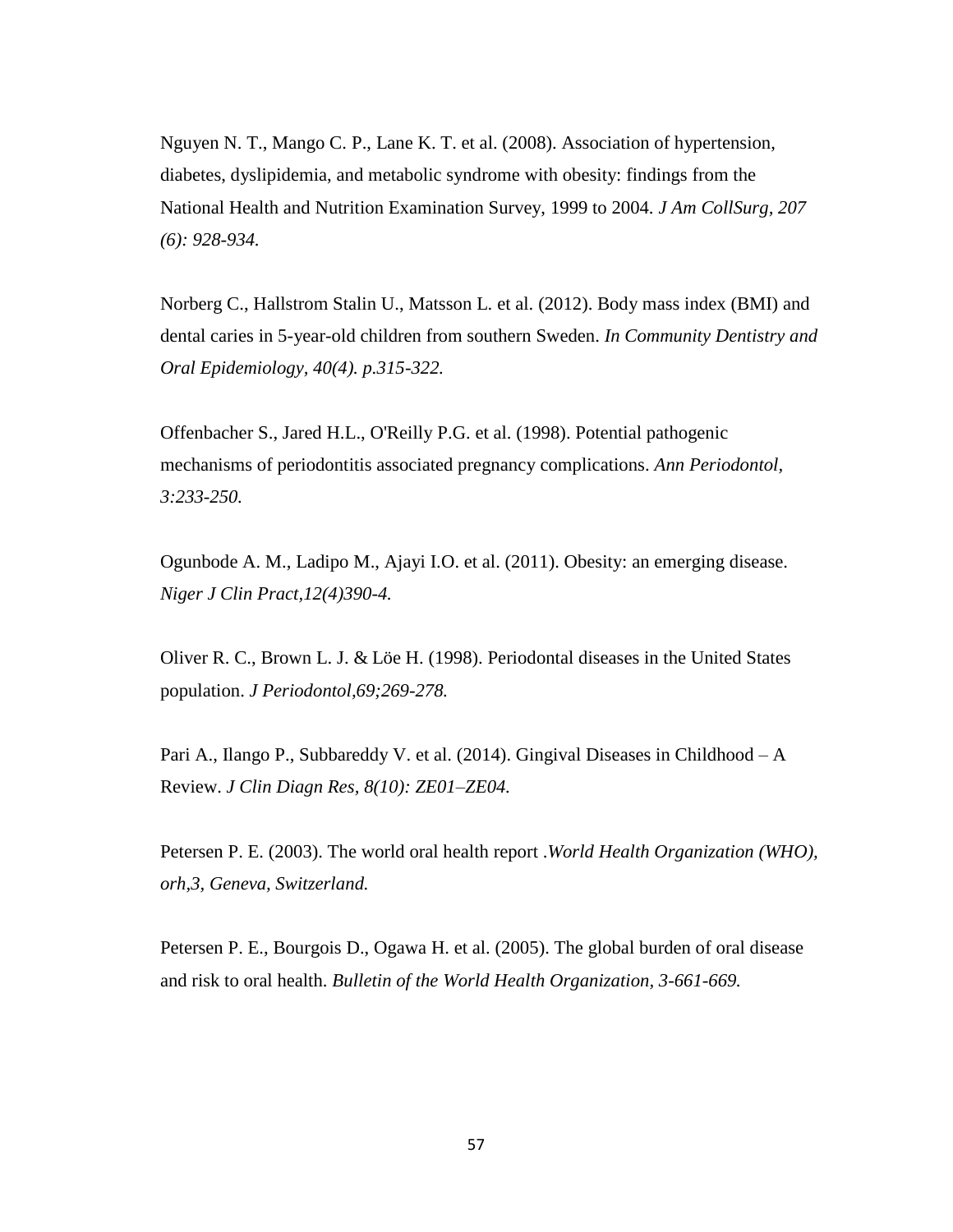Nguyen N. T., Mango C. P., Lane K. T. et al. (2008). Association of hypertension, diabetes, dyslipidemia, and metabolic syndrome with obesity: findings from the National Health and Nutrition Examination Survey, 1999 to 2004. *J Am CollSurg, 207 (6): 928-934.* 

Norberg C., Hallstrom Stalin U., Matsson L. et al. (2012). Body mass index (BMI) and dental caries in 5-year-old children from southern Sweden. *In Community Dentistry and Oral Epidemiology, 40(4). p.315-322.* 

Offenbacher S., Jared H.L., O'Reilly P.G. et al. (1998). Potential pathogenic mechanisms of periodontitis associated pregnancy complications. *Ann Periodontol, 3:233-250.* 

Ogunbode A. M., Ladipo M., Ajayi I.O. et al. (2011). Obesity: an emerging disease. *Niger J Clin Pract,12(4)390-4.* 

Oliver R. C., Brown L. J. & Löe H. (1998). Periodontal diseases in the United States population. *J Periodontol,69;269-278.* 

Pari A., Ilango P., Subbareddy V. et al. (2014). Gingival Diseases in Childhood – A Review. *J Clin Diagn Res, 8(10): ZE01–ZE04.* 

Petersen P. E. (2003). The world oral health report .*World Health Organization (WHO), orh,3, Geneva, Switzerland.*

Petersen P. E., Bourgois D., Ogawa H. et al. (2005). The global burden of oral disease and risk to oral health. *Bulletin of the World Health Organization, 3-661-669.*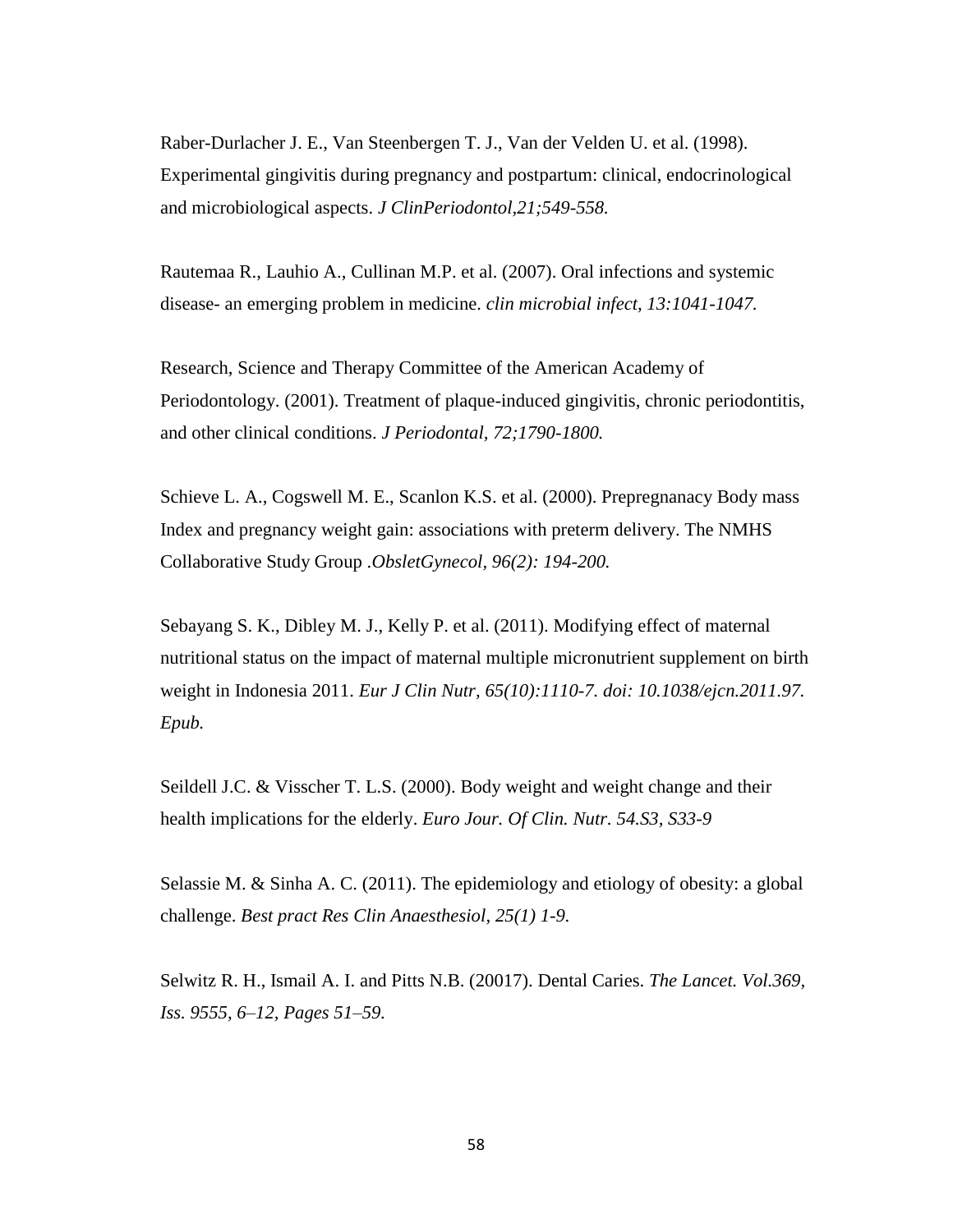Raber-Durlacher J. E., Van Steenbergen T. J., Van der Velden U. et al. (1998). Experimental gingivitis during pregnancy and postpartum: clinical, endocrinological and microbiological aspects. *J ClinPeriodontol,21;549-558.* 

Rautemaa R., Lauhio A., Cullinan M.P. et al. (2007). Oral infections and systemic disease- an emerging problem in medicine. *clin microbial infect, 13:1041-1047.* 

Research, Science and Therapy Committee of the American Academy of Periodontology. (2001). Treatment of plaque-induced gingivitis, chronic periodontitis, and other clinical conditions. *J Periodontal, 72;1790-1800.* 

Schieve L. A., Cogswell M. E., Scanlon K.S. et al. (2000). Prepregnanacy Body mass Index and pregnancy weight gain: associations with preterm delivery. The NMHS Collaborative Study Group .*ObsletGynecol, 96(2): 194-200.* 

Sebayang S. K., Dibley M. J., Kelly P. et al. (2011). Modifying effect of maternal nutritional status on the impact of maternal multiple micronutrient supplement on birth weight in Indonesia 2011. *Eur J Clin Nutr, 65(10):1110-7. doi: 10.1038/ejcn.2011.97. Epub.*

Seildell J.C. & Visscher T. L.S. (2000). Body weight and weight change and their health implications for the elderly. *Euro Jour. Of Clin. Nutr. 54.S3, S33-9*

Selassie M. & Sinha A. C. (2011). The epidemiology and etiology of obesity: a global challenge. *Best pract Res Clin Anaesthesiol, 25(1) 1-9.* 

Selwitz R. H., Ismail A. I. and Pitts N.B. (20017). Dental Caries. *The Lancet. Vol.369, Iss. 9555, 6–12, Pages 51–59.*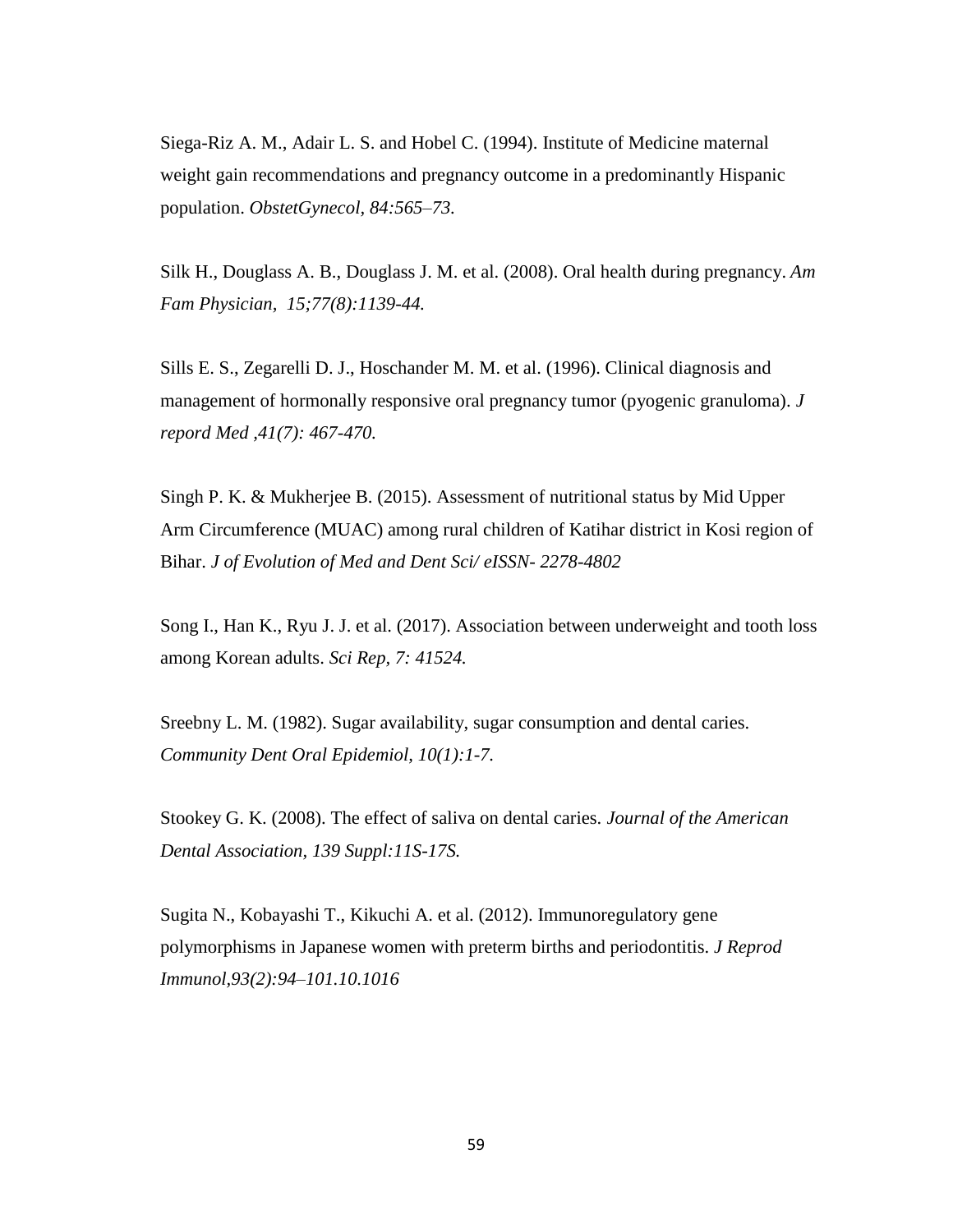Siega-Riz A. M., Adair L. S. and Hobel C. (1994). Institute of Medicine maternal weight gain recommendations and pregnancy outcome in a predominantly Hispanic population. *ObstetGynecol, 84:565–73.*

Silk H., Douglass A. B., Douglass J. M. et al. (2008). Oral health during pregnancy. *Am Fam Physician, 15;77(8):1139-44.* 

Sills E. S., Zegarelli D. J., Hoschander M. M. et al. (1996). Clinical diagnosis and management of hormonally responsive oral pregnancy tumor (pyogenic granuloma). *J repord Med ,41(7): 467-470.* 

Singh P. K. & Mukherjee B. (2015). Assessment of nutritional status by Mid Upper Arm Circumference (MUAC) among rural children of Katihar district in Kosi region of Bihar. *J of Evolution of Med and Dent Sci/ eISSN- 2278-4802*

Song I., Han K., Ryu J. J. et al. (2017). Association between underweight and tooth loss among Korean adults. *Sci Rep, 7: 41524.* 

Sreebny L. M. (1982). Sugar availability, sugar consumption and dental caries. *Community Dent Oral Epidemiol, 10(1):1-7.*

[Stookey G. K.](http://europepmc.org/search?page=1&query=AUTH:%22Stookey+GK%22) (2008). The effect of saliva on dental caries. *Journal of the American Dental Association, 139 Suppl:11S-17S.* 

Sugita N., Kobayashi T., Kikuchi A. et al. (2012). Immunoregulatory gene polymorphisms in Japanese women with preterm births and periodontitis. *J Reprod Immunol,93(2):94–101.10.1016*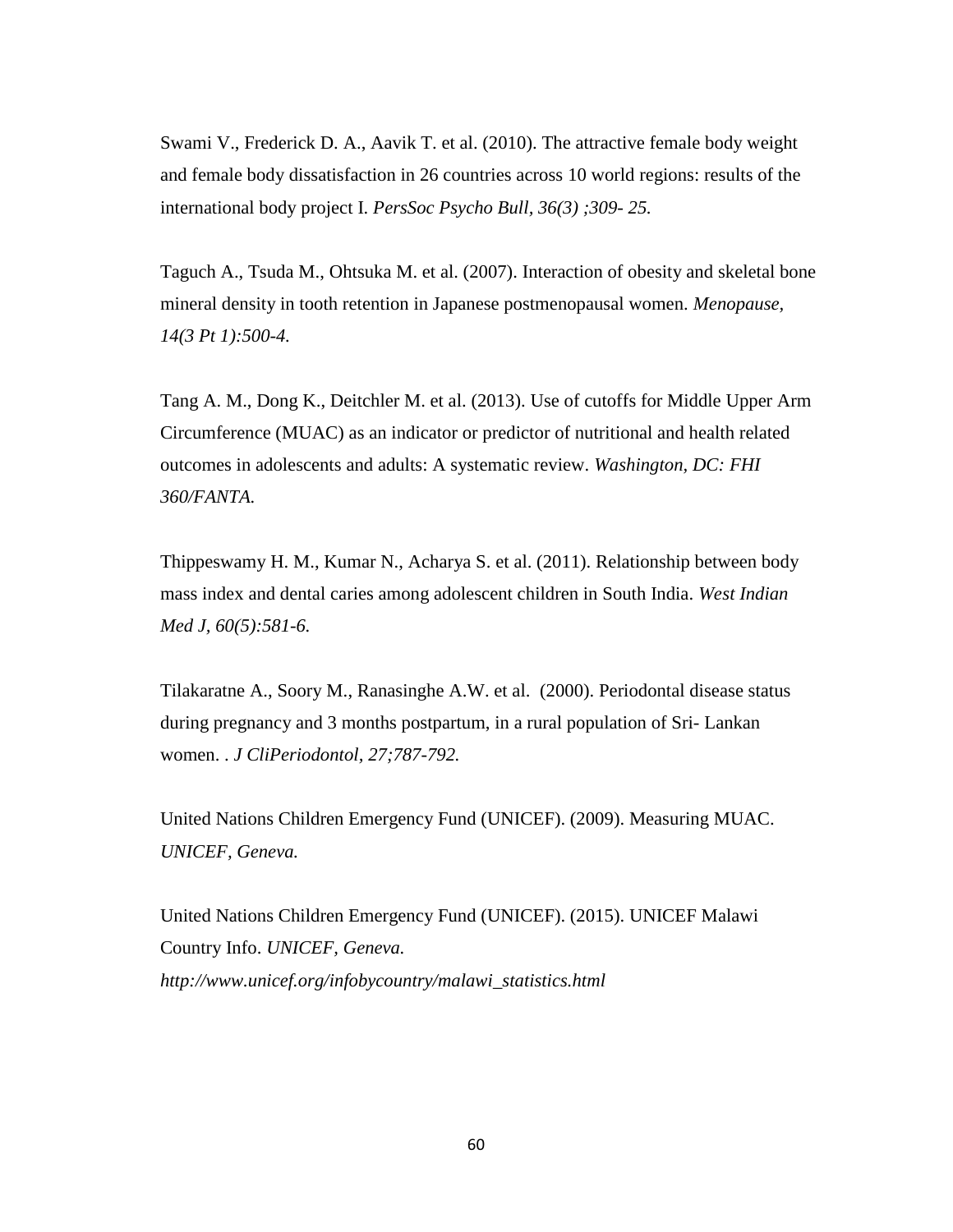Swami V., Frederick D. A., Aavik T. et al. (2010). The attractive female body weight and female body dissatisfaction in 26 countries across 10 world regions: results of the international body project I. *PersSoc Psycho Bull, 36(3) ;309- 25.* 

Taguch A., Tsuda M., Ohtsuka M. et al. (2007). Interaction of obesity and skeletal bone mineral density in tooth retention in Japanese postmenopausal women. *Menopause, 14(3 Pt 1):500-4.* 

Tang A. M., Dong K., Deitchler M. et al. (2013). Use of cutoffs for Middle Upper Arm Circumference (MUAC) as an indicator or predictor of nutritional and health related outcomes in adolescents and adults: A systematic review. *Washington, DC: FHI 360/FANTA.* 

Thippeswamy H. M., Kumar N., Acharya S. et al. (2011). Relationship between body mass index and dental caries among adolescent children in South India. *West Indian Med J, 60(5):581-6.* 

Tilakaratne A., Soory M., Ranasinghe A.W. et al. (2000). Periodontal disease status during pregnancy and 3 months postpartum, in a rural population of Sri- Lankan women. . *J CliPeriodontol, 27;787-792.* 

United Nations Children Emergency Fund (UNICEF). (2009). Measuring MUAC. *UNICEF, Geneva.* 

United Nations Children Emergency Fund (UNICEF). (2015). UNICEF Malawi Country Info. *UNICEF, Geneva. http://www.unicef.org/infobycountry/malawi\_statistics.html*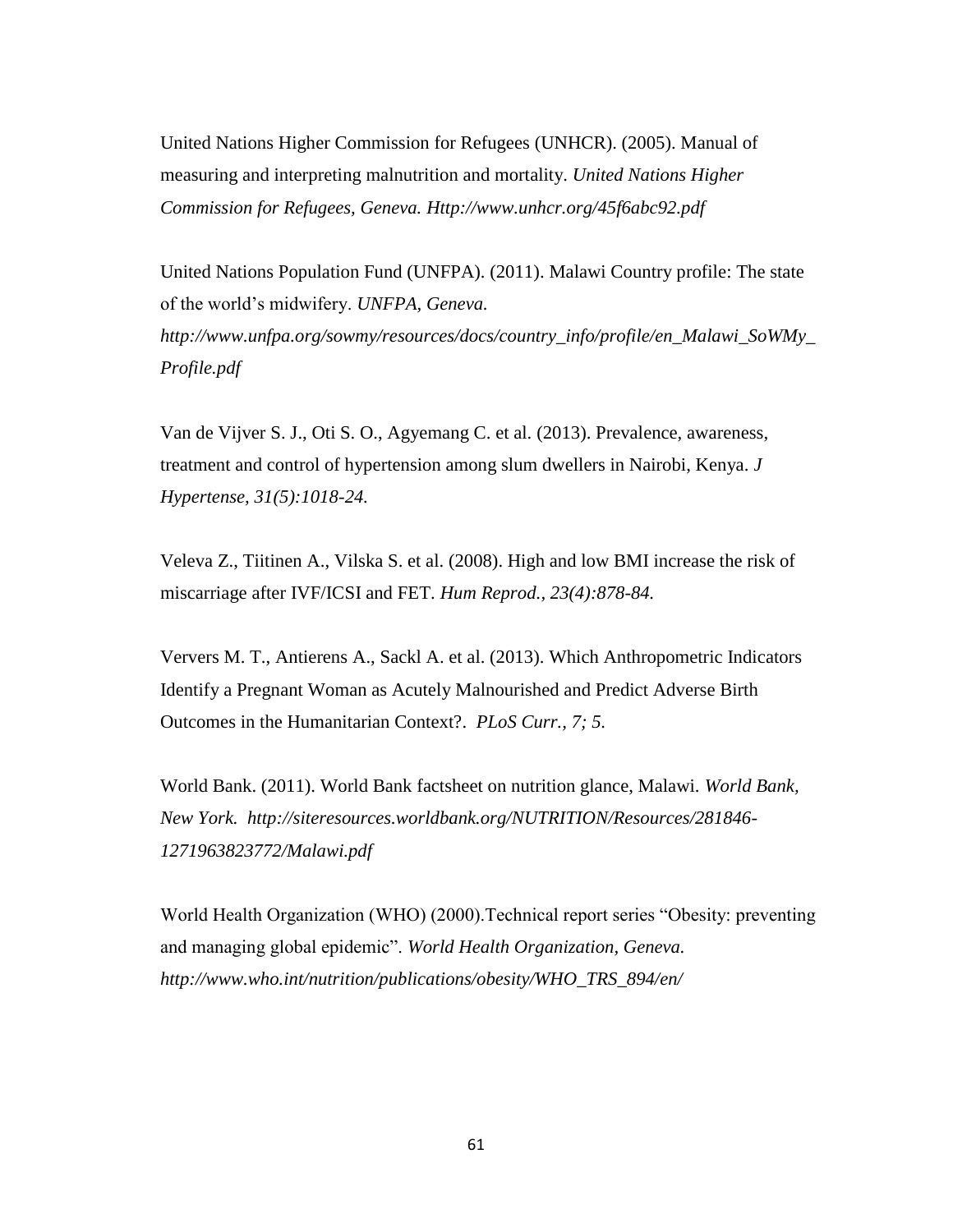United Nations Higher Commission for Refugees (UNHCR). (2005). Manual of measuring and interpreting malnutrition and mortality. *United Nations Higher Commission for Refugees, Geneva. Http://www.unhcr.org/45f6abc92.pdf*

United Nations Population Fund (UNFPA). (2011). Malawi Country profile: The state of the world's midwifery. *UNFPA, Geneva. http://www.unfpa.org/sowmy/resources/docs/country\_info/profile/en\_Malawi\_SoWMy\_ Profile.pdf*

Van de Vijver S. J., Oti S. O., Agyemang C. et al. (2013). Prevalence, awareness, treatment and control of hypertension among slum dwellers in Nairobi, Kenya. *J Hypertense, 31(5):1018-24.* 

[Veleva Z.](http://www.ncbi.nlm.nih.gov/pubmed?term=Veleva%20Z%5BAuthor%5D&cauthor=true&cauthor_uid=18281684), [Tiitinen A.](http://www.ncbi.nlm.nih.gov/pubmed?term=Tiitinen%20A%5BAuthor%5D&cauthor=true&cauthor_uid=18281684), [Vilska S.](http://www.ncbi.nlm.nih.gov/pubmed?term=Vilska%20S%5BAuthor%5D&cauthor=true&cauthor_uid=18281684) et al. (2008). High and low BMI increase the risk of miscarriage after IVF/ICSI and FET. *[Hum Reprod.,](http://www.ncbi.nlm.nih.gov/pubmed/18281684) 23(4):878-84.* 

Ververs M. T., Antierens A., Sackl A. et al. (2013). Which Anthropometric Indicators Identify a Pregnant Woman as Acutely Malnourished and Predict Adverse Birth Outcomes in the Humanitarian Context?. *PLoS Curr., 7; 5.* 

World Bank. (2011). World Bank factsheet on nutrition glance, Malawi. *World Bank, New York. http://siteresources.worldbank.org/NUTRITION/Resources/281846- 1271963823772/Malawi.pdf*

World Health Organization (WHO) (2000).Technical report series "Obesity: preventing and managing global epidemic". *World Health Organization, Geneva. http://www.who.int/nutrition/publications/obesity/WHO\_TRS\_894/en/*